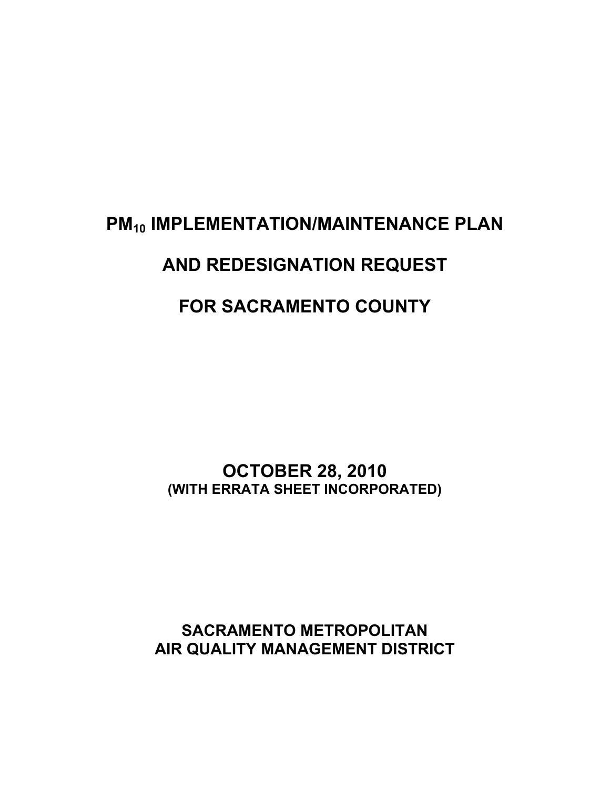# **PM<sub>10</sub> IMPLEMENTATION/MAINTENANCE PLAN AND REDESIGNATION REQUEST FOR SACRAMENTO COUNTY**

**OCTOBER 28, 2010 (WITH ERRATA SHEET INCORPORATED)** 

**SACRAMENTO METROPOLITAN AIR QUALITY MANAGEMENT DISTRICT**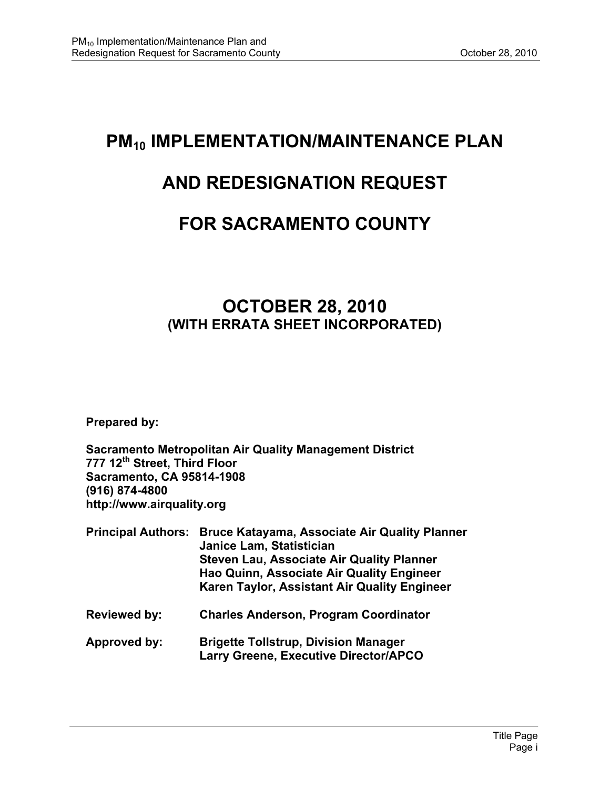# **PM<sub>10</sub> IMPLEMENTATION/MAINTENANCE PLAN**

# **AND REDESIGNATION REQUEST**

# **FOR SACRAMENTO COUNTY**

# **OCTOBER 28, 2010 (WITH ERRATA SHEET INCORPORATED)**

**Prepared by:** 

**Sacramento Metropolitan Air Quality Management District 777 12th Street, Third Floor Sacramento, CA 95814-1908 (916) 874-4800 http://www.airquality.org** 

| <b>Principal Authors:</b> | <b>Bruce Katayama, Associate Air Quality Planner</b><br>Janice Lam, Statistician<br><b>Steven Lau, Associate Air Quality Planner</b><br>Hao Quinn, Associate Air Quality Engineer<br>Karen Taylor, Assistant Air Quality Engineer |  |  |
|---------------------------|-----------------------------------------------------------------------------------------------------------------------------------------------------------------------------------------------------------------------------------|--|--|
| <b>Reviewed by:</b>       | <b>Charles Anderson, Program Coordinator</b>                                                                                                                                                                                      |  |  |
| Approved by:              | <b>Brigette Tollstrup, Division Manager</b>                                                                                                                                                                                       |  |  |

 **Larry Greene, Executive Director/APCO**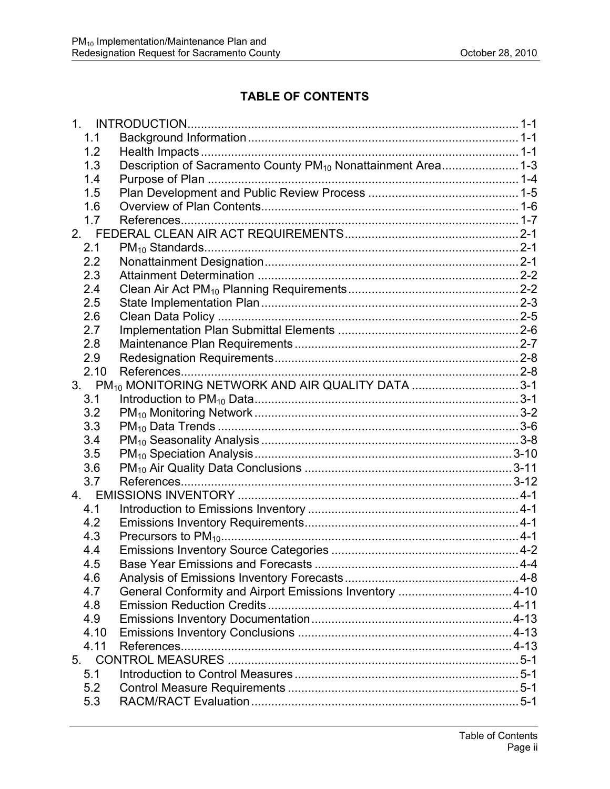# **TABLE OF CONTENTS**

| 1.   |                                                                          |  |
|------|--------------------------------------------------------------------------|--|
| 1.1  |                                                                          |  |
| 1.2  |                                                                          |  |
| 1.3  | Description of Sacramento County PM <sub>10</sub> Nonattainment Area 1-3 |  |
| 1.4  |                                                                          |  |
| 1.5  |                                                                          |  |
| 1.6  |                                                                          |  |
| 1.7  |                                                                          |  |
| 2.   |                                                                          |  |
| 2.1  |                                                                          |  |
| 2.2  |                                                                          |  |
| 2.3  |                                                                          |  |
| 2.4  |                                                                          |  |
| 2.5  |                                                                          |  |
| 2.6  |                                                                          |  |
| 2.7  |                                                                          |  |
| 2.8  |                                                                          |  |
| 2.9  |                                                                          |  |
| 2.10 |                                                                          |  |
|      | 3. PM <sub>10</sub> MONITORING NETWORK AND AIR QUALITY DATA 3-1          |  |
| 3.1  |                                                                          |  |
| 3.2  |                                                                          |  |
| 3.3  |                                                                          |  |
| 3.4  |                                                                          |  |
| 3.5  |                                                                          |  |
| 3.6  |                                                                          |  |
| 3.7  |                                                                          |  |
|      |                                                                          |  |
| 4.1  |                                                                          |  |
| 4.2  |                                                                          |  |
| 4.3  |                                                                          |  |
| 4.4  |                                                                          |  |
| 4.5  |                                                                          |  |
| 4.6  |                                                                          |  |
| 4.7  | General Conformity and Airport Emissions Inventory 4-10                  |  |
| 4.8  |                                                                          |  |
| 4.9  |                                                                          |  |
| 4.10 |                                                                          |  |
| 4.11 |                                                                          |  |
| 5.   |                                                                          |  |
| 5.1  |                                                                          |  |
| 5.2  |                                                                          |  |
| 5.3  |                                                                          |  |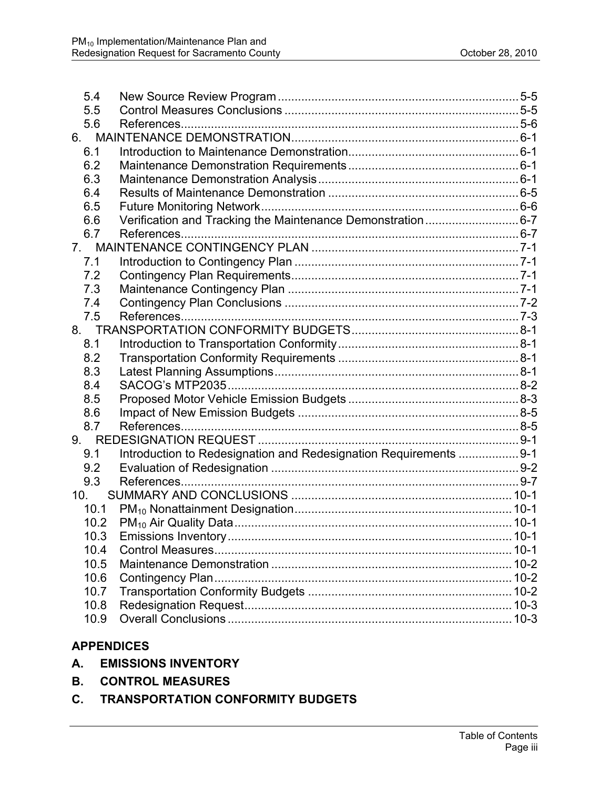| 5.4  |                                                                   |  |
|------|-------------------------------------------------------------------|--|
| 5.5  |                                                                   |  |
| 5.6  |                                                                   |  |
| 6.   |                                                                   |  |
| 6.1  |                                                                   |  |
| 6.2  |                                                                   |  |
| 6.3  |                                                                   |  |
| 6.4  |                                                                   |  |
| 6.5  |                                                                   |  |
| 6.6  | Verification and Tracking the Maintenance Demonstration6-7        |  |
| 6.7  |                                                                   |  |
|      |                                                                   |  |
| 7.1  |                                                                   |  |
| 7.2  |                                                                   |  |
| 7.3  |                                                                   |  |
| 7.4  |                                                                   |  |
| 7.5  |                                                                   |  |
|      |                                                                   |  |
| 8.1  |                                                                   |  |
| 8.2  |                                                                   |  |
| 8.3  |                                                                   |  |
| 8.4  |                                                                   |  |
| 8.5  |                                                                   |  |
| 8.6  |                                                                   |  |
| 8.7  |                                                                   |  |
|      |                                                                   |  |
| 9.1  | Introduction to Redesignation and Redesignation Requirements  9-1 |  |
| 9.2  |                                                                   |  |
| 9.3  |                                                                   |  |
| 10.  |                                                                   |  |
| 10.1 |                                                                   |  |
| 10.2 |                                                                   |  |
| 10.3 |                                                                   |  |
| 10.4 |                                                                   |  |
| 10.5 |                                                                   |  |
| 10.6 |                                                                   |  |
| 10.7 |                                                                   |  |
| 10.8 |                                                                   |  |
| 10.9 |                                                                   |  |

# **APPENDICES**

- **A. EMISSIONS INVENTORY**
- **B. CONTROL MEASURES**
- **C. TRANSPORTATION CONFORMITY BUDGETS**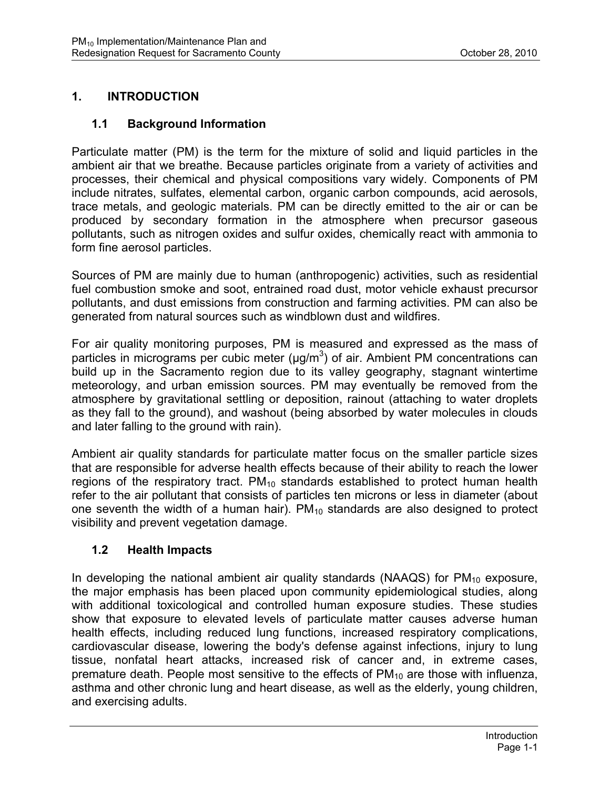# **1. INTRODUCTION**

#### **1.1 Background Information**

Particulate matter (PM) is the term for the mixture of solid and liquid particles in the ambient air that we breathe. Because particles originate from a variety of activities and processes, their chemical and physical compositions vary widely. Components of PM include nitrates, sulfates, elemental carbon, organic carbon compounds, acid aerosols, trace metals, and geologic materials. PM can be directly emitted to the air or can be produced by secondary formation in the atmosphere when precursor gaseous pollutants, such as nitrogen oxides and sulfur oxides, chemically react with ammonia to form fine aerosol particles.

Sources of PM are mainly due to human (anthropogenic) activities, such as residential fuel combustion smoke and soot, entrained road dust, motor vehicle exhaust precursor pollutants, and dust emissions from construction and farming activities. PM can also be generated from natural sources such as windblown dust and wildfires.

For air quality monitoring purposes, PM is measured and expressed as the mass of particles in micrograms per cubic meter ( $\mu$ g/m<sup>3</sup>) of air. Ambient PM concentrations can build up in the Sacramento region due to its valley geography, stagnant wintertime meteorology, and urban emission sources. PM may eventually be removed from the atmosphere by gravitational settling or deposition, rainout (attaching to water droplets as they fall to the ground), and washout (being absorbed by water molecules in clouds and later falling to the ground with rain).

Ambient air quality standards for particulate matter focus on the smaller particle sizes that are responsible for adverse health effects because of their ability to reach the lower regions of the respiratory tract.  $PM_{10}$  standards established to protect human health refer to the air pollutant that consists of particles ten microns or less in diameter (about one seventh the width of a human hair).  $PM_{10}$  standards are also designed to protect visibility and prevent vegetation damage.

#### **1.2 Health Impacts**

In developing the national ambient air quality standards (NAAQS) for  $PM_{10}$  exposure, the major emphasis has been placed upon community epidemiological studies, along with additional toxicological and controlled human exposure studies. These studies show that exposure to elevated levels of particulate matter causes adverse human health effects, including reduced lung functions, increased respiratory complications, cardiovascular disease, lowering the body's defense against infections, injury to lung tissue, nonfatal heart attacks, increased risk of cancer and, in extreme cases, premature death. People most sensitive to the effects of  $PM_{10}$  are those with influenza, asthma and other chronic lung and heart disease, as well as the elderly, young children, and exercising adults.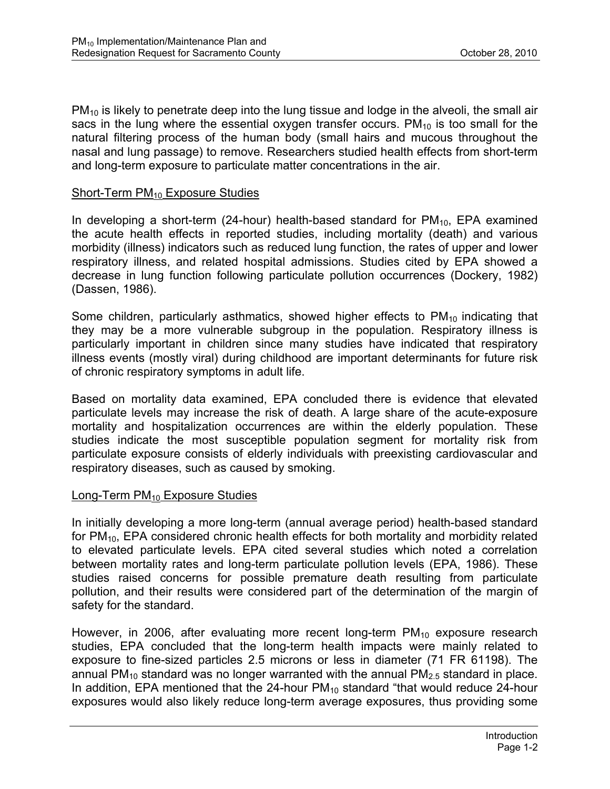$PM_{10}$  is likely to penetrate deep into the lung tissue and lodge in the alveoli, the small air sacs in the lung where the essential oxygen transfer occurs.  $PM_{10}$  is too small for the natural filtering process of the human body (small hairs and mucous throughout the nasal and lung passage) to remove. Researchers studied health effects from short-term and long-term exposure to particulate matter concentrations in the air.

#### Short-Term  $PM_{10}$  Exposure Studies

In developing a short-term (24-hour) health-based standard for  $PM_{10}$ , EPA examined the acute health effects in reported studies, including mortality (death) and various morbidity (illness) indicators such as reduced lung function, the rates of upper and lower respiratory illness, and related hospital admissions. Studies cited by EPA showed a decrease in lung function following particulate pollution occurrences (Dockery, 1982) (Dassen, 1986).

Some children, particularly asthmatics, showed higher effects to  $PM_{10}$  indicating that they may be a more vulnerable subgroup in the population. Respiratory illness is particularly important in children since many studies have indicated that respiratory illness events (mostly viral) during childhood are important determinants for future risk of chronic respiratory symptoms in adult life.

Based on mortality data examined, EPA concluded there is evidence that elevated particulate levels may increase the risk of death. A large share of the acute-exposure mortality and hospitalization occurrences are within the elderly population. These studies indicate the most susceptible population segment for mortality risk from particulate exposure consists of elderly individuals with preexisting cardiovascular and respiratory diseases, such as caused by smoking.

#### Long-Term  $PM_{10}$  Exposure Studies

In initially developing a more long-term (annual average period) health-based standard for  $PM<sub>10</sub>$ , EPA considered chronic health effects for both mortality and morbidity related to elevated particulate levels. EPA cited several studies which noted a correlation between mortality rates and long-term particulate pollution levels (EPA, 1986). These studies raised concerns for possible premature death resulting from particulate pollution, and their results were considered part of the determination of the margin of safety for the standard.

However, in 2006, after evaluating more recent long-term  $PM_{10}$  exposure research studies, EPA concluded that the long-term health impacts were mainly related to exposure to fine-sized particles 2.5 microns or less in diameter (71 FR 61198). The annual PM<sub>10</sub> standard was no longer warranted with the annual PM<sub>2.5</sub> standard in place. In addition, EPA mentioned that the 24-hour  $PM_{10}$  standard "that would reduce 24-hour exposures would also likely reduce long-term average exposures, thus providing some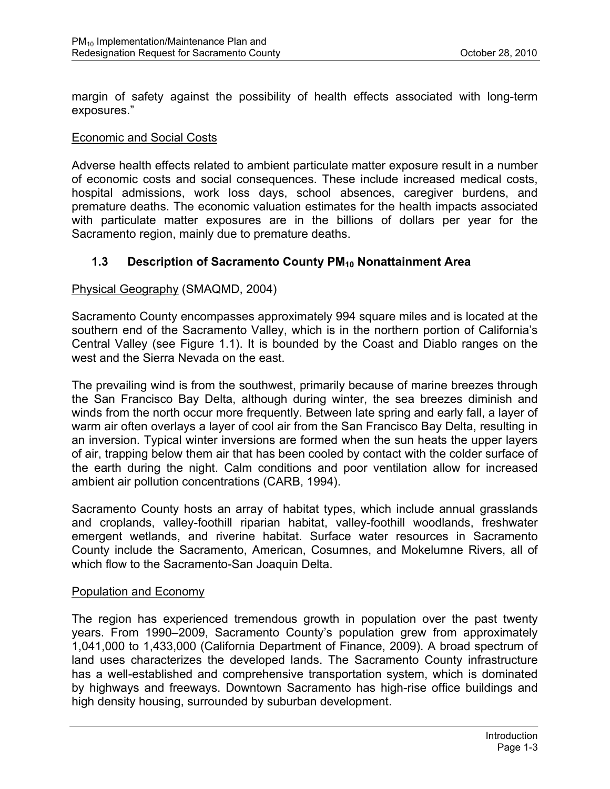margin of safety against the possibility of health effects associated with long-term exposures."

#### Economic and Social Costs

Adverse health effects related to ambient particulate matter exposure result in a number of economic costs and social consequences. These include increased medical costs, hospital admissions, work loss days, school absences, caregiver burdens, and premature deaths. The economic valuation estimates for the health impacts associated with particulate matter exposures are in the billions of dollars per year for the Sacramento region, mainly due to premature deaths.

#### **1.3 Description of Sacramento County PM<sub>10</sub> Nonattainment Area**

#### Physical Geography (SMAQMD, 2004)

Sacramento County encompasses approximately 994 square miles and is located at the southern end of the Sacramento Valley, which is in the northern portion of California's Central Valley (see Figure 1.1). It is bounded by the Coast and Diablo ranges on the west and the Sierra Nevada on the east.

The prevailing wind is from the southwest, primarily because of marine breezes through the San Francisco Bay Delta, although during winter, the sea breezes diminish and winds from the north occur more frequently. Between late spring and early fall, a layer of warm air often overlays a layer of cool air from the San Francisco Bay Delta, resulting in an inversion. Typical winter inversions are formed when the sun heats the upper layers of air, trapping below them air that has been cooled by contact with the colder surface of the earth during the night. Calm conditions and poor ventilation allow for increased ambient air pollution concentrations (CARB, 1994).

Sacramento County hosts an array of habitat types, which include annual grasslands and croplands, valley-foothill riparian habitat, valley-foothill woodlands, freshwater emergent wetlands, and riverine habitat. Surface water resources in Sacramento County include the Sacramento, American, Cosumnes, and Mokelumne Rivers, all of which flow to the Sacramento-San Joaquin Delta.

#### Population and Economy

The region has experienced tremendous growth in population over the past twenty years. From 1990–2009, Sacramento County's population grew from approximately 1,041,000 to 1,433,000 (California Department of Finance, 2009). A broad spectrum of land uses characterizes the developed lands. The Sacramento County infrastructure has a well-established and comprehensive transportation system, which is dominated by highways and freeways. Downtown Sacramento has high-rise office buildings and high density housing, surrounded by suburban development.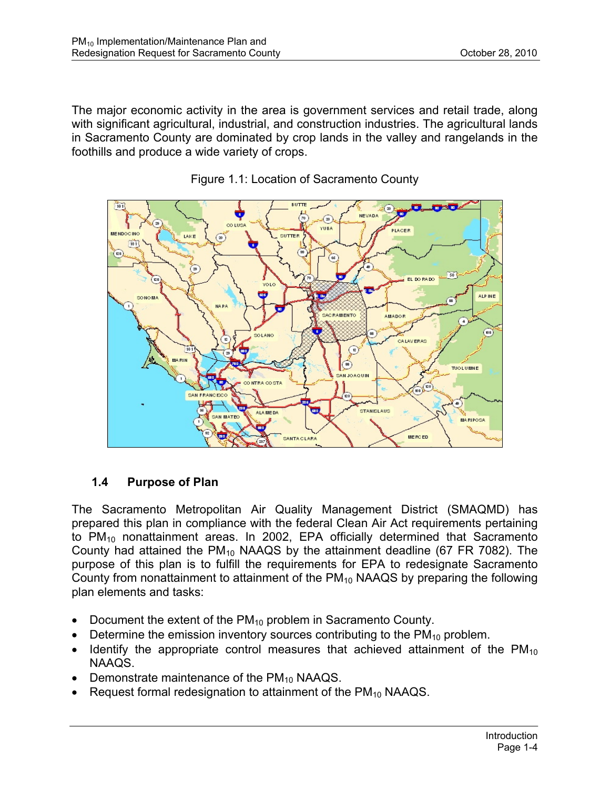The major economic activity in the area is government services and retail trade, along with significant agricultural, industrial, and construction industries. The agricultural lands in Sacramento County are dominated by crop lands in the valley and rangelands in the foothills and produce a wide variety of crops.





# **1.4 Purpose of Plan**

The Sacramento Metropolitan Air Quality Management District (SMAQMD) has prepared this plan in compliance with the federal Clean Air Act requirements pertaining to  $PM_{10}$  nonattainment areas. In 2002, EPA officially determined that Sacramento County had attained the  $PM_{10}$  NAAQS by the attainment deadline (67 FR 7082). The purpose of this plan is to fulfill the requirements for EPA to redesignate Sacramento County from nonattainment to attainment of the  $PM_{10}$  NAAQS by preparing the following plan elements and tasks:

- Document the extent of the  $PM_{10}$  problem in Sacramento County.
- Determine the emission inventory sources contributing to the  $PM_{10}$  problem.
- Identify the appropriate control measures that achieved attainment of the  $PM_{10}$ NAAQS.
- Demonstrate maintenance of the  $PM_{10}$  NAAQS.
- Request formal redesignation to attainment of the  $PM_{10}$  NAAQS.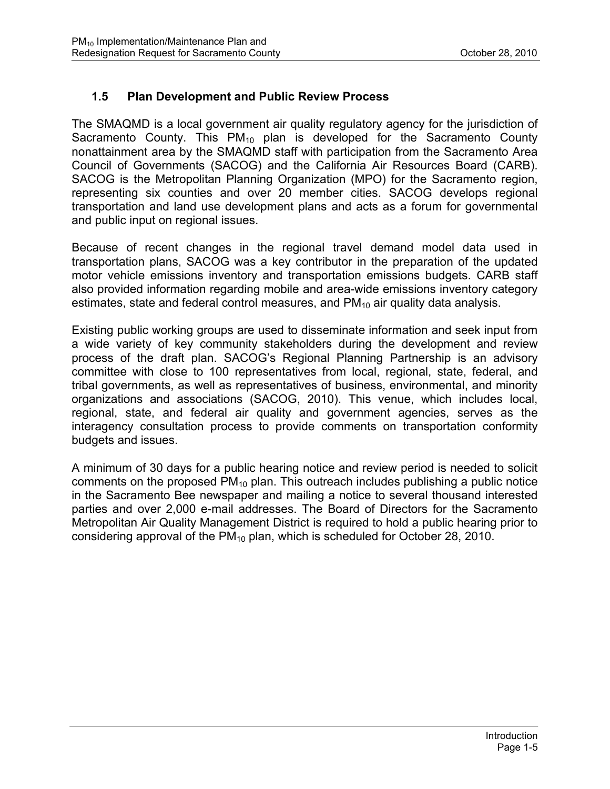#### **1.5 Plan Development and Public Review Process**

The SMAQMD is a local government air quality regulatory agency for the jurisdiction of Sacramento County. This  $PM_{10}$  plan is developed for the Sacramento County nonattainment area by the SMAQMD staff with participation from the Sacramento Area Council of Governments (SACOG) and the California Air Resources Board (CARB). SACOG is the Metropolitan Planning Organization (MPO) for the Sacramento region, representing six counties and over 20 member cities. SACOG develops regional transportation and land use development plans and acts as a forum for governmental and public input on regional issues.

Because of recent changes in the regional travel demand model data used in transportation plans, SACOG was a key contributor in the preparation of the updated motor vehicle emissions inventory and transportation emissions budgets. CARB staff also provided information regarding mobile and area-wide emissions inventory category estimates, state and federal control measures, and  $PM_{10}$  air quality data analysis.

Existing public working groups are used to disseminate information and seek input from a wide variety of key community stakeholders during the development and review process of the draft plan. SACOG's Regional Planning Partnership is an advisory committee with close to 100 representatives from local, regional, state, federal, and tribal governments, as well as representatives of business, environmental, and minority organizations and associations (SACOG, 2010). This venue, which includes local, regional, state, and federal air quality and government agencies, serves as the interagency consultation process to provide comments on transportation conformity budgets and issues.

A minimum of 30 days for a public hearing notice and review period is needed to solicit comments on the proposed  $PM_{10}$  plan. This outreach includes publishing a public notice in the Sacramento Bee newspaper and mailing a notice to several thousand interested parties and over 2,000 e-mail addresses. The Board of Directors for the Sacramento Metropolitan Air Quality Management District is required to hold a public hearing prior to considering approval of the  $PM_{10}$  plan, which is scheduled for October 28, 2010.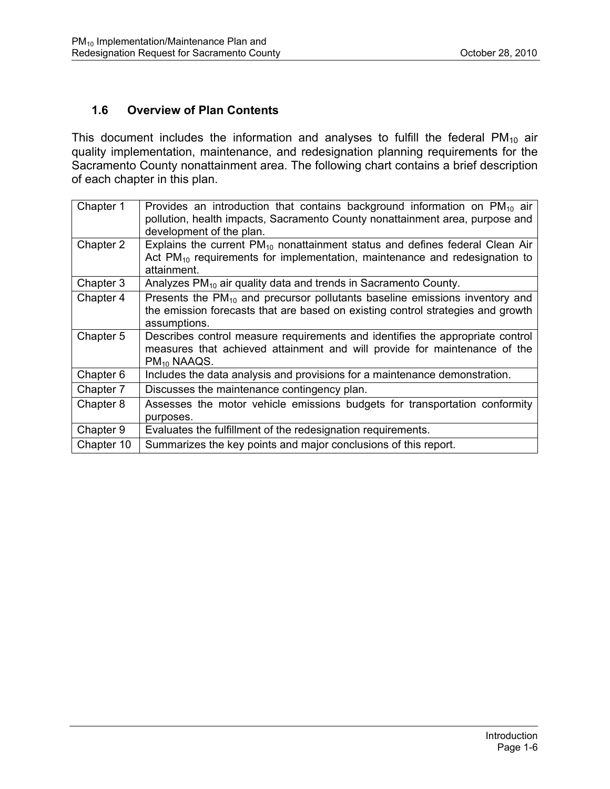#### **1.6 Overview of Plan Contents**

This document includes the information and analyses to fulfill the federal  $PM_{10}$  air quality implementation, maintenance, and redesignation planning requirements for the Sacramento County nonattainment area. The following chart contains a brief description of each chapter in this plan.

| Chapter 1  | Provides an introduction that contains background information on $PM_{10}$ air<br>pollution, health impacts, Sacramento County nonattainment area, purpose and<br>development of the plan. |
|------------|--------------------------------------------------------------------------------------------------------------------------------------------------------------------------------------------|
| Chapter 2  | Explains the current $PM_{10}$ nonattainment status and defines federal Clean Air<br>Act $PM_{10}$ requirements for implementation, maintenance and redesignation to<br>attainment.        |
| Chapter 3  | Analyzes PM <sub>10</sub> air quality data and trends in Sacramento County.                                                                                                                |
| Chapter 4  | Presents the $PM_{10}$ and precursor pollutants baseline emissions inventory and<br>the emission forecasts that are based on existing control strategies and growth<br>assumptions.        |
| Chapter 5  | Describes control measure requirements and identifies the appropriate control<br>measures that achieved attainment and will provide for maintenance of the<br>PM <sub>10</sub> NAAQS.      |
| Chapter 6  | Includes the data analysis and provisions for a maintenance demonstration.                                                                                                                 |
| Chapter 7  | Discusses the maintenance contingency plan.                                                                                                                                                |
| Chapter 8  | Assesses the motor vehicle emissions budgets for transportation conformity<br>purposes.                                                                                                    |
| Chapter 9  | Evaluates the fulfillment of the redesignation requirements.                                                                                                                               |
| Chapter 10 | Summarizes the key points and major conclusions of this report.                                                                                                                            |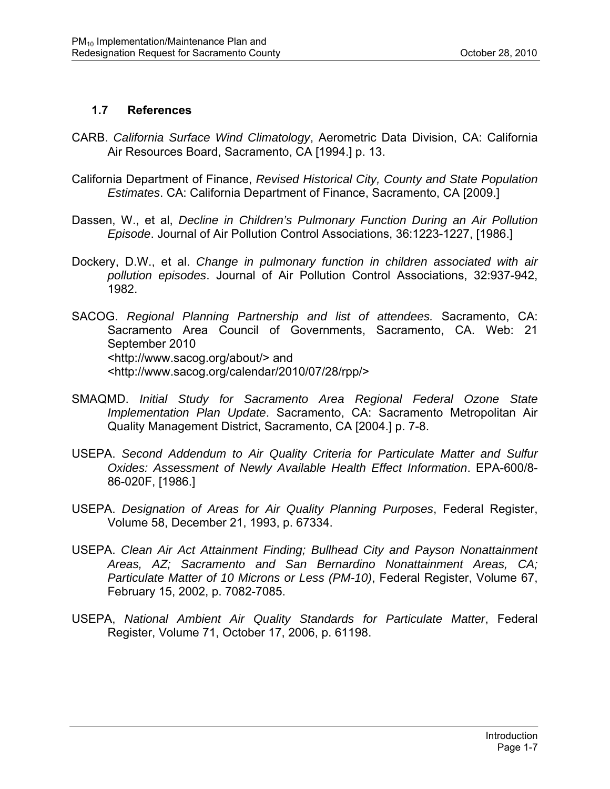#### **1.7 References**

- CARB. *California Surface Wind Climatology*, Aerometric Data Division, CA: California Air Resources Board, Sacramento, CA [1994.] p. 13.
- California Department of Finance, *Revised Historical City, County and State Population Estimates*. CA: California Department of Finance, Sacramento, CA [2009.]
- Dassen, W., et al, *Decline in Children's Pulmonary Function During an Air Pollution Episode*. Journal of Air Pollution Control Associations, 36:1223-1227, [1986.]
- Dockery, D.W., et al. *Change in pulmonary function in children associated with air pollution episodes*. Journal of Air Pollution Control Associations, 32:937-942, 1982.
- SACOG. *Regional Planning Partnership and list of attendees.* Sacramento, CA: Sacramento Area Council of Governments, Sacramento, CA. Web: 21 September 2010 <http://www.sacog.org/about/> and <http://www.sacog.org/calendar/2010/07/28/rpp/>
- SMAQMD. *Initial Study for Sacramento Area Regional Federal Ozone State Implementation Plan Update*. Sacramento, CA: Sacramento Metropolitan Air Quality Management District, Sacramento, CA [2004.] p. 7-8.
- USEPA. *Second Addendum to Air Quality Criteria for Particulate Matter and Sulfur Oxides: Assessment of Newly Available Health Effect Information*. EPA-600/8- 86-020F, [1986.]
- USEPA. *Designation of Areas for Air Quality Planning Purposes*, Federal Register, Volume 58, December 21, 1993, p. 67334.
- USEPA. *Clean Air Act Attainment Finding; Bullhead City and Payson Nonattainment Areas, AZ; Sacramento and San Bernardino Nonattainment Areas, CA; Particulate Matter of 10 Microns or Less (PM-10)*, Federal Register, Volume 67, February 15, 2002, p. 7082-7085.
- USEPA, *National Ambient Air Quality Standards for Particulate Matter*, Federal Register, Volume 71, October 17, 2006, p. 61198.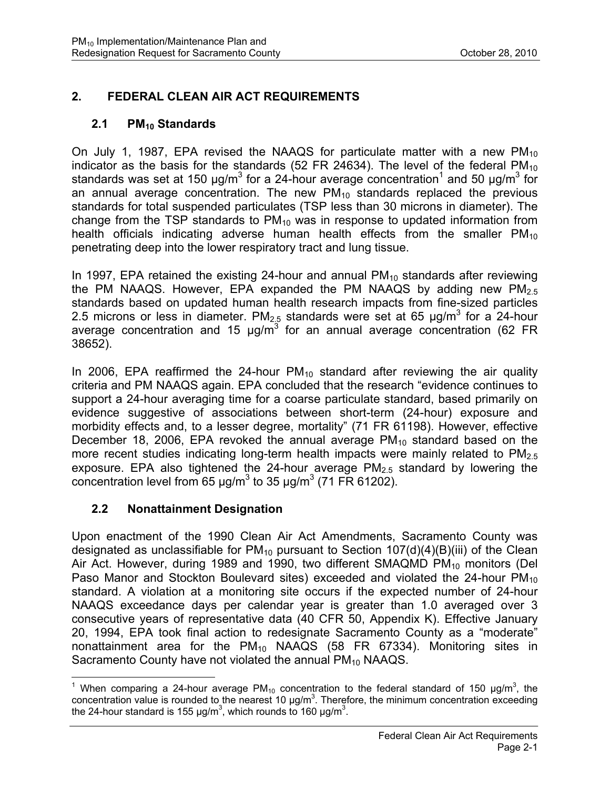# **2. FEDERAL CLEAN AIR ACT REQUIREMENTS**

### 2.1 PM<sub>10</sub> Standards

On July 1, 1987, EPA revised the NAAQS for particulate matter with a new  $PM_{10}$ indicator as the basis for the standards  $(52 \text{ FR } 24634)$ . The level of the federal PM<sub>10</sub> standards was set at 150  $\mu$ g/m<sup>3</sup> for a 24-hour average concentration<sup>1</sup> and 50  $\mu$ g/m<sup>3</sup> for an annual average concentration. The new  $PM_{10}$  standards replaced the previous standards for total suspended particulates (TSP less than 30 microns in diameter). The change from the TSP standards to  $PM_{10}$  was in response to updated information from health officials indicating adverse human health effects from the smaller  $PM_{10}$ penetrating deep into the lower respiratory tract and lung tissue.

In 1997, EPA retained the existing 24-hour and annual  $PM_{10}$  standards after reviewing the PM NAAQS. However, EPA expanded the PM NAAQS by adding new  $PM<sub>2.5</sub>$ standards based on updated human health research impacts from fine-sized particles 2.5 microns or less in diameter. PM<sub>2.5</sub> standards were set at 65  $\mu$ g/m<sup>3</sup> for a 24-hour average concentration and 15  $\mu$ g/m<sup>3</sup> for an annual average concentration (62 FR 38652).

In 2006, EPA reaffirmed the 24-hour  $PM_{10}$  standard after reviewing the air quality criteria and PM NAAQS again. EPA concluded that the research "evidence continues to support a 24-hour averaging time for a coarse particulate standard, based primarily on evidence suggestive of associations between short-term (24-hour) exposure and morbidity effects and, to a lesser degree, mortality" (71 FR 61198). However, effective December 18, 2006, EPA revoked the annual average  $PM_{10}$  standard based on the more recent studies indicating long-term health impacts were mainly related to  $PM_{2.5}$ exposure. EPA also tightened the 24-hour average  $PM<sub>2.5</sub>$  standard by lowering the concentration level from 65  $\mu$ g/m<sup>3</sup> to 35  $\mu$ g/m<sup>3</sup> (71 FR 61202).

# **2.2 Nonattainment Designation**

Upon enactment of the 1990 Clean Air Act Amendments, Sacramento County was designated as unclassifiable for  $PM_{10}$  pursuant to Section 107(d)(4)(B)(iii) of the Clean Air Act. However, during 1989 and 1990, two different SMAQMD  $PM_{10}$  monitors (Del Paso Manor and Stockton Boulevard sites) exceeded and violated the 24-hour  $PM_{10}$ standard. A violation at a monitoring site occurs if the expected number of 24-hour NAAQS exceedance days per calendar year is greater than 1.0 averaged over 3 consecutive years of representative data (40 CFR 50, Appendix K). Effective January 20, 1994, EPA took final action to redesignate Sacramento County as a "moderate" nonattainment area for the  $PM_{10}$  NAAQS (58 FR 67334). Monitoring sites in Sacramento County have not violated the annual  $PM_{10}$  NAAQS.

<sup>1</sup> <sup>1</sup> When comparing a 24-hour average PM<sub>10</sub> concentration to the federal standard of 150  $\mu$ g/m<sup>3</sup>, the concentration value is rounded to the nearest 10  $\mu$ g/m<sup>3</sup>. Therefore, the minimum concentration exceeding the 24-hour standard is 155  $\mu$ g/m<sup>3</sup>, which rounds to 160  $\mu$ g/m<sup>3</sup>.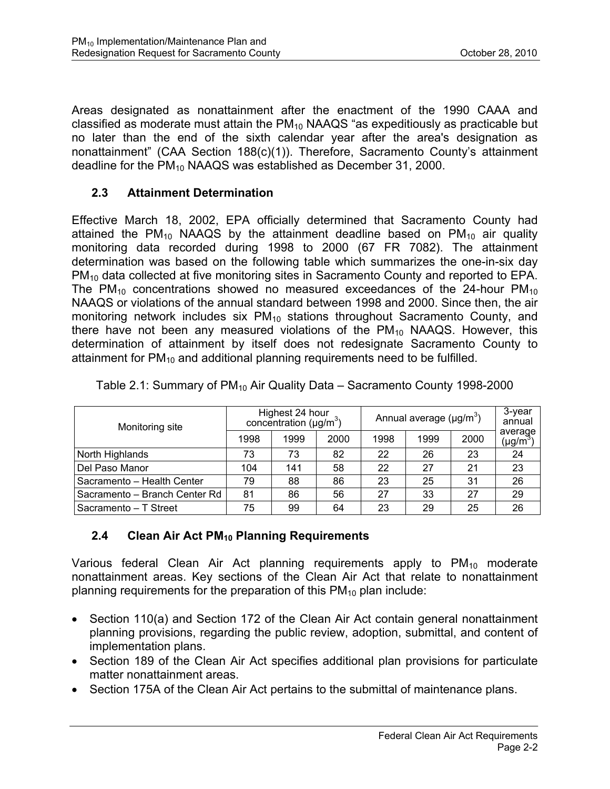Areas designated as nonattainment after the enactment of the 1990 CAAA and classified as moderate must attain the  $PM_{10}$  NAAQS "as expeditiously as practicable but no later than the end of the sixth calendar year after the area's designation as nonattainment" (CAA Section 188(c)(1)). Therefore, Sacramento County's attainment deadline for the PM<sub>10</sub> NAAQS was established as December 31, 2000.

# **2.3 Attainment Determination**

Effective March 18, 2002, EPA officially determined that Sacramento County had attained the PM<sub>10</sub> NAAQS by the attainment deadline based on PM<sub>10</sub> air quality monitoring data recorded during 1998 to 2000 (67 FR 7082). The attainment determination was based on the following table which summarizes the one-in-six day PM<sub>10</sub> data collected at five monitoring sites in Sacramento County and reported to EPA. The  $PM_{10}$  concentrations showed no measured exceedances of the 24-hour  $PM_{10}$ NAAQS or violations of the annual standard between 1998 and 2000. Since then, the air monitoring network includes six  $PM_{10}$  stations throughout Sacramento County, and there have not been any measured violations of the  $PM_{10}$  NAAQS. However, this determination of attainment by itself does not redesignate Sacramento County to attainment for  $PM_{10}$  and additional planning requirements need to be fulfilled.

| Monitoring site               | Highest 24 hour<br>concentration ( $\mu$ g/m <sup>3</sup> ) |      |      | Annual average $(\mu g/m^3)$ |      |      | 3-year<br>annual         |
|-------------------------------|-------------------------------------------------------------|------|------|------------------------------|------|------|--------------------------|
|                               | 1998                                                        | 1999 | 2000 | 1998                         | 1999 | 2000 | average<br>$(\mu g/m^3)$ |
| North Highlands               | 73                                                          | 73   | 82   | 22                           | 26   | 23   | 24                       |
| Del Paso Manor                | 104                                                         | 141  | 58   | 22                           | 27   | 21   | 23                       |
| Sacramento - Health Center    | 79                                                          | 88   | 86   | 23                           | 25   | 31   | 26                       |
| Sacramento - Branch Center Rd | 81                                                          | 86   | 56   | 27                           | 33   | 27   | 29                       |
| Sacramento - T Street         | 75                                                          | 99   | 64   | 23                           | 29   | 25   | 26                       |

Table 2.1: Summary of  $PM_{10}$  Air Quality Data – Sacramento County 1998-2000

# **2.4 Clean Air Act PM10 Planning Requirements**

Various federal Clean Air Act planning requirements apply to  $PM_{10}$  moderate nonattainment areas. Key sections of the Clean Air Act that relate to nonattainment planning requirements for the preparation of this  $PM_{10}$  plan include:

- Section 110(a) and Section 172 of the Clean Air Act contain general nonattainment planning provisions, regarding the public review, adoption, submittal, and content of implementation plans.
- Section 189 of the Clean Air Act specifies additional plan provisions for particulate matter nonattainment areas.
- Section 175A of the Clean Air Act pertains to the submittal of maintenance plans.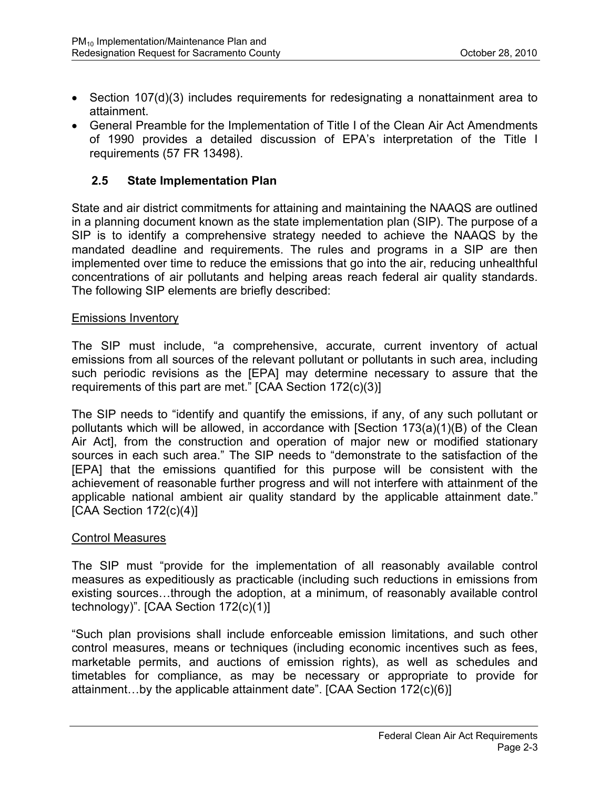- Section 107(d)(3) includes requirements for redesignating a nonattainment area to attainment.
- General Preamble for the Implementation of Title I of the Clean Air Act Amendments of 1990 provides a detailed discussion of EPA's interpretation of the Title I requirements (57 FR 13498).

#### **2.5 State Implementation Plan**

State and air district commitments for attaining and maintaining the NAAQS are outlined in a planning document known as the state implementation plan (SIP). The purpose of a SIP is to identify a comprehensive strategy needed to achieve the NAAQS by the mandated deadline and requirements. The rules and programs in a SIP are then implemented over time to reduce the emissions that go into the air, reducing unhealthful concentrations of air pollutants and helping areas reach federal air quality standards. The following SIP elements are briefly described:

#### Emissions Inventory

The SIP must include, "a comprehensive, accurate, current inventory of actual emissions from all sources of the relevant pollutant or pollutants in such area, including such periodic revisions as the [EPA] may determine necessary to assure that the requirements of this part are met." [CAA Section 172(c)(3)]

The SIP needs to "identify and quantify the emissions, if any, of any such pollutant or pollutants which will be allowed, in accordance with [Section 173(a)(1)(B) of the Clean Air Act], from the construction and operation of major new or modified stationary sources in each such area." The SIP needs to "demonstrate to the satisfaction of the [EPA] that the emissions quantified for this purpose will be consistent with the achievement of reasonable further progress and will not interfere with attainment of the applicable national ambient air quality standard by the applicable attainment date."  $[CAA Section 172(c)(4)]$ 

#### Control Measures

The SIP must "provide for the implementation of all reasonably available control measures as expeditiously as practicable (including such reductions in emissions from existing sources…through the adoption, at a minimum, of reasonably available control technology)". [CAA Section 172(c)(1)]

"Such plan provisions shall include enforceable emission limitations, and such other control measures, means or techniques (including economic incentives such as fees, marketable permits, and auctions of emission rights), as well as schedules and timetables for compliance, as may be necessary or appropriate to provide for attainment…by the applicable attainment date". [CAA Section 172(c)(6)]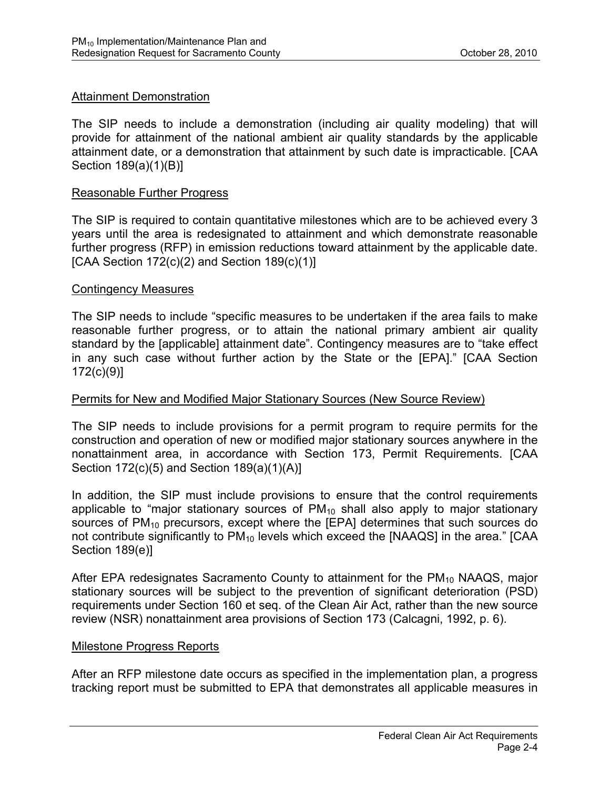#### Attainment Demonstration

The SIP needs to include a demonstration (including air quality modeling) that will provide for attainment of the national ambient air quality standards by the applicable attainment date, or a demonstration that attainment by such date is impracticable. [CAA Section 189(a)(1)(B)]

#### Reasonable Further Progress

The SIP is required to contain quantitative milestones which are to be achieved every 3 years until the area is redesignated to attainment and which demonstrate reasonable further progress (RFP) in emission reductions toward attainment by the applicable date. [CAA Section  $172(c)(2)$  and Section  $189(c)(1)$ ]

#### Contingency Measures

The SIP needs to include "specific measures to be undertaken if the area fails to make reasonable further progress, or to attain the national primary ambient air quality standard by the [applicable] attainment date". Contingency measures are to "take effect in any such case without further action by the State or the [EPA]." [CAA Section 172(c)(9)]

#### Permits for New and Modified Major Stationary Sources (New Source Review)

The SIP needs to include provisions for a permit program to require permits for the construction and operation of new or modified major stationary sources anywhere in the nonattainment area, in accordance with Section 173, Permit Requirements. [CAA Section 172(c)(5) and Section 189(a)(1)(A)]

In addition, the SIP must include provisions to ensure that the control requirements applicable to "major stationary sources of  $PM_{10}$  shall also apply to major stationary sources of  $PM_{10}$  precursors, except where the [EPA] determines that such sources do not contribute significantly to  $PM_{10}$  levels which exceed the [NAAQS] in the area." [CAA Section 189(e)]

After EPA redesignates Sacramento County to attainment for the  $PM_{10}$  NAAQS, major stationary sources will be subject to the prevention of significant deterioration (PSD) requirements under Section 160 et seq. of the Clean Air Act, rather than the new source review (NSR) nonattainment area provisions of Section 173 (Calcagni, 1992, p. 6).

#### Milestone Progress Reports

After an RFP milestone date occurs as specified in the implementation plan, a progress tracking report must be submitted to EPA that demonstrates all applicable measures in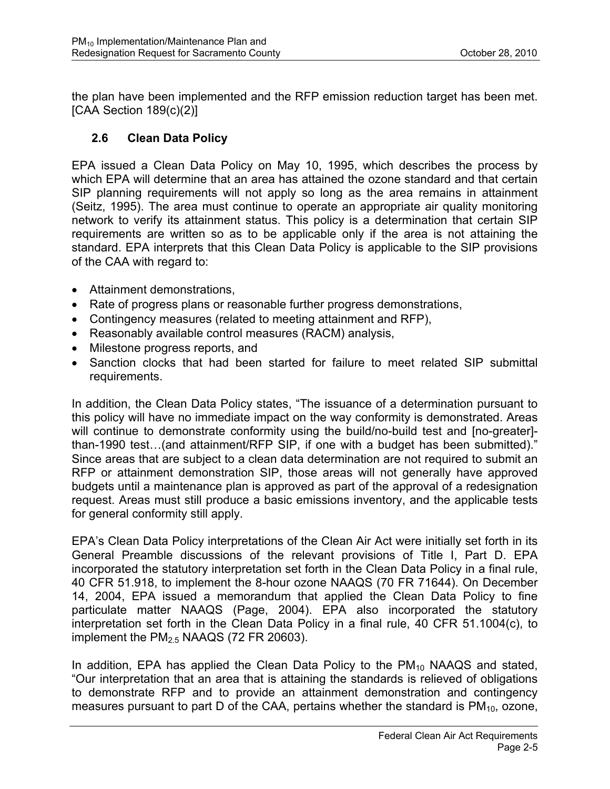the plan have been implemented and the RFP emission reduction target has been met. [CAA Section 189(c)(2)]

# **2.6 Clean Data Policy**

EPA issued a Clean Data Policy on May 10, 1995, which describes the process by which EPA will determine that an area has attained the ozone standard and that certain SIP planning requirements will not apply so long as the area remains in attainment (Seitz, 1995). The area must continue to operate an appropriate air quality monitoring network to verify its attainment status. This policy is a determination that certain SIP requirements are written so as to be applicable only if the area is not attaining the standard. EPA interprets that this Clean Data Policy is applicable to the SIP provisions of the CAA with regard to:

- Attainment demonstrations,
- Rate of progress plans or reasonable further progress demonstrations,
- Contingency measures (related to meeting attainment and RFP),
- Reasonably available control measures (RACM) analysis,
- Milestone progress reports, and
- Sanction clocks that had been started for failure to meet related SIP submittal requirements.

In addition, the Clean Data Policy states, "The issuance of a determination pursuant to this policy will have no immediate impact on the way conformity is demonstrated. Areas will continue to demonstrate conformity using the build/no-build test and [no-greater] than-1990 test…(and attainment/RFP SIP, if one with a budget has been submitted)." Since areas that are subject to a clean data determination are not required to submit an RFP or attainment demonstration SIP, those areas will not generally have approved budgets until a maintenance plan is approved as part of the approval of a redesignation request. Areas must still produce a basic emissions inventory, and the applicable tests for general conformity still apply.

EPA's Clean Data Policy interpretations of the Clean Air Act were initially set forth in its General Preamble discussions of the relevant provisions of Title I, Part D. EPA incorporated the statutory interpretation set forth in the Clean Data Policy in a final rule, 40 CFR 51.918, to implement the 8-hour ozone NAAQS (70 FR 71644). On December 14, 2004, EPA issued a memorandum that applied the Clean Data Policy to fine particulate matter NAAQS (Page, 2004). EPA also incorporated the statutory interpretation set forth in the Clean Data Policy in a final rule, 40 CFR 51.1004(c), to implement the  $PM<sub>2.5</sub> NAAGS (72 FR 20603).$ 

In addition, EPA has applied the Clean Data Policy to the  $PM_{10}$  NAAQS and stated, "Our interpretation that an area that is attaining the standards is relieved of obligations to demonstrate RFP and to provide an attainment demonstration and contingency measures pursuant to part D of the CAA, pertains whether the standard is  $PM_{10}$ , ozone,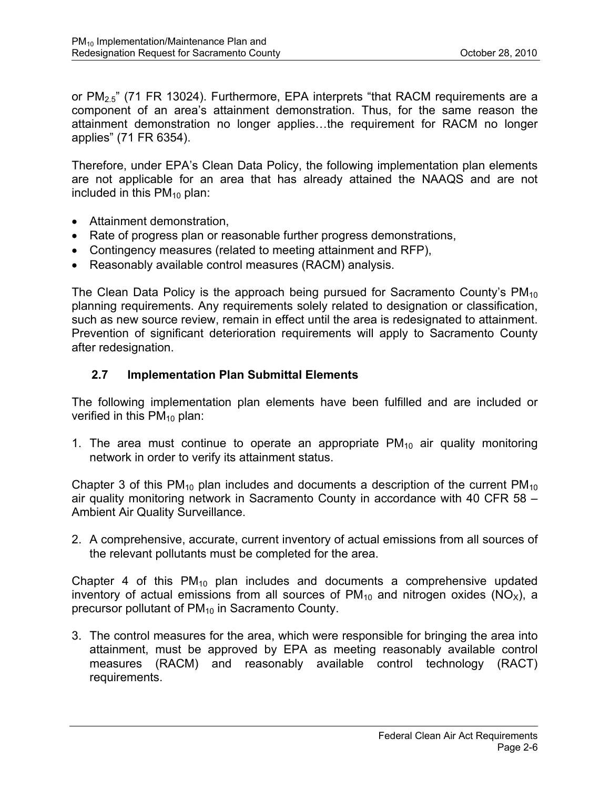or  $PM_{2.5}$ " (71 FR 13024). Furthermore, EPA interprets "that RACM requirements are a component of an area's attainment demonstration. Thus, for the same reason the attainment demonstration no longer applies…the requirement for RACM no longer applies" (71 FR 6354).

Therefore, under EPA's Clean Data Policy, the following implementation plan elements are not applicable for an area that has already attained the NAAQS and are not included in this  $PM_{10}$  plan:

- Attainment demonstration,
- Rate of progress plan or reasonable further progress demonstrations,
- Contingency measures (related to meeting attainment and RFP),
- Reasonably available control measures (RACM) analysis.

The Clean Data Policy is the approach being pursued for Sacramento County's  $PM_{10}$ planning requirements. Any requirements solely related to designation or classification, such as new source review, remain in effect until the area is redesignated to attainment. Prevention of significant deterioration requirements will apply to Sacramento County after redesignation.

#### **2.7 Implementation Plan Submittal Elements**

The following implementation plan elements have been fulfilled and are included or verified in this  $PM_{10}$  plan:

1. The area must continue to operate an appropriate  $PM_{10}$  air quality monitoring network in order to verify its attainment status.

Chapter 3 of this  $PM_{10}$  plan includes and documents a description of the current  $PM_{10}$ air quality monitoring network in Sacramento County in accordance with 40 CFR 58 – Ambient Air Quality Surveillance.

2. A comprehensive, accurate, current inventory of actual emissions from all sources of the relevant pollutants must be completed for the area.

Chapter 4 of this  $PM_{10}$  plan includes and documents a comprehensive updated inventory of actual emissions from all sources of  $PM_{10}$  and nitrogen oxides (NO<sub>x</sub>), a precursor pollutant of  $PM_{10}$  in Sacramento County.

3. The control measures for the area, which were responsible for bringing the area into attainment, must be approved by EPA as meeting reasonably available control measures (RACM) and reasonably available control technology (RACT) requirements.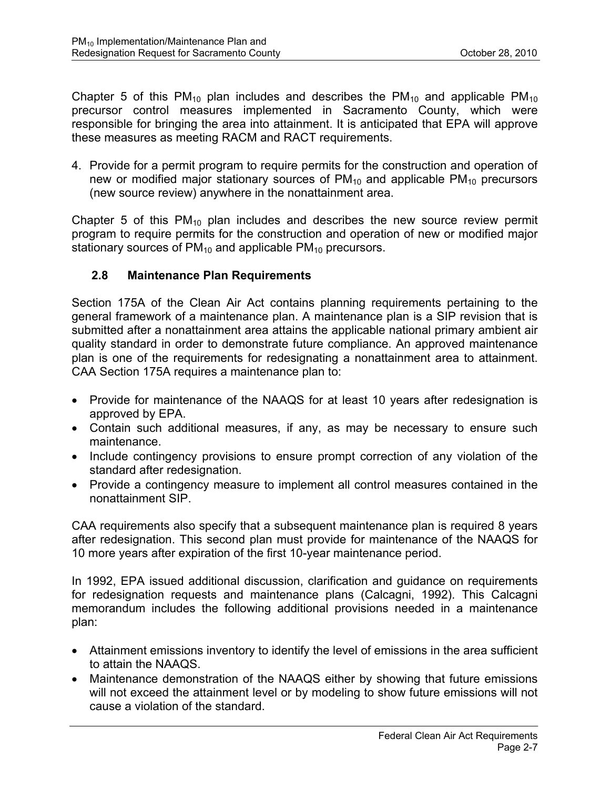Chapter 5 of this  $PM_{10}$  plan includes and describes the  $PM_{10}$  and applicable  $PM_{10}$ precursor control measures implemented in Sacramento County, which were responsible for bringing the area into attainment. It is anticipated that EPA will approve these measures as meeting RACM and RACT requirements.

4. Provide for a permit program to require permits for the construction and operation of new or modified major stationary sources of  $PM_{10}$  and applicable  $PM_{10}$  precursors (new source review) anywhere in the nonattainment area.

Chapter 5 of this  $PM_{10}$  plan includes and describes the new source review permit program to require permits for the construction and operation of new or modified major stationary sources of  $PM_{10}$  and applicable  $PM_{10}$  precursors.

#### **2.8 Maintenance Plan Requirements**

Section 175A of the Clean Air Act contains planning requirements pertaining to the general framework of a maintenance plan. A maintenance plan is a SIP revision that is submitted after a nonattainment area attains the applicable national primary ambient air quality standard in order to demonstrate future compliance. An approved maintenance plan is one of the requirements for redesignating a nonattainment area to attainment. CAA Section 175A requires a maintenance plan to:

- Provide for maintenance of the NAAQS for at least 10 years after redesignation is approved by EPA.
- Contain such additional measures, if any, as may be necessary to ensure such maintenance.
- Include contingency provisions to ensure prompt correction of any violation of the standard after redesignation.
- Provide a contingency measure to implement all control measures contained in the nonattainment SIP.

CAA requirements also specify that a subsequent maintenance plan is required 8 years after redesignation. This second plan must provide for maintenance of the NAAQS for 10 more years after expiration of the first 10-year maintenance period.

In 1992, EPA issued additional discussion, clarification and guidance on requirements for redesignation requests and maintenance plans (Calcagni, 1992). This Calcagni memorandum includes the following additional provisions needed in a maintenance plan:

- Attainment emissions inventory to identify the level of emissions in the area sufficient to attain the NAAQS.
- Maintenance demonstration of the NAAQS either by showing that future emissions will not exceed the attainment level or by modeling to show future emissions will not cause a violation of the standard.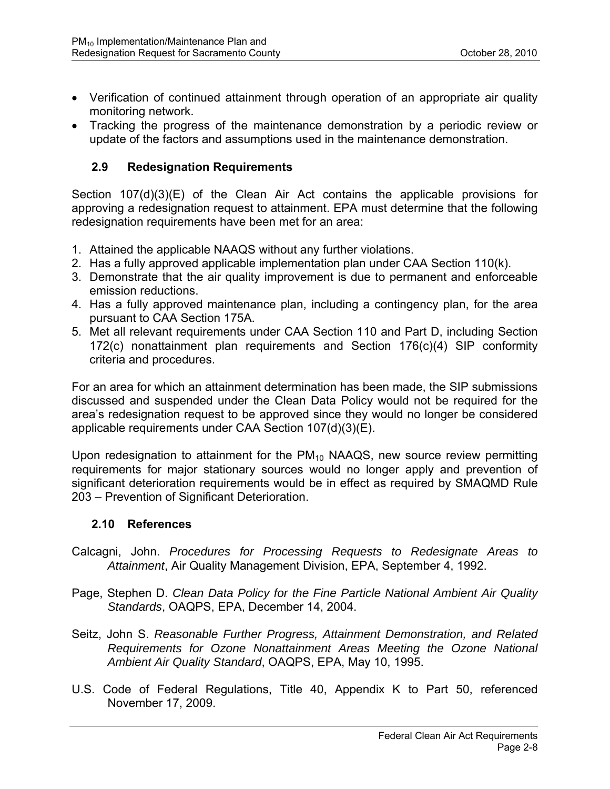- Verification of continued attainment through operation of an appropriate air quality monitoring network.
- Tracking the progress of the maintenance demonstration by a periodic review or update of the factors and assumptions used in the maintenance demonstration.

#### **2.9 Redesignation Requirements**

Section 107(d)(3)(E) of the Clean Air Act contains the applicable provisions for approving a redesignation request to attainment. EPA must determine that the following redesignation requirements have been met for an area:

- 1. Attained the applicable NAAQS without any further violations.
- 2. Has a fully approved applicable implementation plan under CAA Section 110(k).
- 3. Demonstrate that the air quality improvement is due to permanent and enforceable emission reductions.
- 4. Has a fully approved maintenance plan, including a contingency plan, for the area pursuant to CAA Section 175A.
- 5. Met all relevant requirements under CAA Section 110 and Part D, including Section 172(c) nonattainment plan requirements and Section 176(c)(4) SIP conformity criteria and procedures.

For an area for which an attainment determination has been made, the SIP submissions discussed and suspended under the Clean Data Policy would not be required for the area's redesignation request to be approved since they would no longer be considered applicable requirements under CAA Section 107(d)(3)(E).

Upon redesignation to attainment for the  $PM_{10}$  NAAQS, new source review permitting requirements for major stationary sources would no longer apply and prevention of significant deterioration requirements would be in effect as required by SMAQMD Rule 203 – Prevention of Significant Deterioration.

#### **2.10 References**

- Calcagni, John. *Procedures for Processing Requests to Redesignate Areas to Attainment*, Air Quality Management Division, EPA, September 4, 1992.
- Page, Stephen D. *Clean Data Policy for the Fine Particle National Ambient Air Quality Standards*, OAQPS, EPA, December 14, 2004.
- Seitz, John S. *Reasonable Further Progress, Attainment Demonstration, and Related Requirements for Ozone Nonattainment Areas Meeting the Ozone National Ambient Air Quality Standard*, OAQPS, EPA, May 10, 1995.
- U.S. Code of Federal Regulations, Title 40, Appendix K to Part 50, referenced November 17, 2009.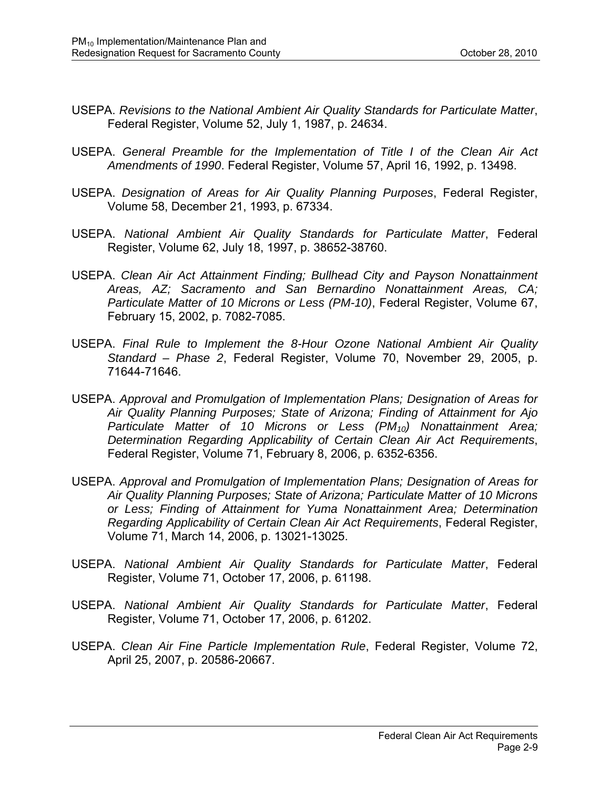- USEPA. *Revisions to the National Ambient Air Quality Standards for Particulate Matter*, Federal Register, Volume 52, July 1, 1987, p. 24634.
- USEPA. *General Preamble for the Implementation of Title I of the Clean Air Act Amendments of 1990*. Federal Register, Volume 57, April 16, 1992, p. 13498.
- USEPA. *Designation of Areas for Air Quality Planning Purposes*, Federal Register, Volume 58, December 21, 1993, p. 67334.
- USEPA. *National Ambient Air Quality Standards for Particulate Matter*, Federal Register, Volume 62, July 18, 1997, p. 38652-38760.
- USEPA. *Clean Air Act Attainment Finding; Bullhead City and Payson Nonattainment Areas, AZ; Sacramento and San Bernardino Nonattainment Areas, CA; Particulate Matter of 10 Microns or Less (PM-10)*, Federal Register, Volume 67, February 15, 2002, p. 7082-7085.
- USEPA. *Final Rule to Implement the 8-Hour Ozone National Ambient Air Quality Standard – Phase 2*, Federal Register, Volume 70, November 29, 2005, p. 71644-71646.
- USEPA. *Approval and Promulgation of Implementation Plans; Designation of Areas for Air Quality Planning Purposes; State of Arizona; Finding of Attainment for Ajo Particulate Matter of 10 Microns or Less (PM10) Nonattainment Area; Determination Regarding Applicability of Certain Clean Air Act Requirements*, Federal Register, Volume 71, February 8, 2006, p. 6352-6356.
- USEPA. *Approval and Promulgation of Implementation Plans; Designation of Areas for Air Quality Planning Purposes; State of Arizona; Particulate Matter of 10 Microns or Less; Finding of Attainment for Yuma Nonattainment Area; Determination Regarding Applicability of Certain Clean Air Act Requirements*, Federal Register, Volume 71, March 14, 2006, p. 13021-13025.
- USEPA. *National Ambient Air Quality Standards for Particulate Matter*, Federal Register, Volume 71, October 17, 2006, p. 61198.
- USEPA. *National Ambient Air Quality Standards for Particulate Matter*, Federal Register, Volume 71, October 17, 2006, p. 61202.
- USEPA. *Clean Air Fine Particle Implementation Rule*, Federal Register, Volume 72, April 25, 2007, p. 20586-20667.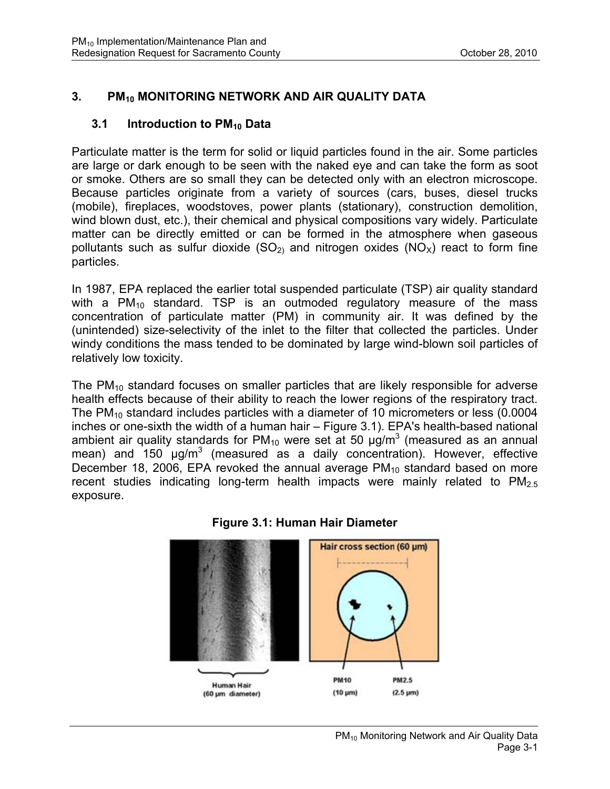# **3. PM10 MONITORING NETWORK AND AIR QUALITY DATA**

#### **3.1 Introduction to PM<sub>10</sub> Data**

Particulate matter is the term for solid or liquid particles found in the air. Some particles are large or dark enough to be seen with the naked eye and can take the form as soot or smoke. Others are so small they can be detected only with an electron microscope. Because particles originate from a variety of sources (cars, buses, diesel trucks (mobile), fireplaces, woodstoves, power plants (stationary), construction demolition, wind blown dust, etc.), their chemical and physical compositions vary widely. Particulate matter can be directly emitted or can be formed in the atmosphere when gaseous pollutants such as sulfur dioxide  $(SO<sub>2</sub>)$  and nitrogen oxides  $(NO<sub>X</sub>)$  react to form fine particles.

In 1987, EPA replaced the earlier total suspended particulate (TSP) air quality standard with a  $PM_{10}$  standard. TSP is an outmoded regulatory measure of the mass concentration of particulate matter (PM) in community air. It was defined by the (unintended) size-selectivity of the inlet to the filter that collected the particles. Under windy conditions the mass tended to be dominated by large wind-blown soil particles of relatively low toxicity.

The  $PM_{10}$  standard focuses on smaller particles that are likely responsible for adverse health effects because of their ability to reach the lower regions of the respiratory tract. The  $PM_{10}$  standard includes particles with a diameter of 10 micrometers or less (0.0004 inches or one-sixth the width of a human hair – Figure 3.1). EPA's health-based national ambient air quality standards for PM<sub>10</sub> were set at 50  $\mu$ g/m<sup>3</sup> (measured as an annual mean) and 150 µg/m<sup>3</sup> (measured as a daily concentration). However, effective December 18, 2006, EPA revoked the annual average  $PM_{10}$  standard based on more recent studies indicating long-term health impacts were mainly related to  $PM_{2.5}$ exposure.



#### **Figure 3.1: Human Hair Diameter**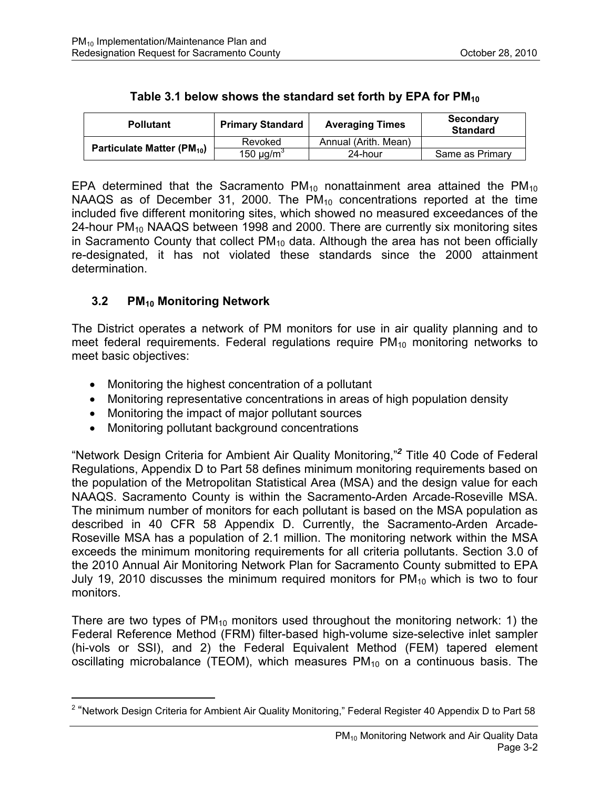| <b>Pollutant</b>                       | <b>Primary Standard</b>    | <b>Averaging Times</b> | <b>Secondary</b><br><b>Standard</b> |  |
|----------------------------------------|----------------------------|------------------------|-------------------------------------|--|
| Particulate Matter (PM <sub>10</sub> ) | Revoked                    | Annual (Arith, Mean)   |                                     |  |
|                                        | 150 $\mu$ g/m <sup>3</sup> | 24-hour                | Same as Primary                     |  |

EPA determined that the Sacramento  $PM_{10}$  nonattainment area attained the  $PM_{10}$ NAAQS as of December 31, 2000. The  $PM_{10}$  concentrations reported at the time included five different monitoring sites, which showed no measured exceedances of the 24-hour  $PM_{10}$  NAAQS between 1998 and 2000. There are currently six monitoring sites in Sacramento County that collect  $PM_{10}$  data. Although the area has not been officially re-designated, it has not violated these standards since the 2000 attainment determination.

# **3.2 PM<sub>10</sub> Monitoring Network**

 $\overline{a}$ 

The District operates a network of PM monitors for use in air quality planning and to meet federal requirements. Federal regulations require  $PM_{10}$  monitoring networks to meet basic objectives:

- Monitoring the highest concentration of a pollutant
- Monitoring representative concentrations in areas of high population density
- Monitoring the impact of major pollutant sources
- Monitoring pollutant background concentrations

"Network Design Criteria for Ambient Air Quality Monitoring,"*<sup>2</sup>* Title 40 Code of Federal Regulations, Appendix D to Part 58 defines minimum monitoring requirements based on the population of the Metropolitan Statistical Area (MSA) and the design value for each NAAQS. Sacramento County is within the Sacramento-Arden Arcade-Roseville MSA. The minimum number of monitors for each pollutant is based on the MSA population as described in 40 CFR 58 Appendix D. Currently, the Sacramento-Arden Arcade-Roseville MSA has a population of 2.1 million. The monitoring network within the MSA exceeds the minimum monitoring requirements for all criteria pollutants. Section 3.0 of the 2010 Annual Air Monitoring Network Plan for Sacramento County submitted to EPA July 19, 2010 discusses the minimum required monitors for  $PM_{10}$  which is two to four monitors.

There are two types of  $PM_{10}$  monitors used throughout the monitoring network: 1) the Federal Reference Method (FRM) filter-based high-volume size-selective inlet sampler (hi-vols or SSI), and 2) the Federal Equivalent Method (FEM) tapered element oscillating microbalance (TEOM), which measures  $PM_{10}$  on a continuous basis. The

<sup>&</sup>lt;sup>2</sup> "Network Design Criteria for Ambient Air Quality Monitoring," Federal Register 40 Appendix D to Part 58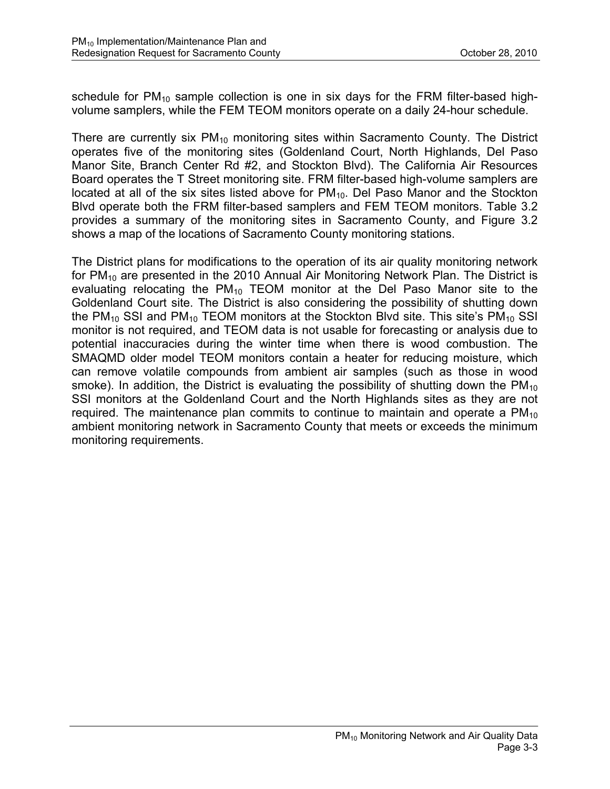schedule for  $PM_{10}$  sample collection is one in six days for the FRM filter-based highvolume samplers, while the FEM TEOM monitors operate on a daily 24-hour schedule.

There are currently six  $PM_{10}$  monitoring sites within Sacramento County. The District operates five of the monitoring sites (Goldenland Court, North Highlands, Del Paso Manor Site, Branch Center Rd #2, and Stockton Blvd). The California Air Resources Board operates the T Street monitoring site. FRM filter-based high-volume samplers are located at all of the six sites listed above for  $PM_{10}$ . Del Paso Manor and the Stockton Blvd operate both the FRM filter-based samplers and FEM TEOM monitors. Table 3.2 provides a summary of the monitoring sites in Sacramento County, and Figure 3.2 shows a map of the locations of Sacramento County monitoring stations.

The District plans for modifications to the operation of its air quality monitoring network for  $PM_{10}$  are presented in the 2010 Annual Air Monitoring Network Plan. The District is evaluating relocating the  $PM_{10}$  TEOM monitor at the Del Paso Manor site to the Goldenland Court site. The District is also considering the possibility of shutting down the PM<sub>10</sub> SSI and PM<sub>10</sub> TEOM monitors at the Stockton Blvd site. This site's PM<sub>10</sub> SSI monitor is not required, and TEOM data is not usable for forecasting or analysis due to potential inaccuracies during the winter time when there is wood combustion. The SMAQMD older model TEOM monitors contain a heater for reducing moisture, which can remove volatile compounds from ambient air samples (such as those in wood smoke). In addition, the District is evaluating the possibility of shutting down the  $PM_{10}$ SSI monitors at the Goldenland Court and the North Highlands sites as they are not required. The maintenance plan commits to continue to maintain and operate a  $PM_{10}$ ambient monitoring network in Sacramento County that meets or exceeds the minimum monitoring requirements.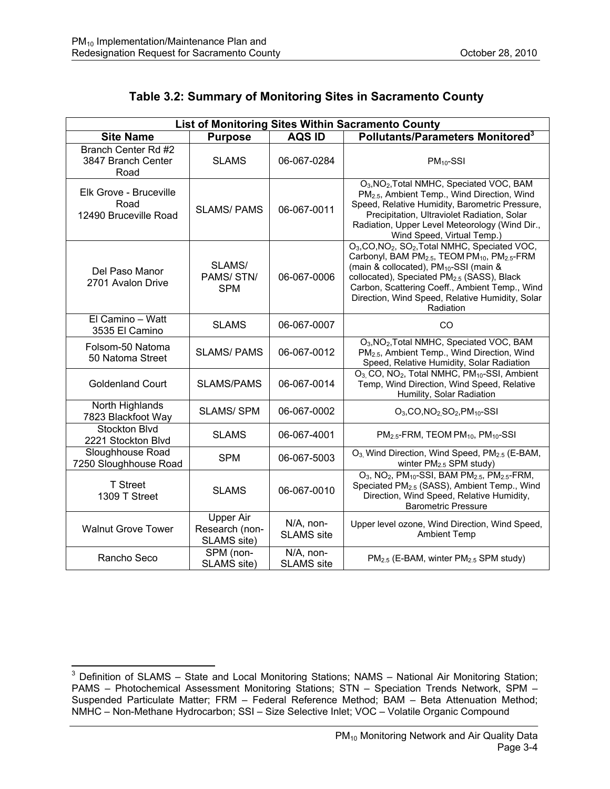# **Table 3.2: Summary of Monitoring Sites in Sacramento County**

| <b>List of Monitoring Sites Within Sacramento County</b> |                                                   |                                |                                                                                                                                                                                                                                                                                                                                                                                                           |  |  |  |
|----------------------------------------------------------|---------------------------------------------------|--------------------------------|-----------------------------------------------------------------------------------------------------------------------------------------------------------------------------------------------------------------------------------------------------------------------------------------------------------------------------------------------------------------------------------------------------------|--|--|--|
| <b>Site Name</b>                                         | <b>Purpose</b>                                    | <b>AQS ID</b>                  | Pollutants/Parameters Monitored <sup>3</sup>                                                                                                                                                                                                                                                                                                                                                              |  |  |  |
| Branch Center Rd #2<br>3847 Branch Center<br>Road        | <b>SLAMS</b>                                      | 06-067-0284                    | $PM_{10}$ -SSI                                                                                                                                                                                                                                                                                                                                                                                            |  |  |  |
| Elk Grove - Bruceville<br>Road<br>12490 Bruceville Road  | <b>SLAMS/PAMS</b>                                 | 06-067-0011                    | O <sub>3</sub> , NO <sub>2</sub> , Total NMHC, Speciated VOC, BAM<br>PM <sub>2.5</sub> , Ambient Temp., Wind Direction, Wind<br>Speed, Relative Humidity, Barometric Pressure,<br>Precipitation, Ultraviolet Radiation, Solar<br>Radiation, Upper Level Meteorology (Wind Dir.,<br>Wind Speed, Virtual Temp.)                                                                                             |  |  |  |
| Del Paso Manor<br>2701 Avalon Drive                      | SLAMS/<br>PAMS/STN/<br><b>SPM</b>                 | 06-067-0006                    | O <sub>3</sub> , CO, NO <sub>2</sub> , SO <sub>2</sub> , Total NMHC, Speciated VOC,<br>Carbonyl, BAM PM <sub>2.5</sub> , TEOM PM <sub>10</sub> , PM <sub>2.5</sub> -FRM<br>(main & collocated), PM <sub>10</sub> -SSI (main &<br>collocated), Speciated PM <sub>2.5</sub> (SASS), Black<br>Carbon, Scattering Coeff., Ambient Temp., Wind<br>Direction, Wind Speed, Relative Humidity, Solar<br>Radiation |  |  |  |
| El Camino - Watt<br>3535 El Camino                       | <b>SLAMS</b>                                      | 06-067-0007                    | CO                                                                                                                                                                                                                                                                                                                                                                                                        |  |  |  |
| Folsom-50 Natoma<br>50 Natoma Street                     | <b>SLAMS/PAMS</b>                                 | 06-067-0012                    | O <sub>3</sub> , NO <sub>2</sub> , Total NMHC, Speciated VOC, BAM<br>PM <sub>2.5</sub> , Ambient Temp., Wind Direction, Wind<br>Speed, Relative Humidity, Solar Radiation                                                                                                                                                                                                                                 |  |  |  |
| <b>Goldenland Court</b>                                  | <b>SLAMS/PAMS</b>                                 | 06-067-0014                    | O <sub>3</sub> , CO, NO <sub>2</sub> , Total NMHC, PM <sub>10</sub> -SSI, Ambient<br>Temp, Wind Direction, Wind Speed, Relative<br>Humility, Solar Radiation                                                                                                                                                                                                                                              |  |  |  |
| North Highlands<br>7823 Blackfoot Way                    | <b>SLAMS/SPM</b>                                  | 06-067-0002                    | $O_3$ , CO, NO <sub>2</sub> , SO <sub>2</sub> , PM <sub>10</sub> -SSI                                                                                                                                                                                                                                                                                                                                     |  |  |  |
| Stockton Blvd<br>2221 Stockton Blvd                      | <b>SLAMS</b>                                      | 06-067-4001                    | $PM2.5$ -FRM, TEOM PM <sub>10</sub> , PM <sub>10</sub> -SSI                                                                                                                                                                                                                                                                                                                                               |  |  |  |
| Sloughhouse Road<br>7250 Sloughhouse Road                | <b>SPM</b>                                        | 06-067-5003                    | O <sub>3</sub> , Wind Direction, Wind Speed, PM <sub>2.5</sub> (E-BAM,<br>winter $PM2.5$ SPM study)                                                                                                                                                                                                                                                                                                       |  |  |  |
| <b>T</b> Street<br>1309 T Street                         | <b>SLAMS</b>                                      | 06-067-0010                    | $O_3$ , NO <sub>2</sub> , PM <sub>10</sub> -SSI, BAM PM <sub>2.5</sub> , PM <sub>2.5</sub> -FRM,<br>Speciated PM <sub>2.5</sub> (SASS), Ambient Temp., Wind<br>Direction, Wind Speed, Relative Humidity,<br><b>Barometric Pressure</b>                                                                                                                                                                    |  |  |  |
| <b>Walnut Grove Tower</b>                                | <b>Upper Air</b><br>Research (non-<br>SLAMS site) | N/A, non-<br><b>SLAMS</b> site | Upper level ozone, Wind Direction, Wind Speed,<br><b>Ambient Temp</b>                                                                                                                                                                                                                                                                                                                                     |  |  |  |
| Rancho Seco                                              | SPM (non-<br>SLAMS site)                          | N/A, non-<br><b>SLAMS</b> site | PM <sub>2.5</sub> (E-BAM, winter PM <sub>2.5</sub> SPM study)                                                                                                                                                                                                                                                                                                                                             |  |  |  |

**EXECUTE:**<br><sup>3</sup> Definition of SLAMS – State and Local Monitoring Stations; NAMS – National Air Monitoring Station; PAMS – Photochemical Assessment Monitoring Stations; STN – Speciation Trends Network, SPM – Suspended Particulate Matter; FRM – Federal Reference Method; BAM – Beta Attenuation Method; NMHC – Non-Methane Hydrocarbon; SSI – Size Selective Inlet; VOC – Volatile Organic Compound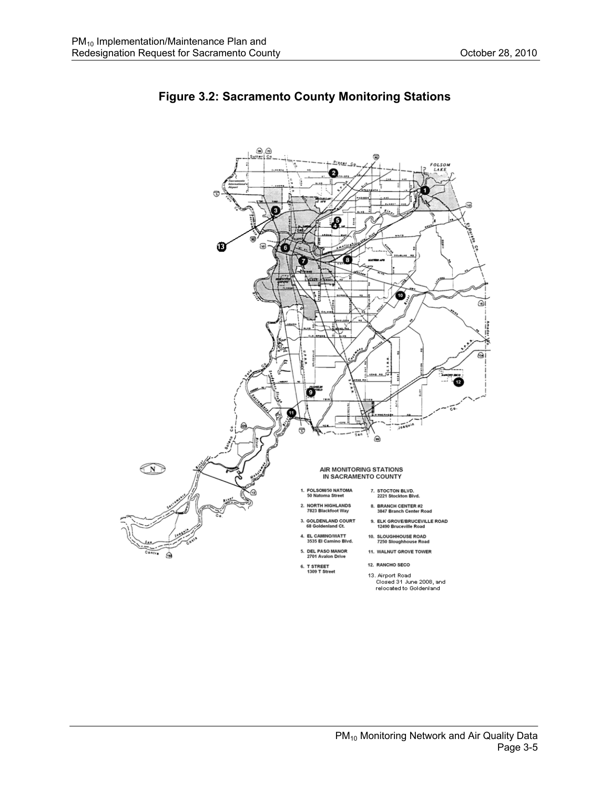

#### **Figure 3.2: Sacramento County Monitoring Stations**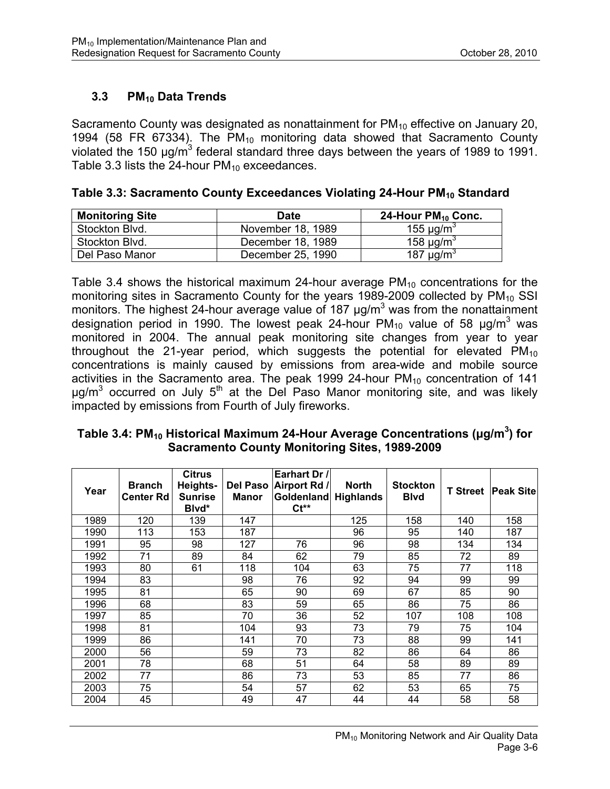# **3.3 PM10 Data Trends**

Sacramento County was designated as nonattainment for  $PM_{10}$  effective on January 20, 1994 (58 FR 67334). The  $PM_{10}$  monitoring data showed that Sacramento County violated the 150  $\mu$ g/m<sup>3</sup> federal standard three days between the years of 1989 to 1991. Table 3.3 lists the 24-hour  $PM_{10}$  exceedances.

| <b>Monitoring Site</b> | <b>Date</b>       | 24-Hour $PM_{10}$ Conc.            |
|------------------------|-------------------|------------------------------------|
| Stockton Blvd.         | November 18, 1989 | 155 $\mu$ g/m <sup>3</sup>         |
| Stockton Blvd.         | December 18, 1989 | 158 $\mu$ g/m <sup>3</sup>         |
| Del Paso Manor         | December 25, 1990 | $\overline{187}$ µg/m <sup>3</sup> |

| Table 3.3: Sacramento County Exceedances Violating 24-Hour PM <sub>10</sub> Standard |  |  |  |
|--------------------------------------------------------------------------------------|--|--|--|
|--------------------------------------------------------------------------------------|--|--|--|

Table 3.4 shows the historical maximum 24-hour average  $PM_{10}$  concentrations for the monitoring sites in Sacramento County for the years 1989-2009 collected by  $PM_{10}$  SSI monitors. The highest 24-hour average value of 187  $\mu$ g/m<sup>3</sup> was from the nonattainment designation period in 1990. The lowest peak 24-hour PM<sub>10</sub> value of 58  $\mu$ g/m<sup>3</sup> was monitored in 2004. The annual peak monitoring site changes from year to year throughout the 21-year period, which suggests the potential for elevated  $PM_{10}$ concentrations is mainly caused by emissions from area-wide and mobile source activities in the Sacramento area. The peak 1999 24-hour  $PM_{10}$  concentration of 141  $\mu$ g/m<sup>3</sup> occurred on July 5<sup>th</sup> at the Del Paso Manor monitoring site, and was likely impacted by emissions from Fourth of July fireworks.

| Table 3.4: PM <sub>10</sub> Historical Maximum 24-Hour Average Concentrations ( $\mu$ g/m <sup>3</sup> ) for |                                                      |  |  |
|--------------------------------------------------------------------------------------------------------------|------------------------------------------------------|--|--|
|                                                                                                              | <b>Sacramento County Monitoring Sites, 1989-2009</b> |  |  |

| Year | <b>Branch</b><br><b>Center Rd</b> | <b>Citrus</b><br>Heights-<br><b>Sunrise</b><br>Blvd* | Del Paso<br><b>Manor</b> | Earhart Dr /<br>Airport Rd /<br>Goldenland<br>$Ct^{**}$ | <b>North</b><br><b>Highlands</b> | <b>Stockton</b><br><b>B</b> lvd | <b>T</b> Street | <b>Peak Sitel</b> |
|------|-----------------------------------|------------------------------------------------------|--------------------------|---------------------------------------------------------|----------------------------------|---------------------------------|-----------------|-------------------|
| 1989 | 120                               | 139                                                  | 147                      |                                                         | 125                              | 158                             | 140             | 158               |
| 1990 | 113                               | 153                                                  | 187                      |                                                         | 96                               | 95                              | 140             | 187               |
| 1991 | 95                                | 98                                                   | 127                      | 76                                                      | 96                               | 98                              | 134             | 134               |
| 1992 | 71                                | 89                                                   | 84                       | 62                                                      | 79                               | 85                              | 72              | 89                |
| 1993 | 80                                | 61                                                   | 118                      | 104                                                     | 63                               | 75                              | 77              | 118               |
| 1994 | 83                                |                                                      | 98                       | 76                                                      | 92                               | 94                              | 99              | 99                |
| 1995 | 81                                |                                                      | 65                       | 90                                                      | 69                               | 67                              | 85              | 90                |
| 1996 | 68                                |                                                      | 83                       | 59                                                      | 65                               | 86                              | 75              | 86                |
| 1997 | 85                                |                                                      | 70                       | 36                                                      | 52                               | 107                             | 108             | 108               |
| 1998 | 81                                |                                                      | 104                      | 93                                                      | 73                               | 79                              | 75              | 104               |
| 1999 | 86                                |                                                      | 141                      | 70                                                      | 73                               | 88                              | 99              | 141               |
| 2000 | 56                                |                                                      | 59                       | 73                                                      | 82                               | 86                              | 64              | 86                |
| 2001 | 78                                |                                                      | 68                       | 51                                                      | 64                               | 58                              | 89              | 89                |
| 2002 | 77                                |                                                      | 86                       | 73                                                      | 53                               | 85                              | 77              | 86                |
| 2003 | 75                                |                                                      | 54                       | 57                                                      | 62                               | 53                              | 65              | 75                |
| 2004 | 45                                |                                                      | 49                       | 47                                                      | 44                               | 44                              | 58              | 58                |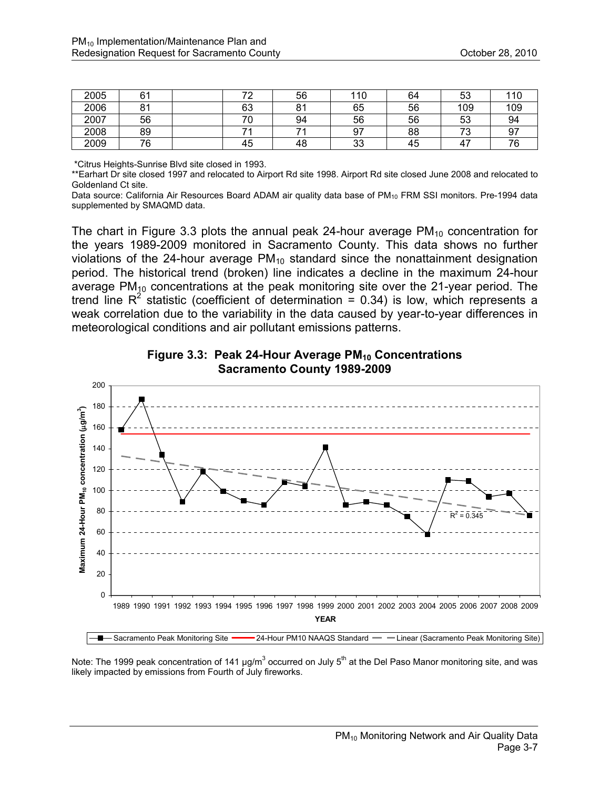| 2005 | 61             | 70 | 56                  | 110 | 64 | 53      | 110 |
|------|----------------|----|---------------------|-----|----|---------|-----|
| 2006 | O <sub>4</sub> | 63 | O <sub>4</sub><br>ັ | 65  | 56 | 109     | 109 |
| 2007 | 56             | 70 | 94                  | 56  | 56 | 53      | 94  |
| 2008 | 89             | 74 |                     | 97  | 88 | っへ<br>ັ | 97  |
| 2009 | 76             | 45 | 48                  | 33  | 45 | 47      | 76  |

\*Citrus Heights-Sunrise Blvd site closed in 1993.

\*\*Earhart Dr site closed 1997 and relocated to Airport Rd site 1998. Airport Rd site closed June 2008 and relocated to Goldenland Ct site.

Data source: California Air Resources Board ADAM air quality data base of PM<sub>10</sub> FRM SSI monitors. Pre-1994 data supplemented by SMAQMD data.

The chart in Figure 3.3 plots the annual peak 24-hour average  $PM_{10}$  concentration for the years 1989-2009 monitored in Sacramento County. This data shows no further violations of the 24-hour average  $PM_{10}$  standard since the nonattainment designation period. The historical trend (broken) line indicates a decline in the maximum 24-hour average  $PM_{10}$  concentrations at the peak monitoring site over the 21-year period. The trend line  $R^2$  statistic (coefficient of determination = 0.34) is low, which represents a weak correlation due to the variability in the data caused by year-to-year differences in meteorological conditions and air pollutant emissions patterns.





Note: The 1999 peak concentration of 141  $\mu$ g/m<sup>3</sup> occurred on July 5<sup>th</sup> at the Del Paso Manor monitoring site, and was likely impacted by emissions from Fourth of July fireworks.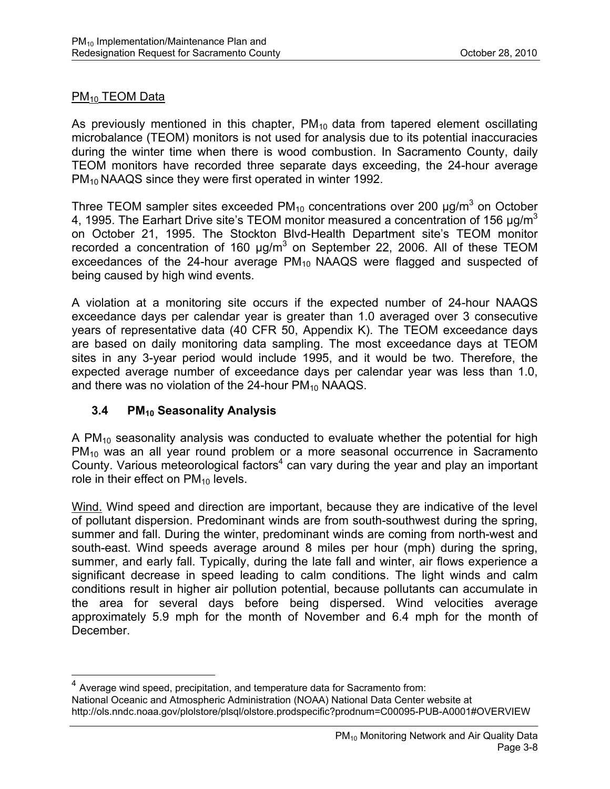#### PM<sub>10</sub> TEOM Data

 $\overline{a}$ 

As previously mentioned in this chapter,  $PM_{10}$  data from tapered element oscillating microbalance (TEOM) monitors is not used for analysis due to its potential inaccuracies during the winter time when there is wood combustion. In Sacramento County, daily TEOM monitors have recorded three separate days exceeding, the 24-hour average PM<sub>10</sub> NAAQS since they were first operated in winter 1992.

Three TEOM sampler sites exceeded PM<sub>10</sub> concentrations over 200  $\mu$ g/m<sup>3</sup> on October 4, 1995. The Earhart Drive site's TEOM monitor measured a concentration of 156  $\mu$ a/m<sup>3</sup> on October 21, 1995. The Stockton Blvd-Health Department site's TEOM monitor recorded a concentration of 160  $\mu$ g/m<sup>3</sup> on September 22, 2006. All of these TEOM exceedances of the 24-hour average  $PM_{10}$  NAAQS were flagged and suspected of being caused by high wind events.

A violation at a monitoring site occurs if the expected number of 24-hour NAAQS exceedance days per calendar year is greater than 1.0 averaged over 3 consecutive years of representative data (40 CFR 50, Appendix K). The TEOM exceedance days are based on daily monitoring data sampling. The most exceedance days at TEOM sites in any 3-year period would include 1995, and it would be two. Therefore, the expected average number of exceedance days per calendar year was less than 1.0, and there was no violation of the  $24$ -hour PM<sub>10</sub> NAAQS.

#### **3.4 PM10 Seasonality Analysis**

A  $PM_{10}$  seasonality analysis was conducted to evaluate whether the potential for high PM<sub>10</sub> was an all year round problem or a more seasonal occurrence in Sacramento County. Various meteorological factors<sup>4</sup> can vary during the year and play an important role in their effect on  $PM_{10}$  levels.

Wind. Wind speed and direction are important, because they are indicative of the level of pollutant dispersion. Predominant winds are from south-southwest during the spring, summer and fall. During the winter, predominant winds are coming from north-west and south-east. Wind speeds average around 8 miles per hour (mph) during the spring, summer, and early fall. Typically, during the late fall and winter, air flows experience a significant decrease in speed leading to calm conditions. The light winds and calm conditions result in higher air pollution potential, because pollutants can accumulate in the area for several days before being dispersed. Wind velocities average approximately 5.9 mph for the month of November and 6.4 mph for the month of December.

<sup>4</sup> Average wind speed, precipitation, and temperature data for Sacramento from: National Oceanic and Atmospheric Administration (NOAA) National Data Center website at http://ols.nndc.noaa.gov/plolstore/plsql/olstore.prodspecific?prodnum=C00095-PUB-A0001#OVERVIEW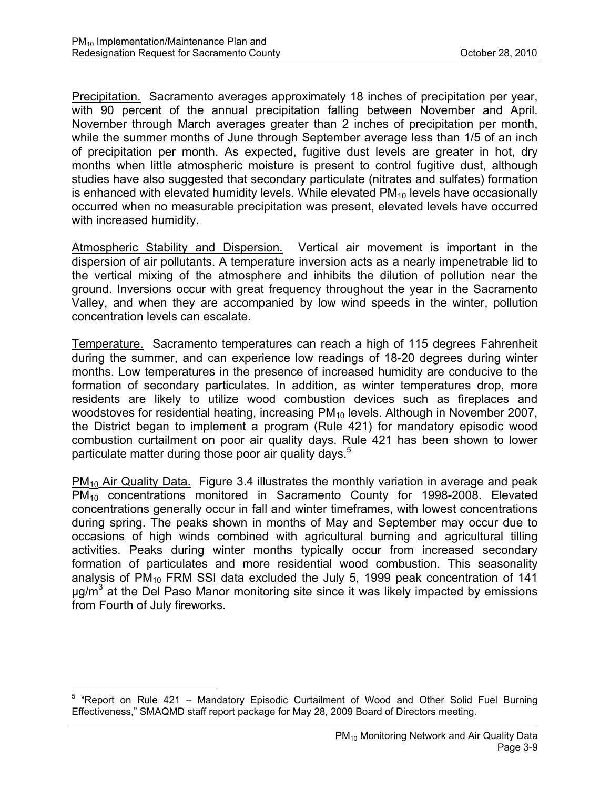Precipitation. Sacramento averages approximately 18 inches of precipitation per year, with 90 percent of the annual precipitation falling between November and April. November through March averages greater than 2 inches of precipitation per month, while the summer months of June through September average less than 1/5 of an inch of precipitation per month. As expected, fugitive dust levels are greater in hot, dry months when little atmospheric moisture is present to control fugitive dust, although studies have also suggested that secondary particulate (nitrates and sulfates) formation is enhanced with elevated humidity levels. While elevated  $PM_{10}$  levels have occasionally occurred when no measurable precipitation was present, elevated levels have occurred with increased humidity.

Atmospheric Stability and Dispersion. Vertical air movement is important in the dispersion of air pollutants. A temperature inversion acts as a nearly impenetrable lid to the vertical mixing of the atmosphere and inhibits the dilution of pollution near the ground. Inversions occur with great frequency throughout the year in the Sacramento Valley, and when they are accompanied by low wind speeds in the winter, pollution concentration levels can escalate.

Temperature. Sacramento temperatures can reach a high of 115 degrees Fahrenheit during the summer, and can experience low readings of 18-20 degrees during winter months. Low temperatures in the presence of increased humidity are conducive to the formation of secondary particulates. In addition, as winter temperatures drop, more residents are likely to utilize wood combustion devices such as fireplaces and woodstoves for residential heating, increasing PM<sub>10</sub> levels. Although in November 2007, the District began to implement a program (Rule 421) for mandatory episodic wood combustion curtailment on poor air quality days. Rule 421 has been shown to lower particulate matter during those poor air quality days.<sup>5</sup>

 $PM_{10}$  Air Quality Data. Figure 3.4 illustrates the monthly variation in average and peak PM10 concentrations monitored in Sacramento County for 1998-2008. Elevated concentrations generally occur in fall and winter timeframes, with lowest concentrations during spring. The peaks shown in months of May and September may occur due to occasions of high winds combined with agricultural burning and agricultural tilling activities. Peaks during winter months typically occur from increased secondary formation of particulates and more residential wood combustion. This seasonality analysis of  $PM_{10}$  FRM SSI data excluded the July 5, 1999 peak concentration of 141  $\mu$ g/m<sup>3</sup> at the Del Paso Manor monitoring site since it was likely impacted by emissions from Fourth of July fireworks.

 5 "Report on Rule 421 – Mandatory Episodic Curtailment of Wood and Other Solid Fuel Burning Effectiveness," SMAQMD staff report package for May 28, 2009 Board of Directors meeting.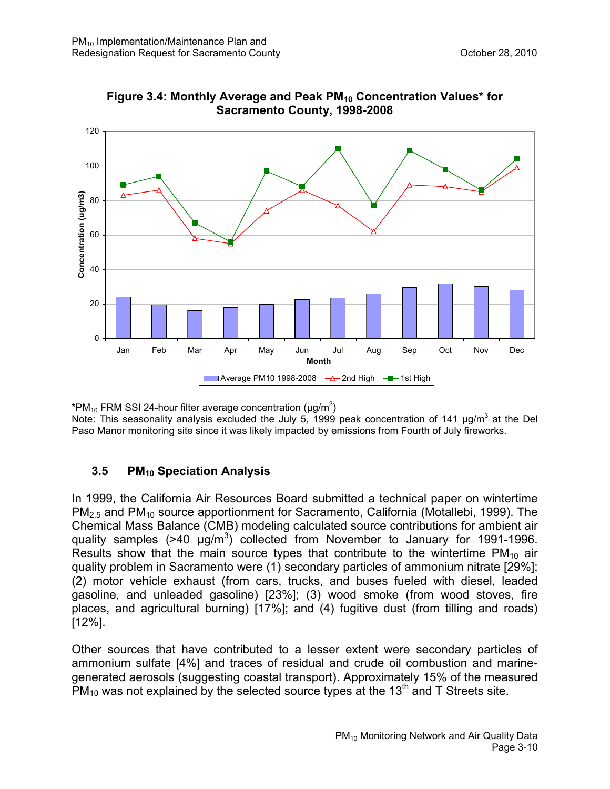



\*PM<sub>10</sub> FRM SSI 24-hour filter average concentration ( $\mu$ g/m<sup>3</sup>)

Note: This seasonality analysis excluded the July 5, 1999 peak concentration of 141  $\mu$ g/m<sup>3</sup> at the Del Paso Manor monitoring site since it was likely impacted by emissions from Fourth of July fireworks.

# **3.5 PM10 Speciation Analysis**

In 1999, the California Air Resources Board submitted a technical paper on wintertime PM2.5 and PM10 source apportionment for Sacramento, California (Motallebi, 1999). The Chemical Mass Balance (CMB) modeling calculated source contributions for ambient air quality samples  $($ >40  $\mu$ g/m<sup>3</sup>) collected from November to January for 1991-1996. Results show that the main source types that contribute to the wintertime  $PM_{10}$  air quality problem in Sacramento were (1) secondary particles of ammonium nitrate [29%]; (2) motor vehicle exhaust (from cars, trucks, and buses fueled with diesel, leaded gasoline, and unleaded gasoline) [23%]; (3) wood smoke (from wood stoves, fire places, and agricultural burning) [17%]; and (4) fugitive dust (from tilling and roads) [12%].

Other sources that have contributed to a lesser extent were secondary particles of ammonium sulfate [4%] and traces of residual and crude oil combustion and marinegenerated aerosols (suggesting coastal transport). Approximately 15% of the measured  $PM_{10}$  was not explained by the selected source types at the 13<sup>th</sup> and T Streets site.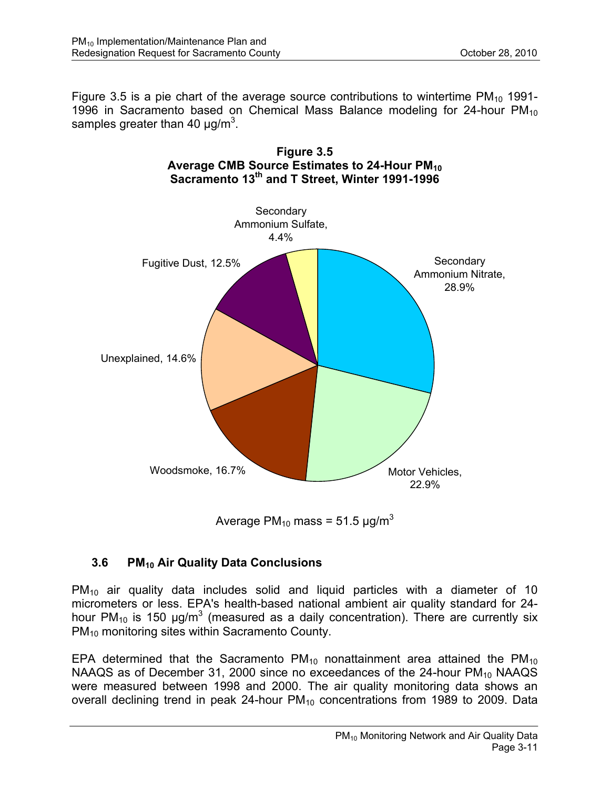Figure 3.5 is a pie chart of the average source contributions to wintertime  $PM_{10}$  1991-1996 in Sacramento based on Chemical Mass Balance modeling for 24-hour  $PM_{10}$ samples greater than 40  $\mu$ g/m<sup>3</sup>.



**Figure 3.5 Average CMB Source Estimates to 24-Hour PM10** 

Average PM<sub>10</sub> mass = 51.5  $\mu$ g/m<sup>3</sup>

# **3.6 PM10 Air Quality Data Conclusions**

 $PM_{10}$  air quality data includes solid and liquid particles with a diameter of 10 micrometers or less. EPA's health-based national ambient air quality standard for 24 hour PM<sub>10</sub> is 150  $\mu$ g/m<sup>3</sup> (measured as a daily concentration). There are currently six PM<sub>10</sub> monitoring sites within Sacramento County.

EPA determined that the Sacramento  $PM_{10}$  nonattainment area attained the  $PM_{10}$ NAAQS as of December 31, 2000 since no exceedances of the 24-hour  $PM_{10}$  NAAQS were measured between 1998 and 2000. The air quality monitoring data shows an overall declining trend in peak 24-hour  $PM_{10}$  concentrations from 1989 to 2009. Data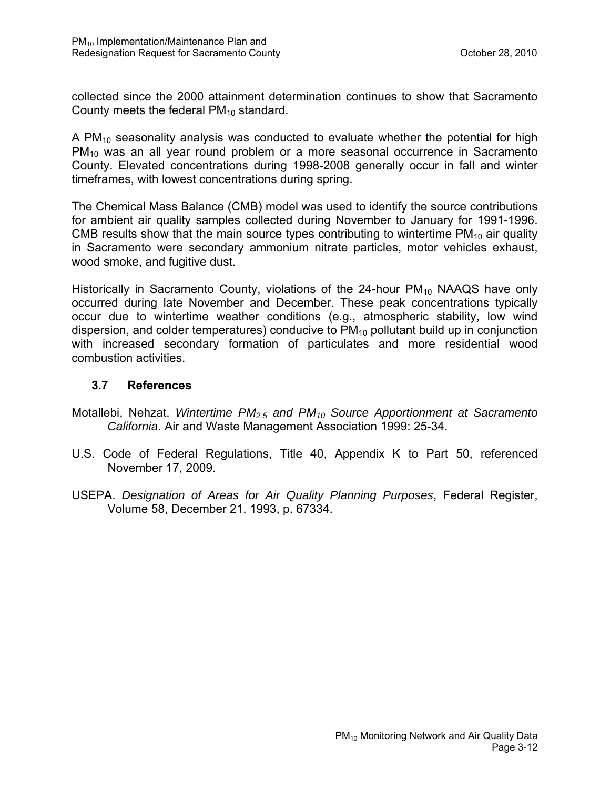collected since the 2000 attainment determination continues to show that Sacramento County meets the federal  $PM_{10}$  standard.

A  $PM_{10}$  seasonality analysis was conducted to evaluate whether the potential for high PM<sub>10</sub> was an all year round problem or a more seasonal occurrence in Sacramento County. Elevated concentrations during 1998-2008 generally occur in fall and winter timeframes, with lowest concentrations during spring.

The Chemical Mass Balance (CMB) model was used to identify the source contributions for ambient air quality samples collected during November to January for 1991-1996. CMB results show that the main source types contributing to wintertime  $PM_{10}$  air quality in Sacramento were secondary ammonium nitrate particles, motor vehicles exhaust, wood smoke, and fugitive dust.

Historically in Sacramento County, violations of the 24-hour  $PM_{10}$  NAAQS have only occurred during late November and December. These peak concentrations typically occur due to wintertime weather conditions (e.g., atmospheric stability, low wind dispersion, and colder temperatures) conducive to  $PM_{10}$  pollutant build up in conjunction with increased secondary formation of particulates and more residential wood combustion activities.

#### **3.7 References**

- Motallebi, Nehzat. *Wintertime PM2.5 and PM10 Source Apportionment at Sacramento California*. Air and Waste Management Association 1999: 25-34.
- U.S. Code of Federal Regulations, Title 40, Appendix K to Part 50, referenced November 17, 2009.
- USEPA. *Designation of Areas for Air Quality Planning Purposes*, Federal Register, Volume 58, December 21, 1993, p. 67334.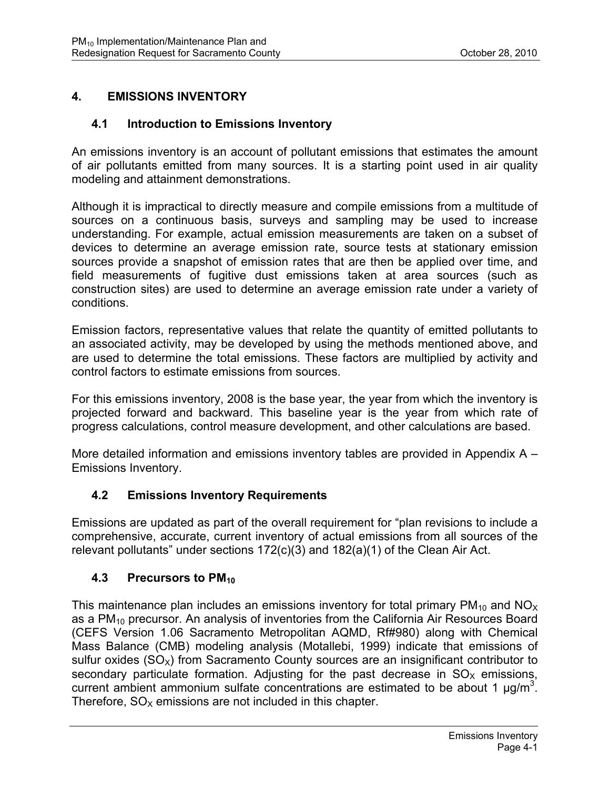# **4. EMISSIONS INVENTORY**

#### **4.1 Introduction to Emissions Inventory**

An emissions inventory is an account of pollutant emissions that estimates the amount of air pollutants emitted from many sources. It is a starting point used in air quality modeling and attainment demonstrations.

Although it is impractical to directly measure and compile emissions from a multitude of sources on a continuous basis, surveys and sampling may be used to increase understanding. For example, actual emission measurements are taken on a subset of devices to determine an average emission rate, source tests at stationary emission sources provide a snapshot of emission rates that are then be applied over time, and field measurements of fugitive dust emissions taken at area sources (such as construction sites) are used to determine an average emission rate under a variety of conditions.

Emission factors, representative values that relate the quantity of emitted pollutants to an associated activity, may be developed by using the methods mentioned above, and are used to determine the total emissions. These factors are multiplied by activity and control factors to estimate emissions from sources.

For this emissions inventory, 2008 is the base year, the year from which the inventory is projected forward and backward. This baseline year is the year from which rate of progress calculations, control measure development, and other calculations are based.

More detailed information and emissions inventory tables are provided in Appendix A – Emissions Inventory.

#### **4.2 Emissions Inventory Requirements**

Emissions are updated as part of the overall requirement for "plan revisions to include a comprehensive, accurate, current inventory of actual emissions from all sources of the relevant pollutants" under sections 172(c)(3) and 182(a)(1) of the Clean Air Act.

#### **4.3 Precursors to PM<sub>10</sub>**

This maintenance plan includes an emissions inventory for total primary  $PM_{10}$  and  $NO<sub>X</sub>$ as a PM<sub>10</sub> precursor. An analysis of inventories from the California Air Resources Board (CEFS Version 1.06 Sacramento Metropolitan AQMD, Rf#980) along with Chemical Mass Balance (CMB) modeling analysis (Motallebi, 1999) indicate that emissions of sulfur oxides  $(SO_X)$  from Sacramento County sources are an insignificant contributor to secondary particulate formation. Adjusting for the past decrease in  $SO<sub>x</sub>$  emissions, current ambient ammonium sulfate concentrations are estimated to be about 1  $\mu$ g/m<sup>3</sup>. Therefore,  $SO<sub>x</sub>$  emissions are not included in this chapter.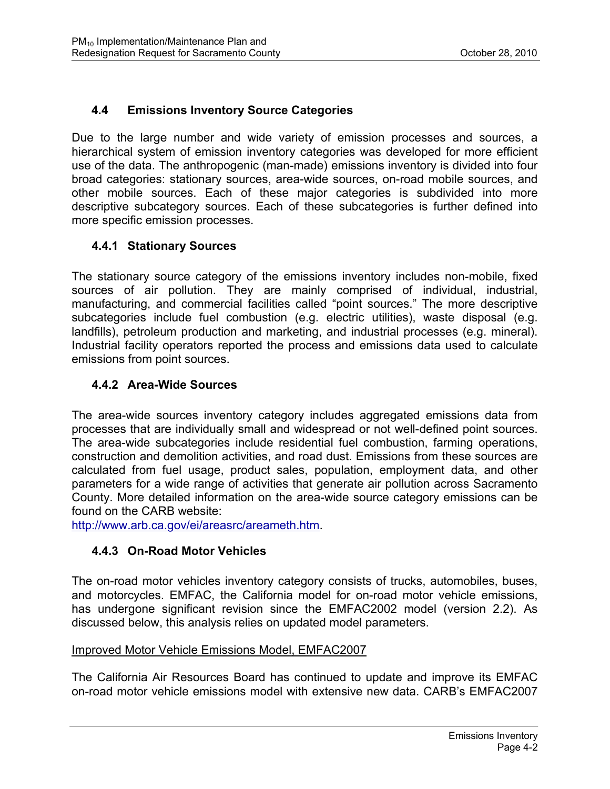# **4.4 Emissions Inventory Source Categories**

Due to the large number and wide variety of emission processes and sources, a hierarchical system of emission inventory categories was developed for more efficient use of the data. The anthropogenic (man-made) emissions inventory is divided into four broad categories: stationary sources, area-wide sources, on-road mobile sources, and other mobile sources. Each of these major categories is subdivided into more descriptive subcategory sources. Each of these subcategories is further defined into more specific emission processes.

#### **4.4.1 Stationary Sources**

The stationary source category of the emissions inventory includes non-mobile, fixed sources of air pollution. They are mainly comprised of individual, industrial, manufacturing, and commercial facilities called "point sources." The more descriptive subcategories include fuel combustion (e.g. electric utilities), waste disposal (e.g. landfills), petroleum production and marketing, and industrial processes (e.g. mineral). Industrial facility operators reported the process and emissions data used to calculate emissions from point sources.

#### **4.4.2 Area-Wide Sources**

The area-wide sources inventory category includes aggregated emissions data from processes that are individually small and widespread or not well-defined point sources. The area-wide subcategories include residential fuel combustion, farming operations, construction and demolition activities, and road dust. Emissions from these sources are calculated from fuel usage, product sales, population, employment data, and other parameters for a wide range of activities that generate air pollution across Sacramento County. More detailed information on the area-wide source category emissions can be found on the CARB website:

http://www.arb.ca.gov/ei/areasrc/areameth.htm.

#### **4.4.3 On-Road Motor Vehicles**

The on-road motor vehicles inventory category consists of trucks, automobiles, buses, and motorcycles. EMFAC, the California model for on-road motor vehicle emissions, has undergone significant revision since the EMFAC2002 model (version 2.2). As discussed below, this analysis relies on updated model parameters.

#### Improved Motor Vehicle Emissions Model, EMFAC2007

The California Air Resources Board has continued to update and improve its EMFAC on-road motor vehicle emissions model with extensive new data. CARB's EMFAC2007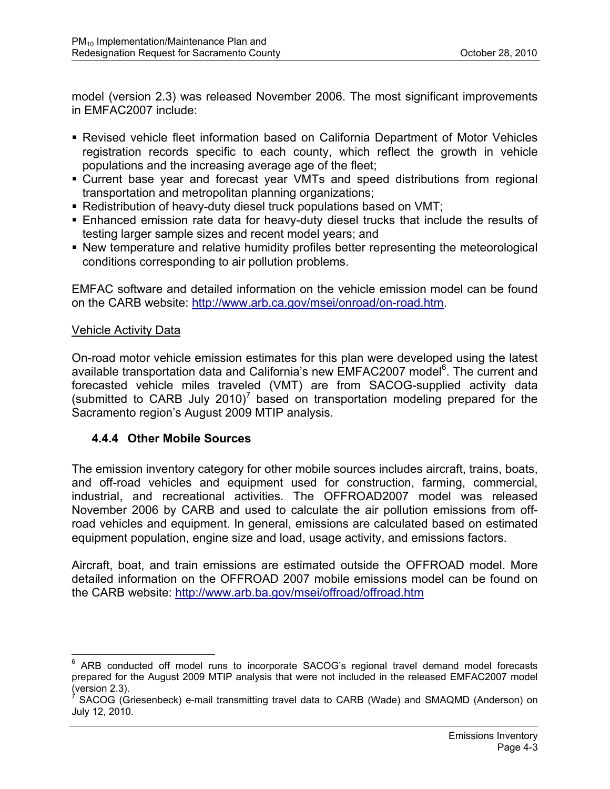model (version 2.3) was released November 2006. The most significant improvements in EMFAC2007 include:

- Revised vehicle fleet information based on California Department of Motor Vehicles registration records specific to each county, which reflect the growth in vehicle populations and the increasing average age of the fleet;
- Current base year and forecast year VMTs and speed distributions from regional transportation and metropolitan planning organizations;
- Redistribution of heavy-duty diesel truck populations based on VMT;
- Enhanced emission rate data for heavy-duty diesel trucks that include the results of testing larger sample sizes and recent model years; and
- New temperature and relative humidity profiles better representing the meteorological conditions corresponding to air pollution problems.

EMFAC software and detailed information on the vehicle emission model can be found on the CARB website: http://www.arb.ca.gov/msei/onroad/on-road.htm.

#### Vehicle Activity Data

On-road motor vehicle emission estimates for this plan were developed using the latest available transportation data and California's new EMFAC2007 model<sup>6</sup>. The current and forecasted vehicle miles traveled (VMT) are from SACOG-supplied activity data (submitted to CARB July 2010)<sup>7</sup> based on transportation modeling prepared for the Sacramento region's August 2009 MTIP analysis.

#### **4.4.4 Other Mobile Sources**

The emission inventory category for other mobile sources includes aircraft, trains, boats, and off-road vehicles and equipment used for construction, farming, commercial, industrial, and recreational activities. The OFFROAD2007 model was released November 2006 by CARB and used to calculate the air pollution emissions from offroad vehicles and equipment. In general, emissions are calculated based on estimated equipment population, engine size and load, usage activity, and emissions factors.

Aircraft, boat, and train emissions are estimated outside the OFFROAD model. More detailed information on the OFFROAD 2007 mobile emissions model can be found on the CARB website: http://www.arb.ba.gov/msei/offroad/offroad.htm

 6 ARB conducted off model runs to incorporate SACOG's regional travel demand model forecasts prepared for the August 2009 MTIP analysis that were not included in the released EMFAC2007 model (version 2.3).

SACOG (Griesenbeck) e-mail transmitting travel data to CARB (Wade) and SMAQMD (Anderson) on July 12, 2010.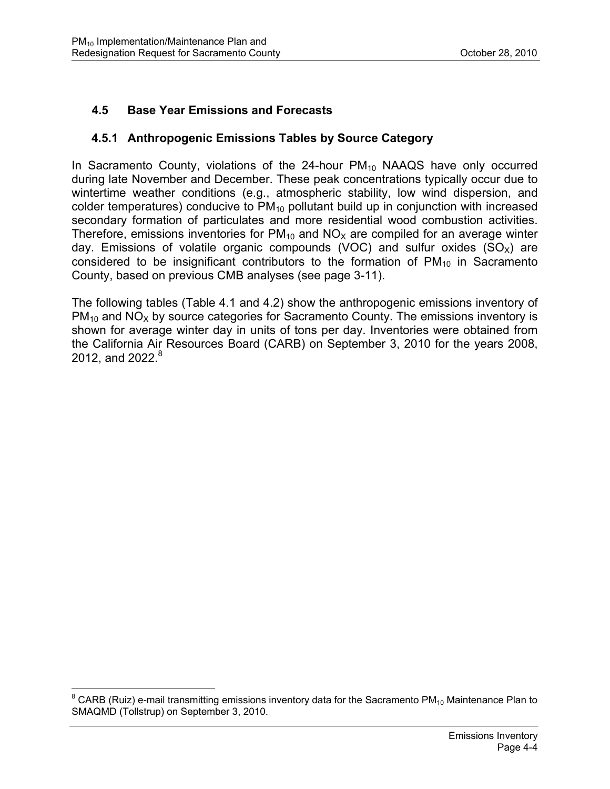# **4.5 Base Year Emissions and Forecasts**

#### **4.5.1 Anthropogenic Emissions Tables by Source Category**

In Sacramento County, violations of the  $24$ -hour  $PM_{10}$  NAAQS have only occurred during late November and December. These peak concentrations typically occur due to wintertime weather conditions (e.g., atmospheric stability, low wind dispersion, and colder temperatures) conducive to  $PM_{10}$  pollutant build up in conjunction with increased secondary formation of particulates and more residential wood combustion activities. Therefore, emissions inventories for  $PM_{10}$  and  $NO<sub>X</sub>$  are compiled for an average winter day. Emissions of volatile organic compounds (VOC) and sulfur oxides  $(SO<sub>X</sub>)$  are considered to be insignificant contributors to the formation of  $PM_{10}$  in Sacramento County, based on previous CMB analyses (see page 3-11).

The following tables (Table 4.1 and 4.2) show the anthropogenic emissions inventory of  $PM_{10}$  and  $NO<sub>X</sub>$  by source categories for Sacramento County. The emissions inventory is shown for average winter day in units of tons per day. Inventories were obtained from the California Air Resources Board (CARB) on September 3, 2010 for the years 2008, 2012, and 2022. $8$ 

 8 CARB (Ruiz) e-mail transmitting emissions inventory data for the Sacramento PM10 Maintenance Plan to SMAQMD (Tollstrup) on September 3, 2010.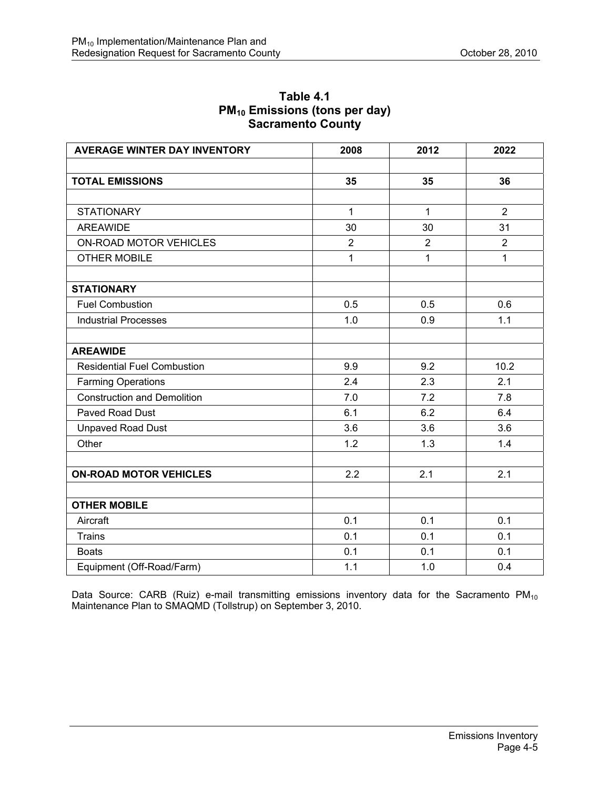| <b>AVERAGE WINTER DAY INVENTORY</b> | 2008           | 2012           | 2022           |
|-------------------------------------|----------------|----------------|----------------|
|                                     |                |                |                |
| <b>TOTAL EMISSIONS</b>              | 35             | 35             | 36             |
|                                     |                |                |                |
| <b>STATIONARY</b>                   | $\mathbf{1}$   | $\mathbf{1}$   | 2              |
| <b>AREAWIDE</b>                     | 30             | 30             | 31             |
| ON-ROAD MOTOR VEHICLES              | $\overline{2}$ | $\overline{2}$ | $\overline{2}$ |
| <b>OTHER MOBILE</b>                 | 1              | 1              | 1              |
| <b>STATIONARY</b>                   |                |                |                |
| <b>Fuel Combustion</b>              | 0.5            | 0.5            | 0.6            |
| <b>Industrial Processes</b>         | 1.0            | 0.9            | 1.1            |
| <b>AREAWIDE</b>                     |                |                |                |
| <b>Residential Fuel Combustion</b>  | 9.9            | 9.2            | 10.2           |
| <b>Farming Operations</b>           | 2.4            | 2.3            | 2.1            |
| <b>Construction and Demolition</b>  | 7.0            | 7.2            | 7.8            |
| <b>Paved Road Dust</b>              | 6.1            | 6.2            | 6.4            |
| <b>Unpaved Road Dust</b>            | 3.6            | 3.6            | 3.6            |
| Other                               | 1.2            | 1.3            | 1.4            |
| <b>ON-ROAD MOTOR VEHICLES</b>       | 2.2            | 2.1            | 2.1            |
|                                     |                |                |                |
| <b>OTHER MOBILE</b>                 |                |                |                |
| Aircraft                            | 0.1            | 0.1            | 0.1            |
| <b>Trains</b>                       | 0.1            | 0.1            | 0.1            |
| <b>Boats</b>                        | 0.1            | 0.1            | 0.1            |
| Equipment (Off-Road/Farm)           | 1.1            | 1.0            | 0.4            |

#### **Table 4.1 PM10 Emissions (tons per day) Sacramento County**

Data Source: CARB (Ruiz) e-mail transmitting emissions inventory data for the Sacramento PM<sub>10</sub> Maintenance Plan to SMAQMD (Tollstrup) on September 3, 2010.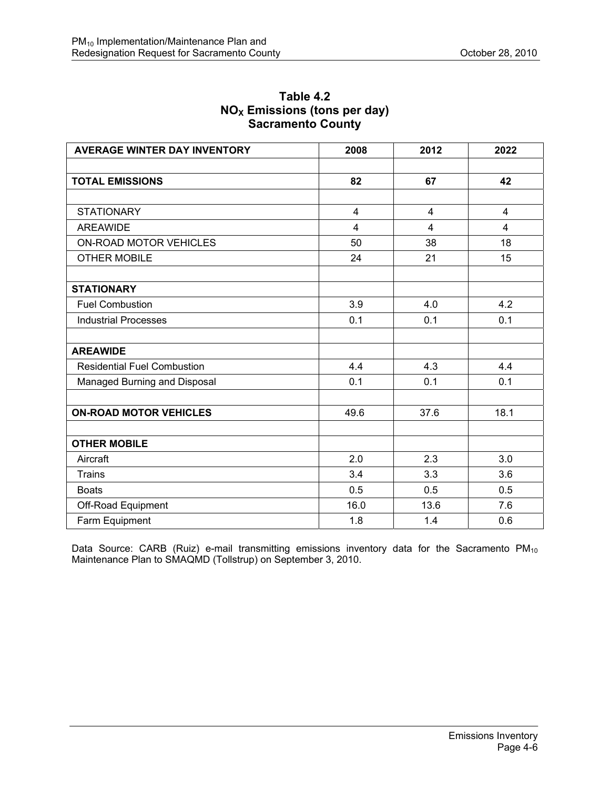| <b>AVERAGE WINTER DAY INVENTORY</b> | 2008           | 2012           | 2022                    |
|-------------------------------------|----------------|----------------|-------------------------|
|                                     |                |                |                         |
| <b>TOTAL EMISSIONS</b>              | 82             | 67             | 42                      |
|                                     |                |                |                         |
| <b>STATIONARY</b>                   | $\overline{4}$ | $\overline{4}$ | $\overline{4}$          |
| <b>AREAWIDE</b>                     | 4              | $\overline{4}$ | $\overline{\mathbf{4}}$ |
| ON-ROAD MOTOR VEHICLES              | 50             | 38             | 18                      |
| <b>OTHER MOBILE</b>                 | 24             | 21             | 15                      |
|                                     |                |                |                         |
| <b>STATIONARY</b>                   |                |                |                         |
| <b>Fuel Combustion</b>              | 3.9            | 4.0            | 4.2                     |
| <b>Industrial Processes</b>         | 0.1            | 0.1            | 0.1                     |
|                                     |                |                |                         |
| <b>AREAWIDE</b>                     |                |                |                         |
| <b>Residential Fuel Combustion</b>  | 4.4            | 4.3            | 4.4                     |
| Managed Burning and Disposal        | 0.1            | 0.1            | 0.1                     |
|                                     |                |                |                         |
| <b>ON-ROAD MOTOR VEHICLES</b>       | 49.6           | 37.6           | 18.1                    |
|                                     |                |                |                         |
| <b>OTHER MOBILE</b>                 |                |                |                         |
| Aircraft                            | 2.0            | 2.3            | 3.0                     |
| <b>Trains</b>                       | 3.4            | 3.3            | 3.6                     |
| <b>Boats</b>                        | 0.5            | 0.5            | 0.5                     |
| Off-Road Equipment                  | 16.0           | 13.6           | 7.6                     |
| Farm Equipment                      | 1.8            | 1.4            | 0.6                     |

### **Table 4.2 NO<sub>x</sub> Emissions (tons per day) Sacramento County**

Data Source: CARB (Ruiz) e-mail transmitting emissions inventory data for the Sacramento  $PM_{10}$ Maintenance Plan to SMAQMD (Tollstrup) on September 3, 2010.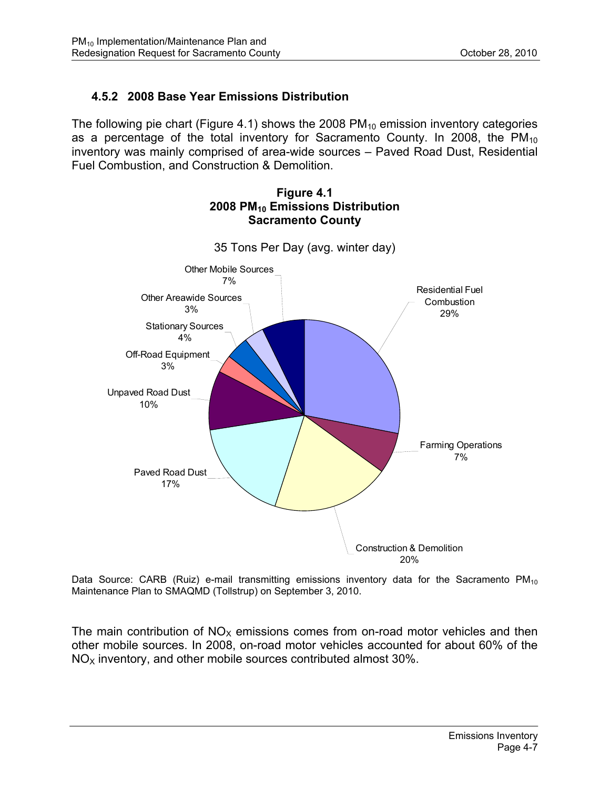# **4.5.2 2008 Base Year Emissions Distribution**

The following pie chart (Figure 4.1) shows the 2008  $PM_{10}$  emission inventory categories as a percentage of the total inventory for Sacramento County. In 2008, the  $PM_{10}$ inventory was mainly comprised of area-wide sources – Paved Road Dust, Residential Fuel Combustion, and Construction & Demolition.



**Figure 4.1 2008 PM10 Emissions Distribution Sacramento County** 

Data Source: CARB (Ruiz) e-mail transmitting emissions inventory data for the Sacramento  $PM_{10}$ Maintenance Plan to SMAQMD (Tollstrup) on September 3, 2010.

The main contribution of  $NO<sub>x</sub>$  emissions comes from on-road motor vehicles and then other mobile sources. In 2008, on-road motor vehicles accounted for about 60% of the  $NO<sub>x</sub>$  inventory, and other mobile sources contributed almost 30%.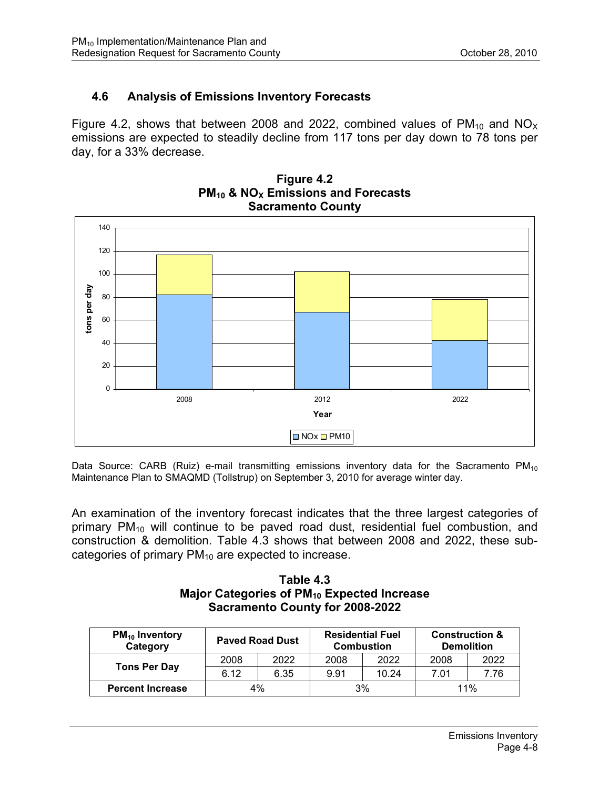# **4.6 Analysis of Emissions Inventory Forecasts**

Figure 4.2, shows that between 2008 and 2022, combined values of  $PM_{10}$  and  $NO_{X}$ emissions are expected to steadily decline from 117 tons per day down to 78 tons per day, for a 33% decrease.



**Figure 4.2 PM<sub>10</sub> & NO<sub>X</sub> Emissions and Forecasts Sacramento County** 

Data Source: CARB (Ruiz) e-mail transmitting emissions inventory data for the Sacramento  $PM_{10}$ Maintenance Plan to SMAQMD (Tollstrup) on September 3, 2010 for average winter day.

An examination of the inventory forecast indicates that the three largest categories of primary PM<sub>10</sub> will continue to be paved road dust, residential fuel combustion, and construction & demolition. Table 4.3 shows that between 2008 and 2022, these subcategories of primary  $PM_{10}$  are expected to increase.

**Table 4.3 Major Categories of PM10 Expected Increase Sacramento County for 2008-2022** 

| $PM_{10}$ Inventory<br>Category | <b>Paved Road Dust</b> |      | <b>Residential Fuel</b><br><b>Combustion</b> |       | <b>Construction &amp;</b><br><b>Demolition</b> |      |
|---------------------------------|------------------------|------|----------------------------------------------|-------|------------------------------------------------|------|
| <b>Tons Per Day</b>             | 2008                   | 2022 | 2008                                         | 2022  | 2008                                           | 2022 |
|                                 | 6.12                   | 6.35 | 9.91                                         | 10.24 | 7.01                                           | 7.76 |
| <b>Percent Increase</b>         | 4%                     |      | 3%                                           |       | 11%                                            |      |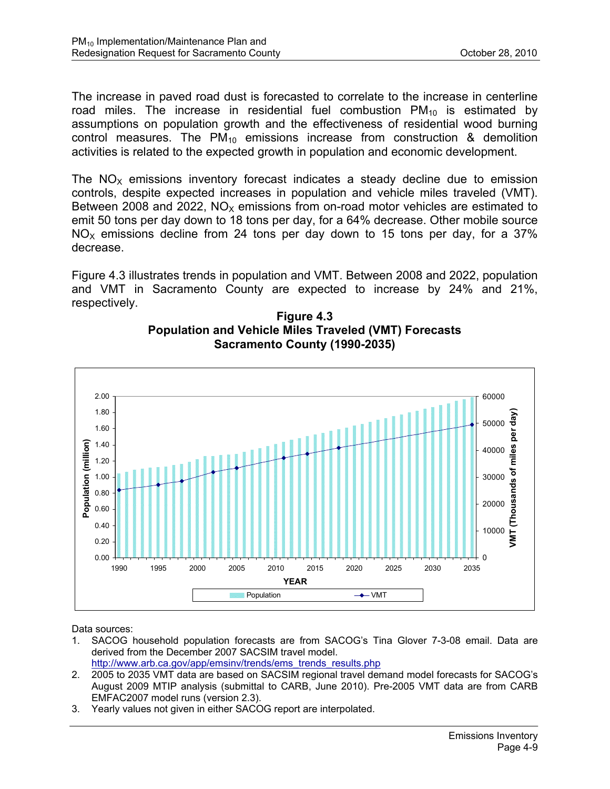The increase in paved road dust is forecasted to correlate to the increase in centerline road miles. The increase in residential fuel combustion  $PM_{10}$  is estimated by assumptions on population growth and the effectiveness of residential wood burning control measures. The  $PM_{10}$  emissions increase from construction & demolition activities is related to the expected growth in population and economic development.

The  $NO<sub>x</sub>$  emissions inventory forecast indicates a steady decline due to emission controls, despite expected increases in population and vehicle miles traveled (VMT). Between 2008 and 2022,  $NO<sub>x</sub>$  emissions from on-road motor vehicles are estimated to emit 50 tons per day down to 18 tons per day, for a 64% decrease. Other mobile source  $NO<sub>x</sub>$  emissions decline from 24 tons per day down to 15 tons per day, for a 37% decrease.

Figure 4.3 illustrates trends in population and VMT. Between 2008 and 2022, population and VMT in Sacramento County are expected to increase by 24% and 21%, respectively.





Data sources:

- 1. SACOG household population forecasts are from SACOG's Tina Glover 7-3-08 email. Data are derived from the December 2007 SACSIM travel model. http://www.arb.ca.gov/app/emsinv/trends/ems\_trends\_results.php
- 2. 2005 to 2035 VMT data are based on SACSIM regional travel demand model forecasts for SACOG's August 2009 MTIP analysis (submittal to CARB, June 2010). Pre-2005 VMT data are from CARB EMFAC2007 model runs (version 2.3).
- 3. Yearly values not given in either SACOG report are interpolated.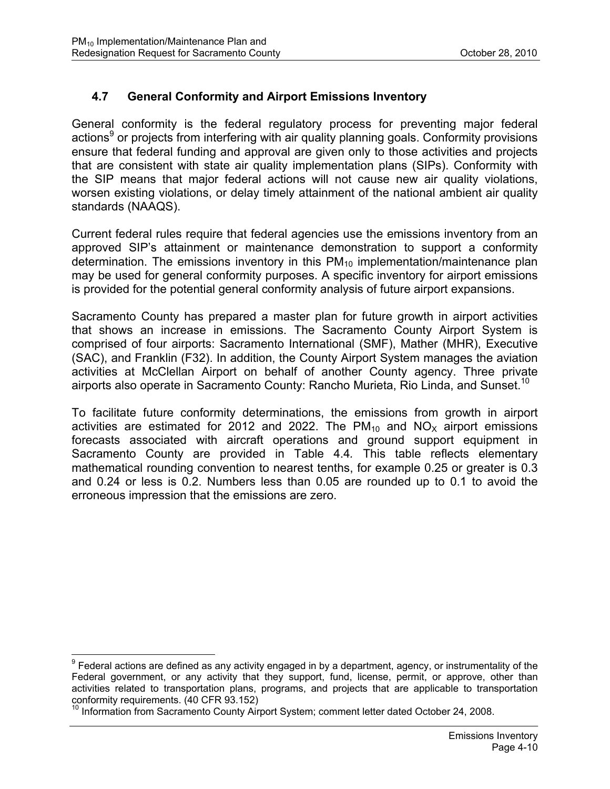## **4.7 General Conformity and Airport Emissions Inventory**

General conformity is the federal regulatory process for preventing major federal actions<sup>9</sup> or projects from interfering with air quality planning goals. Conformity provisions ensure that federal funding and approval are given only to those activities and projects that are consistent with state air quality implementation plans (SIPs). Conformity with the SIP means that major federal actions will not cause new air quality violations, worsen existing violations, or delay timely attainment of the national ambient air quality standards (NAAQS).

Current federal rules require that federal agencies use the emissions inventory from an approved SIP's attainment or maintenance demonstration to support a conformity determination. The emissions inventory in this  $PM_{10}$  implementation/maintenance plan may be used for general conformity purposes. A specific inventory for airport emissions is provided for the potential general conformity analysis of future airport expansions.

Sacramento County has prepared a master plan for future growth in airport activities that shows an increase in emissions. The Sacramento County Airport System is comprised of four airports: Sacramento International (SMF), Mather (MHR), Executive (SAC), and Franklin (F32). In addition, the County Airport System manages the aviation activities at McClellan Airport on behalf of another County agency. Three private airports also operate in Sacramento County: Rancho Murieta, Rio Linda, and Sunset.<sup>10</sup>

To facilitate future conformity determinations, the emissions from growth in airport activities are estimated for 2012 and 2022. The  $PM_{10}$  and  $NO_{\chi}$  airport emissions forecasts associated with aircraft operations and ground support equipment in Sacramento County are provided in Table 4.4*.* This table reflects elementary mathematical rounding convention to nearest tenths, for example 0.25 or greater is 0.3 and 0.24 or less is 0.2. Numbers less than 0.05 are rounded up to 0.1 to avoid the erroneous impression that the emissions are zero.

 9 Federal actions are defined as any activity engaged in by a department, agency, or instrumentality of the Federal government, or any activity that they support, fund, license, permit, or approve, other than activities related to transportation plans, programs, and projects that are applicable to transportation conformity requirements. (40 CFR 93.152)

<sup>&</sup>lt;sup>10</sup> Information from Sacramento County Airport System; comment letter dated October 24, 2008.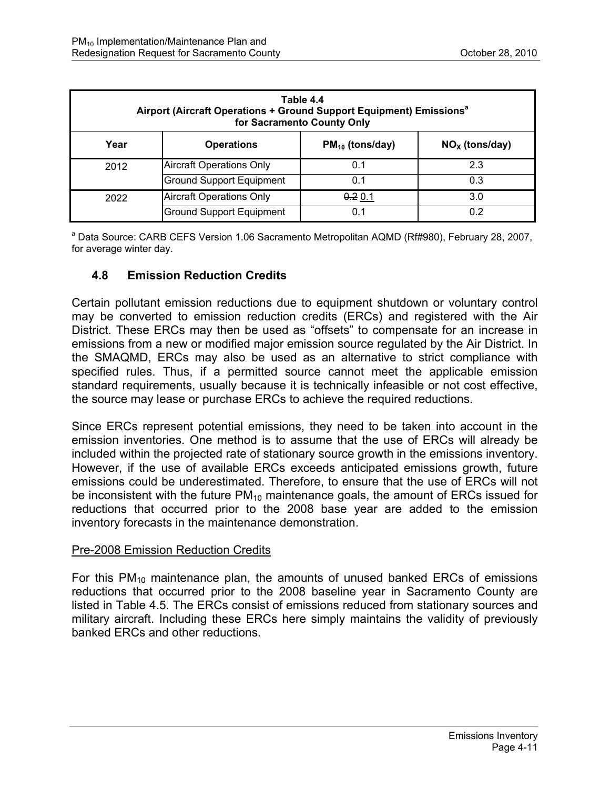| Table 4.4<br>Airport (Aircraft Operations + Ground Support Equipment) Emissions <sup>a</sup><br>for Sacramento County Only |                                 |                      |                  |  |  |
|----------------------------------------------------------------------------------------------------------------------------|---------------------------------|----------------------|------------------|--|--|
| Year                                                                                                                       | <b>Operations</b>               | $PM_{10}$ (tons/day) | $NOx$ (tons/day) |  |  |
| 2012                                                                                                                       | <b>Aircraft Operations Only</b> | 0.1                  | 2.3              |  |  |
|                                                                                                                            | <b>Ground Support Equipment</b> | 0.1                  | 0.3              |  |  |
| 2022                                                                                                                       | <b>Aircraft Operations Only</b> | 0.2 0.1              | 3.0              |  |  |
|                                                                                                                            | <b>Ground Support Equipment</b> | 0.1                  | 0.2              |  |  |

<sup>a</sup> Data Source: CARB CEFS Version 1.06 Sacramento Metropolitan AQMD (Rf#980), February 28, 2007, for average winter day.

## **4.8 Emission Reduction Credits**

Certain pollutant emission reductions due to equipment shutdown or voluntary control may be converted to emission reduction credits (ERCs) and registered with the Air District. These ERCs may then be used as "offsets" to compensate for an increase in emissions from a new or modified major emission source regulated by the Air District. In the SMAQMD, ERCs may also be used as an alternative to strict compliance with specified rules. Thus, if a permitted source cannot meet the applicable emission standard requirements, usually because it is technically infeasible or not cost effective, the source may lease or purchase ERCs to achieve the required reductions.

Since ERCs represent potential emissions, they need to be taken into account in the emission inventories. One method is to assume that the use of ERCs will already be included within the projected rate of stationary source growth in the emissions inventory. However, if the use of available ERCs exceeds anticipated emissions growth, future emissions could be underestimated. Therefore, to ensure that the use of ERCs will not be inconsistent with the future  $PM_{10}$  maintenance goals, the amount of ERCs issued for reductions that occurred prior to the 2008 base year are added to the emission inventory forecasts in the maintenance demonstration.

#### Pre-2008 Emission Reduction Credits

For this  $PM_{10}$  maintenance plan, the amounts of unused banked ERCs of emissions reductions that occurred prior to the 2008 baseline year in Sacramento County are listed in Table 4.5. The ERCs consist of emissions reduced from stationary sources and military aircraft. Including these ERCs here simply maintains the validity of previously banked ERCs and other reductions.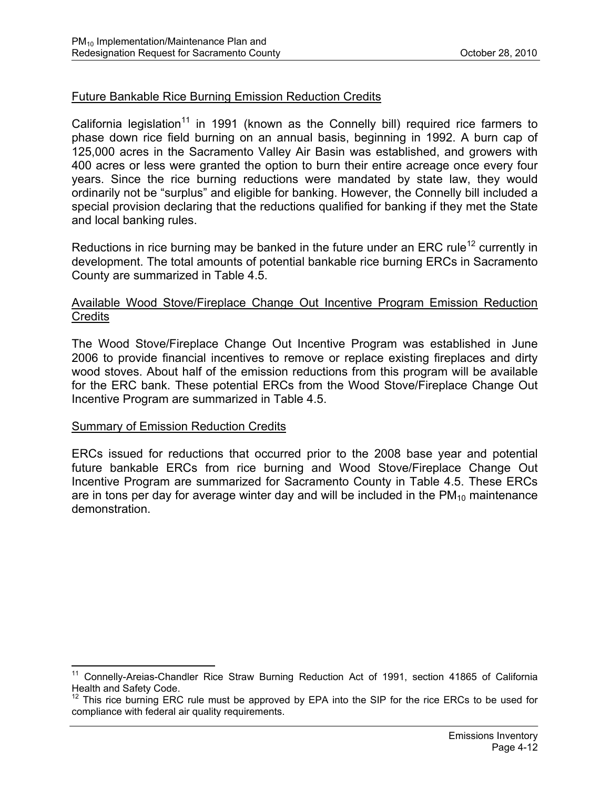#### Future Bankable Rice Burning Emission Reduction Credits

California legislation<sup>11</sup> in 1991 (known as the Connelly bill) required rice farmers to phase down rice field burning on an annual basis, beginning in 1992. A burn cap of 125,000 acres in the Sacramento Valley Air Basin was established, and growers with 400 acres or less were granted the option to burn their entire acreage once every four years. Since the rice burning reductions were mandated by state law, they would ordinarily not be "surplus" and eligible for banking. However, the Connelly bill included a special provision declaring that the reductions qualified for banking if they met the State and local banking rules.

Reductions in rice burning may be banked in the future under an ERC rule<sup>12</sup> currently in development. The total amounts of potential bankable rice burning ERCs in Sacramento County are summarized in Table 4.5.

#### Available Wood Stove/Fireplace Change Out Incentive Program Emission Reduction **Credits**

The Wood Stove/Fireplace Change Out Incentive Program was established in June 2006 to provide financial incentives to remove or replace existing fireplaces and dirty wood stoves. About half of the emission reductions from this program will be available for the ERC bank. These potential ERCs from the Wood Stove/Fireplace Change Out Incentive Program are summarized in Table 4.5.

#### Summary of Emission Reduction Credits

 $\overline{a}$ 

ERCs issued for reductions that occurred prior to the 2008 base year and potential future bankable ERCs from rice burning and Wood Stove/Fireplace Change Out Incentive Program are summarized for Sacramento County in Table 4.5. These ERCs are in tons per day for average winter day and will be included in the  $PM_{10}$  maintenance demonstration.

<sup>&</sup>lt;sup>11</sup> Connelly-Areias-Chandler Rice Straw Burning Reduction Act of 1991, section 41865 of California Health and Safety Code.

<sup>&</sup>lt;sup>12</sup> This rice burning ERC rule must be approved by EPA into the SIP for the rice ERCs to be used for compliance with federal air quality requirements.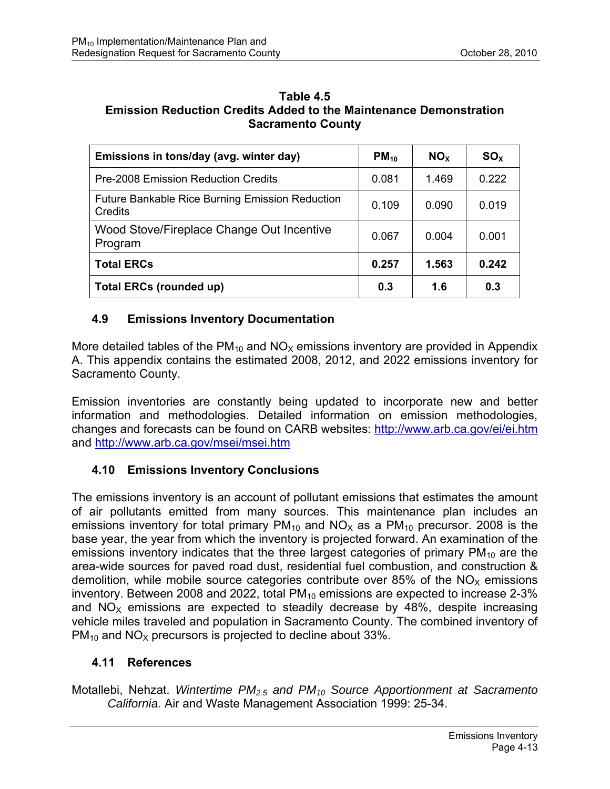### **Table 4.5 Emission Reduction Credits Added to the Maintenance Demonstration Sacramento County**

| Emissions in tons/day (avg. winter day)                           | $PM_{10}$ | NO <sub>x</sub> | SO <sub>x</sub> |
|-------------------------------------------------------------------|-----------|-----------------|-----------------|
| <b>Pre-2008 Emission Reduction Credits</b>                        | 0.081     | 1.469           | 0.222           |
| <b>Future Bankable Rice Burning Emission Reduction</b><br>Credits | 0.109     | 0.090           | 0.019           |
| Wood Stove/Fireplace Change Out Incentive<br>Program              | 0.067     | 0.004           | 0.001           |
| <b>Total ERCs</b>                                                 | 0.257     | 1.563           | 0.242           |
| <b>Total ERCs (rounded up)</b>                                    | 0.3       | 1.6             | 0.3             |

## **4.9 Emissions Inventory Documentation**

More detailed tables of the  $PM_{10}$  and  $NO_x$  emissions inventory are provided in Appendix A. This appendix contains the estimated 2008, 2012, and 2022 emissions inventory for Sacramento County.

Emission inventories are constantly being updated to incorporate new and better information and methodologies. Detailed information on emission methodologies, changes and forecasts can be found on CARB websites: http://www.arb.ca.gov/ei/ei.htm and http://www.arb.ca.gov/msei/msei.htm

## **4.10 Emissions Inventory Conclusions**

The emissions inventory is an account of pollutant emissions that estimates the amount of air pollutants emitted from many sources. This maintenance plan includes an emissions inventory for total primary  $PM_{10}$  and  $NO_{X}$  as a  $PM_{10}$  precursor. 2008 is the base year, the year from which the inventory is projected forward. An examination of the emissions inventory indicates that the three largest categories of primary  $PM_{10}$  are the area-wide sources for paved road dust, residential fuel combustion, and construction & demolition, while mobile source categories contribute over 85% of the  $NO<sub>x</sub>$  emissions inventory. Between 2008 and 2022, total  $PM_{10}$  emissions are expected to increase 2-3% and  $NO<sub>x</sub>$  emissions are expected to steadily decrease by 48%, despite increasing vehicle miles traveled and population in Sacramento County. The combined inventory of  $PM_{10}$  and  $NO_{X}$  precursors is projected to decline about 33%.

## **4.11 References**

Motallebi, Nehzat. *Wintertime PM2.5 and PM10 Source Apportionment at Sacramento California*. Air and Waste Management Association 1999: 25-34.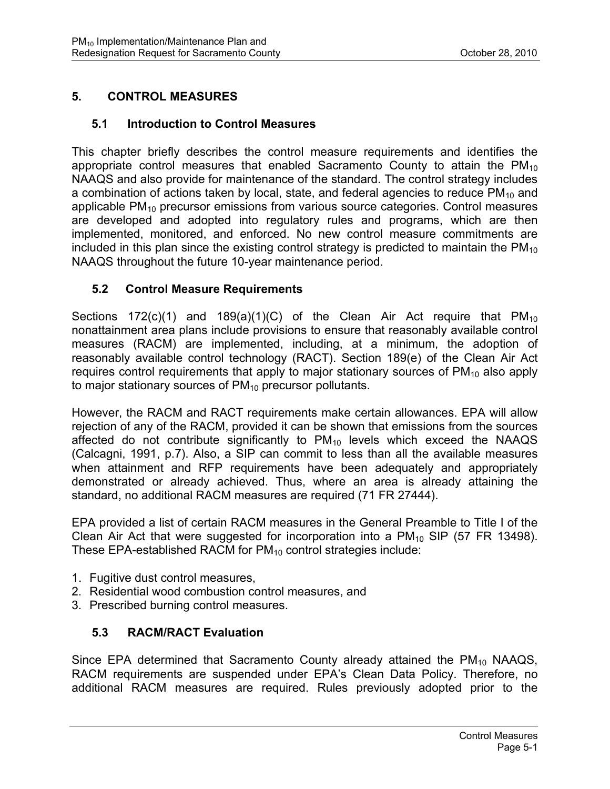## **5. CONTROL MEASURES**

### **5.1 Introduction to Control Measures**

This chapter briefly describes the control measure requirements and identifies the appropriate control measures that enabled Sacramento County to attain the PM10 NAAQS and also provide for maintenance of the standard. The control strategy includes a combination of actions taken by local, state, and federal agencies to reduce  $PM_{10}$  and applicable  $PM_{10}$  precursor emissions from various source categories. Control measures are developed and adopted into regulatory rules and programs, which are then implemented, monitored, and enforced. No new control measure commitments are included in this plan since the existing control strategy is predicted to maintain the  $PM_{10}$ NAAQS throughout the future 10-year maintenance period.

### **5.2 Control Measure Requirements**

Sections 172(c)(1) and 189(a)(1)(C) of the Clean Air Act require that  $PM_{10}$ nonattainment area plans include provisions to ensure that reasonably available control measures (RACM) are implemented, including, at a minimum, the adoption of reasonably available control technology (RACT). Section 189(e) of the Clean Air Act requires control requirements that apply to major stationary sources of  $PM_{10}$  also apply to major stationary sources of  $PM_{10}$  precursor pollutants.

However, the RACM and RACT requirements make certain allowances. EPA will allow rejection of any of the RACM, provided it can be shown that emissions from the sources affected do not contribute significantly to  $PM_{10}$  levels which exceed the NAAQS (Calcagni, 1991, p.7). Also, a SIP can commit to less than all the available measures when attainment and RFP requirements have been adequately and appropriately demonstrated or already achieved. Thus, where an area is already attaining the standard, no additional RACM measures are required (71 FR 27444).

EPA provided a list of certain RACM measures in the General Preamble to Title I of the Clean Air Act that were suggested for incorporation into a  $PM_{10}$  SIP (57 FR 13498). These EPA-established RACM for  $PM_{10}$  control strategies include:

- 1. Fugitive dust control measures,
- 2. Residential wood combustion control measures, and
- 3. Prescribed burning control measures.

## **5.3 RACM/RACT Evaluation**

Since EPA determined that Sacramento County already attained the  $PM_{10}$  NAAQS, RACM requirements are suspended under EPA's Clean Data Policy. Therefore, no additional RACM measures are required. Rules previously adopted prior to the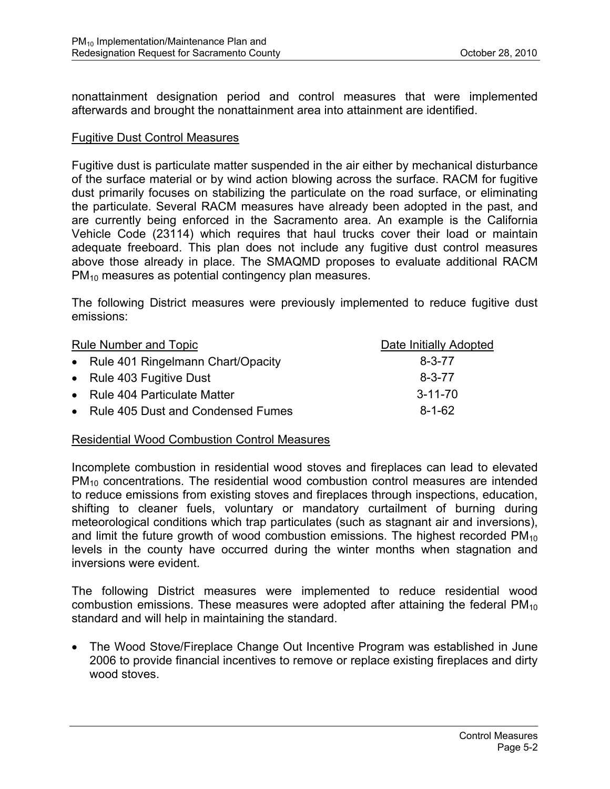nonattainment designation period and control measures that were implemented afterwards and brought the nonattainment area into attainment are identified.

#### Fugitive Dust Control Measures

Fugitive dust is particulate matter suspended in the air either by mechanical disturbance of the surface material or by wind action blowing across the surface. RACM for fugitive dust primarily focuses on stabilizing the particulate on the road surface, or eliminating the particulate. Several RACM measures have already been adopted in the past, and are currently being enforced in the Sacramento area. An example is the California Vehicle Code (23114) which requires that haul trucks cover their load or maintain adequate freeboard. This plan does not include any fugitive dust control measures above those already in place. The SMAQMD proposes to evaluate additional RACM PM<sub>10</sub> measures as potential contingency plan measures.

The following District measures were previously implemented to reduce fugitive dust emissions:

| Rule Number and Topic               | Date Initially Adopted |
|-------------------------------------|------------------------|
| • Rule 401 Ringelmann Chart/Opacity | $8 - 3 - 77$           |
| • Rule 403 Fugitive Dust            | $8 - 3 - 77$           |
| • Rule 404 Particulate Matter       | $3 - 11 - 70$          |
| • Rule 405 Dust and Condensed Fumes | $8 - 1 - 62$           |

#### Residential Wood Combustion Control Measures

Incomplete combustion in residential wood stoves and fireplaces can lead to elevated PM<sub>10</sub> concentrations. The residential wood combustion control measures are intended to reduce emissions from existing stoves and fireplaces through inspections, education, shifting to cleaner fuels, voluntary or mandatory curtailment of burning during meteorological conditions which trap particulates (such as stagnant air and inversions), and limit the future growth of wood combustion emissions. The highest recorded  $PM_{10}$ levels in the county have occurred during the winter months when stagnation and inversions were evident.

The following District measures were implemented to reduce residential wood combustion emissions. These measures were adopted after attaining the federal  $PM_{10}$ standard and will help in maintaining the standard.

• The Wood Stove/Fireplace Change Out Incentive Program was established in June 2006 to provide financial incentives to remove or replace existing fireplaces and dirty wood stoves.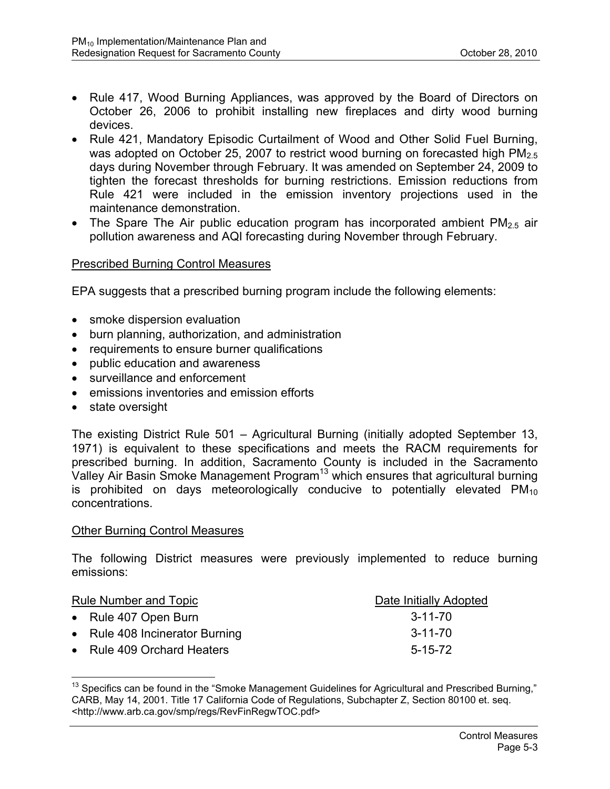- Rule 417, Wood Burning Appliances, was approved by the Board of Directors on October 26, 2006 to prohibit installing new fireplaces and dirty wood burning devices.
- Rule 421, Mandatory Episodic Curtailment of Wood and Other Solid Fuel Burning, was adopted on October 25, 2007 to restrict wood burning on forecasted high  $PM<sub>2.5</sub>$ days during November through February. It was amended on September 24, 2009 to tighten the forecast thresholds for burning restrictions. Emission reductions from Rule 421 were included in the emission inventory projections used in the maintenance demonstration.
- The Spare The Air public education program has incorporated ambient  $PM_{2.5}$  air pollution awareness and AQI forecasting during November through February.

#### Prescribed Burning Control Measures

EPA suggests that a prescribed burning program include the following elements:

- smoke dispersion evaluation
- burn planning, authorization, and administration
- requirements to ensure burner qualifications
- public education and awareness
- surveillance and enforcement
- emissions inventories and emission efforts
- state oversight

 $\overline{a}$ 

The existing District Rule 501 – Agricultural Burning (initially adopted September 13, 1971) is equivalent to these specifications and meets the RACM requirements for prescribed burning. In addition, Sacramento County is included in the Sacramento Valley Air Basin Smoke Management Program<sup>13</sup> which ensures that agricultural burning is prohibited on days meteorologically conducive to potentially elevated  $PM_{10}$ concentrations.

#### Other Burning Control Measures

The following District measures were previously implemented to reduce burning emissions:

| Rule Number and Topic          | Date Initially Adopted |
|--------------------------------|------------------------|
| • Rule 407 Open Burn           | 3-11-70                |
| • Rule 408 Incinerator Burning | $3 - 11 - 70$          |
| • Rule 409 Orchard Heaters     | $5 - 15 - 72$          |

 $13$  Specifics can be found in the "Smoke Management Guidelines for Agricultural and Prescribed Burning." CARB, May 14, 2001. Title 17 California Code of Regulations, Subchapter Z, Section 80100 et. seq. <http://www.arb.ca.gov/smp/regs/RevFinRegwTOC.pdf>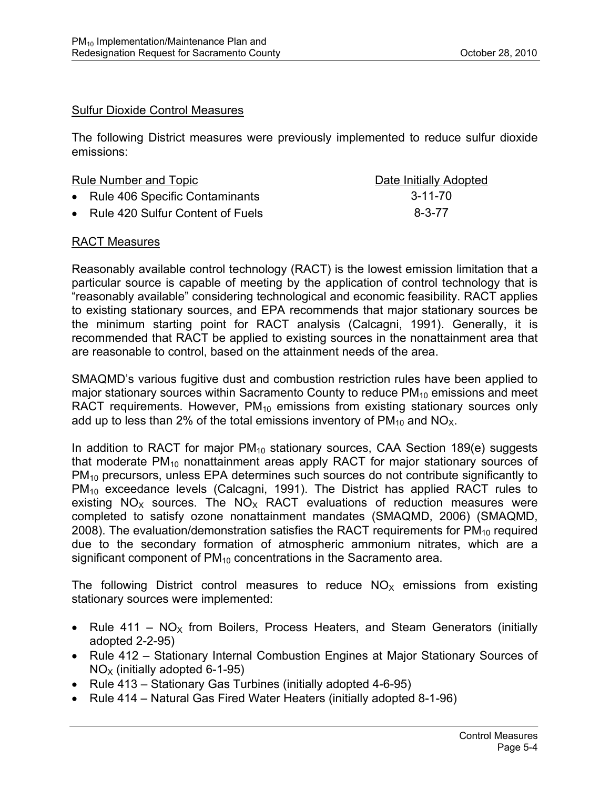### Sulfur Dioxide Control Measures

The following District measures were previously implemented to reduce sulfur dioxide emissions:

| <b>Rule Number and Topic</b> |                                    | Date Initially Adopted |
|------------------------------|------------------------------------|------------------------|
|                              | • Rule 406 Specific Contaminants   | $3 - 11 - 70$          |
|                              | • Rule 420 Sulfur Content of Fuels | $8 - 3 - 77$           |

#### RACT Measures

Reasonably available control technology (RACT) is the lowest emission limitation that a particular source is capable of meeting by the application of control technology that is "reasonably available" considering technological and economic feasibility. RACT applies to existing stationary sources, and EPA recommends that major stationary sources be the minimum starting point for RACT analysis (Calcagni, 1991). Generally, it is recommended that RACT be applied to existing sources in the nonattainment area that are reasonable to control, based on the attainment needs of the area.

SMAQMD's various fugitive dust and combustion restriction rules have been applied to major stationary sources within Sacramento County to reduce  $PM_{10}$  emissions and meet RACT requirements. However,  $PM_{10}$  emissions from existing stationary sources only add up to less than 2% of the total emissions inventory of  $PM_{10}$  and  $NO_{X}$ .

In addition to RACT for major  $PM_{10}$  stationary sources, CAA Section 189(e) suggests that moderate  $PM_{10}$  nonattainment areas apply RACT for major stationary sources of PM<sub>10</sub> precursors, unless EPA determines such sources do not contribute significantly to PM<sub>10</sub> exceedance levels (Calcagni, 1991). The District has applied RACT rules to existing  $NO<sub>x</sub>$  sources. The  $NO<sub>x</sub>$  RACT evaluations of reduction measures were completed to satisfy ozone nonattainment mandates (SMAQMD, 2006) (SMAQMD, 2008). The evaluation/demonstration satisfies the RACT requirements for  $PM_{10}$  required due to the secondary formation of atmospheric ammonium nitrates, which are a significant component of  $PM_{10}$  concentrations in the Sacramento area.

The following District control measures to reduce  $NO<sub>x</sub>$  emissions from existing stationary sources were implemented:

- Rule 411  $NO<sub>X</sub>$  from Boilers, Process Heaters, and Steam Generators (initially adopted 2-2-95)
- Rule 412 Stationary Internal Combustion Engines at Major Stationary Sources of  $NO<sub>x</sub>$  (initially adopted 6-1-95)
- Rule 413 Stationary Gas Turbines (initially adopted 4-6-95)
- Rule 414 Natural Gas Fired Water Heaters (initially adopted 8-1-96)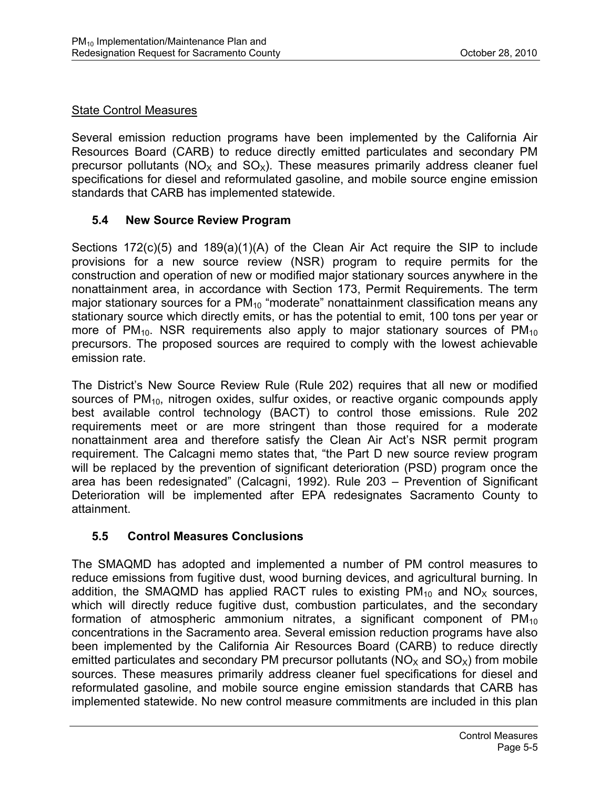## State Control Measures

Several emission reduction programs have been implemented by the California Air Resources Board (CARB) to reduce directly emitted particulates and secondary PM precursor pollutants ( $NO<sub>x</sub>$  and  $SO<sub>x</sub>$ ). These measures primarily address cleaner fuel specifications for diesel and reformulated gasoline, and mobile source engine emission standards that CARB has implemented statewide.

## **5.4 New Source Review Program**

Sections 172(c)(5) and 189(a)(1)(A) of the Clean Air Act require the SIP to include provisions for a new source review (NSR) program to require permits for the construction and operation of new or modified major stationary sources anywhere in the nonattainment area, in accordance with Section 173, Permit Requirements. The term major stationary sources for a  $PM_{10}$  "moderate" nonattainment classification means any stationary source which directly emits, or has the potential to emit, 100 tons per year or more of  $PM_{10}$ . NSR requirements also apply to major stationary sources of  $PM_{10}$ precursors. The proposed sources are required to comply with the lowest achievable emission rate.

The District's New Source Review Rule (Rule 202) requires that all new or modified sources of  $PM_{10}$ , nitrogen oxides, sulfur oxides, or reactive organic compounds apply best available control technology (BACT) to control those emissions. Rule 202 requirements meet or are more stringent than those required for a moderate nonattainment area and therefore satisfy the Clean Air Act's NSR permit program requirement. The Calcagni memo states that, "the Part D new source review program will be replaced by the prevention of significant deterioration (PSD) program once the area has been redesignated" (Calcagni, 1992). Rule 203 – Prevention of Significant Deterioration will be implemented after EPA redesignates Sacramento County to attainment.

## **5.5 Control Measures Conclusions**

The SMAQMD has adopted and implemented a number of PM control measures to reduce emissions from fugitive dust, wood burning devices, and agricultural burning. In addition, the SMAQMD has applied RACT rules to existing  $PM_{10}$  and  $NO<sub>X</sub>$  sources, which will directly reduce fugitive dust, combustion particulates, and the secondary formation of atmospheric ammonium nitrates, a significant component of  $PM_{10}$ concentrations in the Sacramento area. Several emission reduction programs have also been implemented by the California Air Resources Board (CARB) to reduce directly emitted particulates and secondary PM precursor pollutants ( $NO<sub>X</sub>$  and  $SO<sub>X</sub>$ ) from mobile sources. These measures primarily address cleaner fuel specifications for diesel and reformulated gasoline, and mobile source engine emission standards that CARB has implemented statewide. No new control measure commitments are included in this plan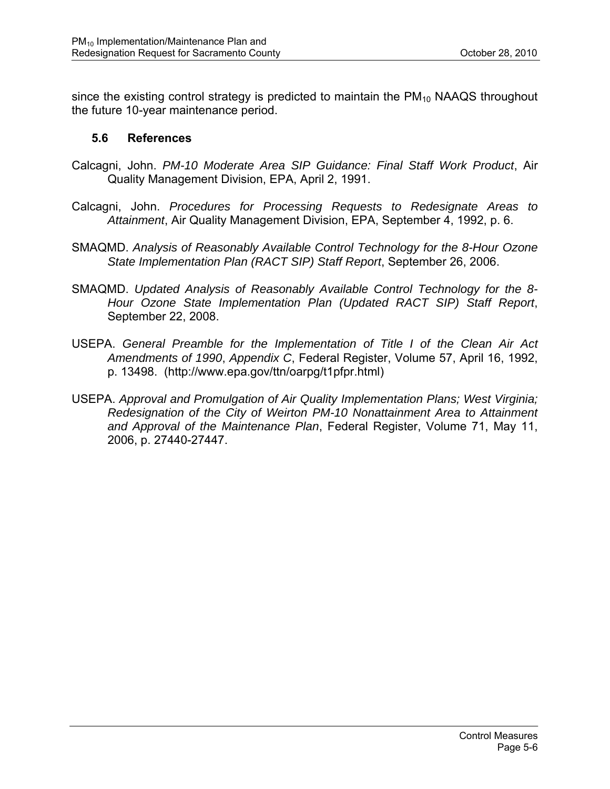since the existing control strategy is predicted to maintain the  $PM_{10}$  NAAQS throughout the future 10-year maintenance period.

#### **5.6 References**

- Calcagni, John. *PM-10 Moderate Area SIP Guidance: Final Staff Work Product*, Air Quality Management Division, EPA, April 2, 1991.
- Calcagni, John. *Procedures for Processing Requests to Redesignate Areas to Attainment*, Air Quality Management Division, EPA, September 4, 1992, p. 6.
- SMAQMD. *Analysis of Reasonably Available Control Technology for the 8-Hour Ozone State Implementation Plan (RACT SIP) Staff Report*, September 26, 2006.
- SMAQMD. *Updated Analysis of Reasonably Available Control Technology for the 8- Hour Ozone State Implementation Plan (Updated RACT SIP) Staff Report*, September 22, 2008.
- USEPA. *General Preamble for the Implementation of Title I of the Clean Air Act Amendments of 1990*, *Appendix C*, Federal Register, Volume 57, April 16, 1992, p. 13498. (http://www.epa.gov/ttn/oarpg/t1pfpr.html)
- USEPA. *Approval and Promulgation of Air Quality Implementation Plans; West Virginia; Redesignation of the City of Weirton PM-10 Nonattainment Area to Attainment and Approval of the Maintenance Plan*, Federal Register, Volume 71, May 11, 2006, p. 27440-27447.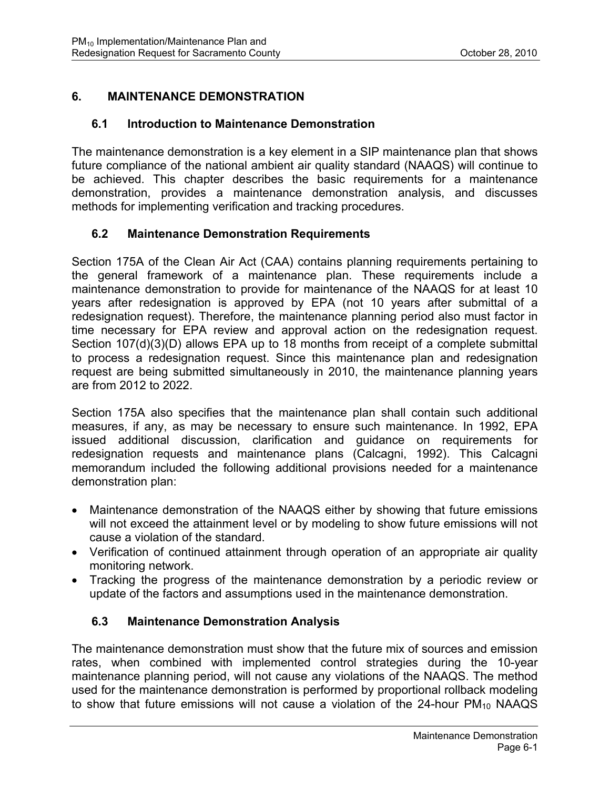## **6. MAINTENANCE DEMONSTRATION**

### **6.1 Introduction to Maintenance Demonstration**

The maintenance demonstration is a key element in a SIP maintenance plan that shows future compliance of the national ambient air quality standard (NAAQS) will continue to be achieved. This chapter describes the basic requirements for a maintenance demonstration, provides a maintenance demonstration analysis, and discusses methods for implementing verification and tracking procedures.

### **6.2 Maintenance Demonstration Requirements**

Section 175A of the Clean Air Act (CAA) contains planning requirements pertaining to the general framework of a maintenance plan. These requirements include a maintenance demonstration to provide for maintenance of the NAAQS for at least 10 years after redesignation is approved by EPA (not 10 years after submittal of a redesignation request). Therefore, the maintenance planning period also must factor in time necessary for EPA review and approval action on the redesignation request. Section 107(d)(3)(D) allows EPA up to 18 months from receipt of a complete submittal to process a redesignation request. Since this maintenance plan and redesignation request are being submitted simultaneously in 2010, the maintenance planning years are from 2012 to 2022.

Section 175A also specifies that the maintenance plan shall contain such additional measures, if any, as may be necessary to ensure such maintenance. In 1992, EPA issued additional discussion, clarification and guidance on requirements for redesignation requests and maintenance plans (Calcagni, 1992). This Calcagni memorandum included the following additional provisions needed for a maintenance demonstration plan:

- Maintenance demonstration of the NAAQS either by showing that future emissions will not exceed the attainment level or by modeling to show future emissions will not cause a violation of the standard.
- Verification of continued attainment through operation of an appropriate air quality monitoring network.
- Tracking the progress of the maintenance demonstration by a periodic review or update of the factors and assumptions used in the maintenance demonstration.

## **6.3 Maintenance Demonstration Analysis**

The maintenance demonstration must show that the future mix of sources and emission rates, when combined with implemented control strategies during the 10-year maintenance planning period, will not cause any violations of the NAAQS. The method used for the maintenance demonstration is performed by proportional rollback modeling to show that future emissions will not cause a violation of the  $24$ -hour  $PM_{10}$  NAAQS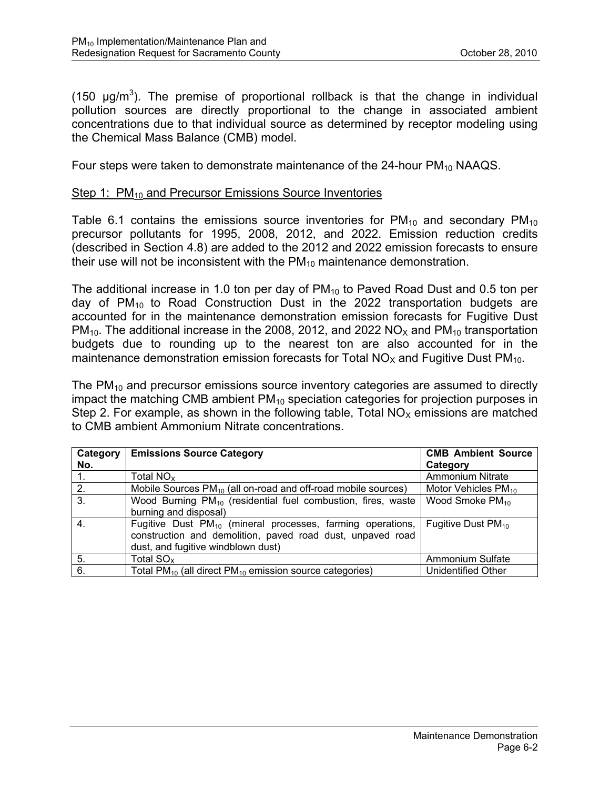(150  $\mu$ g/m<sup>3</sup>). The premise of proportional rollback is that the change in individual pollution sources are directly proportional to the change in associated ambient concentrations due to that individual source as determined by receptor modeling using the Chemical Mass Balance (CMB) model.

Four steps were taken to demonstrate maintenance of the 24-hour  $PM_{10}$  NAAQS.

#### Step 1: PM<sub>10</sub> and Precursor Emissions Source Inventories

Table 6.1 contains the emissions source inventories for  $PM_{10}$  and secondary  $PM_{10}$ precursor pollutants for 1995, 2008, 2012, and 2022. Emission reduction credits (described in Section 4.8) are added to the 2012 and 2022 emission forecasts to ensure their use will not be inconsistent with the  $PM_{10}$  maintenance demonstration.

The additional increase in 1.0 ton per day of  $PM_{10}$  to Paved Road Dust and 0.5 ton per day of  $PM_{10}$  to Road Construction Dust in the 2022 transportation budgets are accounted for in the maintenance demonstration emission forecasts for Fugitive Dust  $PM_{10}$ . The additional increase in the 2008, 2012, and 2022 NO<sub>x</sub> and  $PM_{10}$  transportation budgets due to rounding up to the nearest ton are also accounted for in the maintenance demonstration emission forecasts for Total  $NO<sub>x</sub>$  and Fugitive Dust PM<sub>10</sub>.

The  $PM_{10}$  and precursor emissions source inventory categories are assumed to directly impact the matching CMB ambient  $PM_{10}$  speciation categories for projection purposes in Step 2. For example, as shown in the following table, Total  $NO<sub>x</sub>$  emissions are matched to CMB ambient Ammonium Nitrate concentrations.

| Category       | <b>Emissions Source Category</b>                                                | <b>CMB Ambient Source</b>       |
|----------------|---------------------------------------------------------------------------------|---------------------------------|
| No.            |                                                                                 | Category                        |
| $\mathbf{1}$ . | Total $NOx$                                                                     | <b>Ammonium Nitrate</b>         |
| 2.             | Mobile Sources PM <sub>10</sub> (all on-road and off-road mobile sources)       | Motor Vehicles PM <sub>10</sub> |
| 3.             | Wood Burning PM <sub>10</sub> (residential fuel combustion, fires, waste        | Wood Smoke PM <sub>10</sub>     |
|                | burning and disposal)                                                           |                                 |
| 4.             | Fugitive Dust PM <sub>10</sub> (mineral processes, farming operations,          | Fugitive Dust $PM_{10}$         |
|                | construction and demolition, paved road dust, unpaved road                      |                                 |
|                | dust, and fugitive windblown dust)                                              |                                 |
| 5.             | Total $SOx$                                                                     | Ammonium Sulfate                |
| 6.             | Total PM <sub>10</sub> (all direct PM <sub>10</sub> emission source categories) | Unidentified Other              |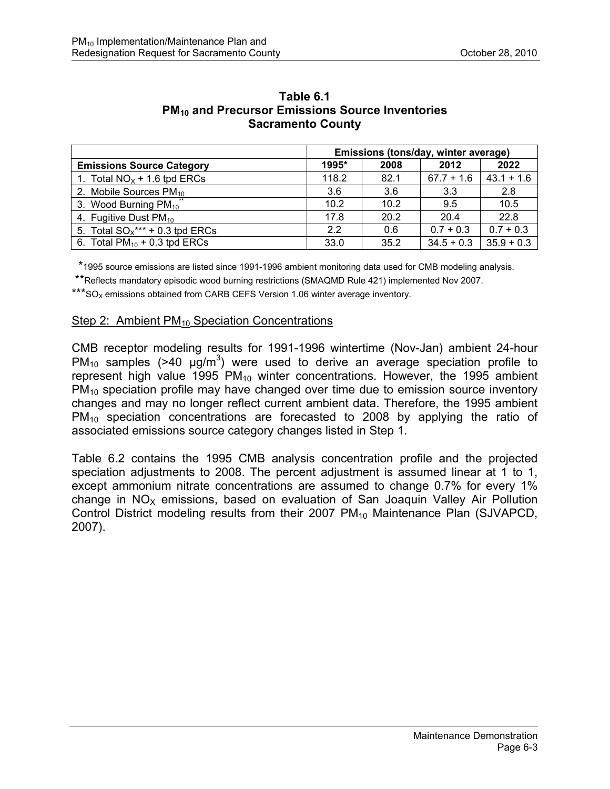|                                    | Emissions (tons/day, winter average) |      |              |              |
|------------------------------------|--------------------------------------|------|--------------|--------------|
| <b>Emissions Source Category</b>   | 1995*                                | 2008 | 2012         | 2022         |
| 1. Total $NOx + 1.6$ tpd ERCs      | 118.2                                | 82.1 | $67.7 + 1.6$ | $43.1 + 1.6$ |
| 2. Mobile Sources PM <sub>10</sub> | 3.6                                  | 3.6  | 3.3          | 2.8          |
| 3. Wood Burning $PM_{10}$          | 10.2                                 | 10.2 | 9.5          | 10.5         |
| 4. Fugitive Dust PM <sub>10</sub>  | 17.8                                 | 20.2 | 20.4         | 22.8         |
| 5. Total $SO_x$ *** + 0.3 tpd ERCs | 2.2                                  | 0.6  | $0.7 + 0.3$  | $0.7 + 0.3$  |
| 6. Total $PM_{10}$ + 0.3 tpd ERCs  | 33.0                                 | 35.2 | $34.5 + 0.3$ | $35.9 + 0.3$ |

#### **Table 6.1 PM10 and Precursor Emissions Source Inventories Sacramento County**

\*1995 source emissions are listed since 1991-1996 ambient monitoring data used for CMB modeling analysis.

\*\*Reflects mandatory episodic wood burning restrictions (SMAQMD Rule 421) implemented Nov 2007.

\*\*\* $SO<sub>X</sub>$  emissions obtained from CARB CEFS Version 1.06 winter average inventory.

#### Step 2: Ambient  $PM_{10}$  Speciation Concentrations

CMB receptor modeling results for 1991-1996 wintertime (Nov-Jan) ambient 24-hour PM<sub>10</sub> samples (>40  $\mu$ g/m<sup>3</sup>) were used to derive an average speciation profile to represent high value 1995  $PM_{10}$  winter concentrations. However, the 1995 ambient PM<sub>10</sub> speciation profile may have changed over time due to emission source inventory changes and may no longer reflect current ambient data. Therefore, the 1995 ambient PM10 speciation concentrations are forecasted to 2008 by applying the ratio of associated emissions source category changes listed in Step 1.

Table 6.2 contains the 1995 CMB analysis concentration profile and the projected speciation adjustments to 2008. The percent adjustment is assumed linear at 1 to 1, except ammonium nitrate concentrations are assumed to change 0.7% for every 1% change in  $NO<sub>x</sub>$  emissions, based on evaluation of San Joaquin Valley Air Pollution Control District modeling results from their 2007  $PM_{10}$  Maintenance Plan (SJVAPCD, 2007).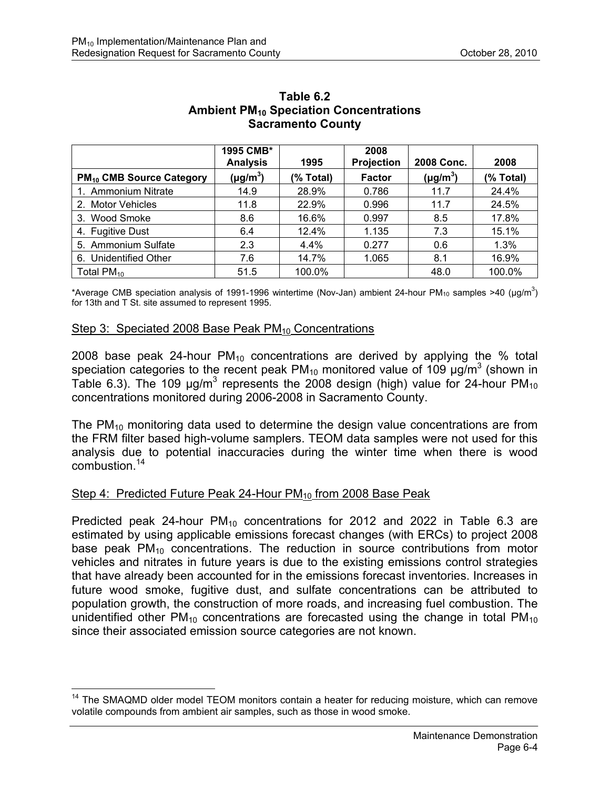|                                            | 1995 CMB*<br><b>Analysis</b> | 1995      | 2008<br>Projection | 2008 Conc.    | 2008      |
|--------------------------------------------|------------------------------|-----------|--------------------|---------------|-----------|
| <b>PM<sub>10</sub> CMB Source Category</b> | $(\mu g/m^3)$                | (% Total) | <b>Factor</b>      | $(\mu g/m^3)$ | (% Total) |
| 1. Ammonium Nitrate                        | 14.9                         | 28.9%     | 0.786              | 11.7          | 24.4%     |
| 2. Motor Vehicles                          | 11.8                         | 22.9%     | 0.996              | 11.7          | 24.5%     |
| 3. Wood Smoke                              | 8.6                          | 16.6%     | 0.997              | 8.5           | 17.8%     |
| 4. Fugitive Dust                           | 6.4                          | 12.4%     | 1.135              | 7.3           | 15.1%     |
| 5. Ammonium Sulfate                        | 2.3                          | $4.4\%$   | 0.277              | 0.6           | 1.3%      |
| 6. Unidentified Other                      | 7.6                          | 14.7%     | 1.065              | 8.1           | 16.9%     |
| Total $PM_{10}$                            | 51.5                         | 100.0%    |                    | 48.0          | 100.0%    |

#### **Table 6.2 Ambient PM10 Speciation Concentrations Sacramento County**

\*Average CMB speciation analysis of 1991-1996 wintertime (Nov-Jan) ambient 24-hour PM<sub>10</sub> samples >40 (µg/m<sup>3</sup>) for 13th and T St. site assumed to represent 1995.

#### Step 3: Speciated 2008 Base Peak  $PM_{10}$  Concentrations

2008 base peak 24-hour  $PM_{10}$  concentrations are derived by applying the % total speciation categories to the recent peak PM<sub>10</sub> monitored value of 109  $\mu$ g/m<sup>3</sup> (shown in Table 6.3). The 109  $\mu$ g/m<sup>3</sup> represents the 2008 design (high) value for 24-hour PM<sub>10</sub> concentrations monitored during 2006-2008 in Sacramento County.

The PM<sub>10</sub> monitoring data used to determine the design value concentrations are from the FRM filter based high-volume samplers. TEOM data samples were not used for this analysis due to potential inaccuracies during the winter time when there is wood combustion<sup>14</sup>

#### Step 4: Predicted Future Peak 24-Hour PM<sub>10</sub> from 2008 Base Peak

1

Predicted peak 24-hour  $PM_{10}$  concentrations for 2012 and 2022 in Table 6.3 are estimated by using applicable emissions forecast changes (with ERCs) to project 2008 base peak  $PM_{10}$  concentrations. The reduction in source contributions from motor vehicles and nitrates in future years is due to the existing emissions control strategies that have already been accounted for in the emissions forecast inventories. Increases in future wood smoke, fugitive dust, and sulfate concentrations can be attributed to population growth, the construction of more roads, and increasing fuel combustion. The unidentified other  $PM_{10}$  concentrations are forecasted using the change in total  $PM_{10}$ since their associated emission source categories are not known.

<sup>&</sup>lt;sup>14</sup> The SMAQMD older model TEOM monitors contain a heater for reducing moisture, which can remove volatile compounds from ambient air samples, such as those in wood smoke.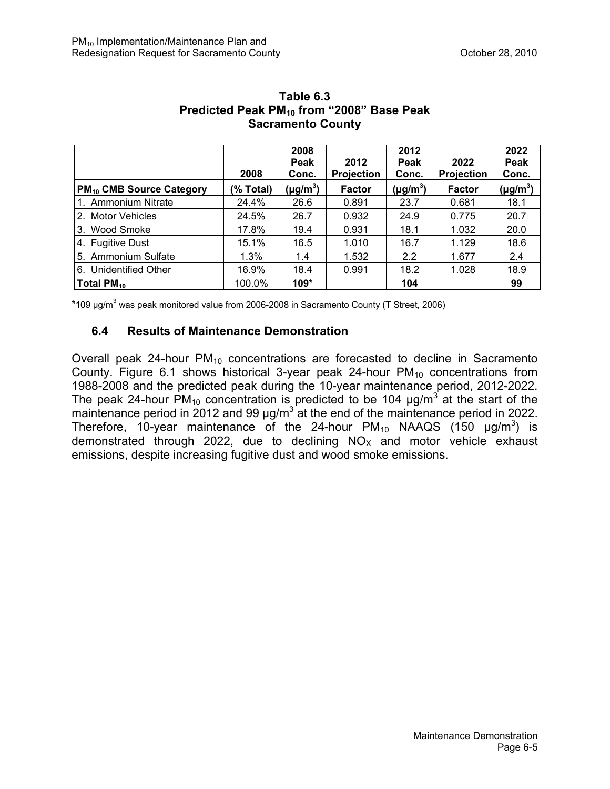|                                            |           | 2008          |                   | 2012          |                   | 2022          |
|--------------------------------------------|-----------|---------------|-------------------|---------------|-------------------|---------------|
|                                            |           | Peak          | 2012              | Peak          | 2022              | Peak          |
|                                            | 2008      | Conc.         | <b>Projection</b> | Conc.         | <b>Projection</b> | Conc.         |
| <b>PM<sub>10</sub> CMB Source Category</b> | (% Total) | $(\mu g/m^3)$ | <b>Factor</b>     | $(\mu g/m^3)$ | <b>Factor</b>     | $(\mu g/m^3)$ |
| 1. Ammonium Nitrate                        | 24.4%     | 26.6          | 0.891             | 23.7          | 0.681             | 18.1          |
| 2. Motor Vehicles                          | 24.5%     | 26.7          | 0.932             | 24.9          | 0.775             | 20.7          |
| 3. Wood Smoke                              | 17.8%     | 19.4          | 0.931             | 18.1          | 1.032             | 20.0          |
| 4. Fugitive Dust                           | 15.1%     | 16.5          | 1.010             | 16.7          | 1.129             | 18.6          |
| 5. Ammonium Sulfate                        | $1.3\%$   | 1.4           | 1.532             | 2.2           | 1.677             | 2.4           |
| 6. Unidentified Other                      | 16.9%     | 18.4          | 0.991             | 18.2          | 1.028             | 18.9          |
| Total $PM_{10}$                            | 100.0%    | $109*$        |                   | 104           |                   | 99            |

#### **Table 6.3 Predicted Peak PM10 from "2008" Base Peak Sacramento County**

\*109  $\mu$ g/m<sup>3</sup> was peak monitored value from 2006-2008 in Sacramento County (T Street, 2006)

#### **6.4 Results of Maintenance Demonstration**

Overall peak 24-hour  $PM_{10}$  concentrations are forecasted to decline in Sacramento County. Figure 6.1 shows historical 3-year peak 24-hour  $PM_{10}$  concentrations from 1988-2008 and the predicted peak during the 10-year maintenance period, 2012-2022. The peak 24-hour PM<sub>10</sub> concentration is predicted to be 104  $\mu$ g/m<sup>3</sup> at the start of the maintenance period in 2012 and 99  $\mu$ g/m<sup>3</sup> at the end of the maintenance period in 2022. Therefore, 10-year maintenance of the 24-hour  $PM_{10}$  NAAQS (150  $\mu$ g/m<sup>3</sup>) is demonstrated through 2022, due to declining  $NO<sub>x</sub>$  and motor vehicle exhaust emissions, despite increasing fugitive dust and wood smoke emissions.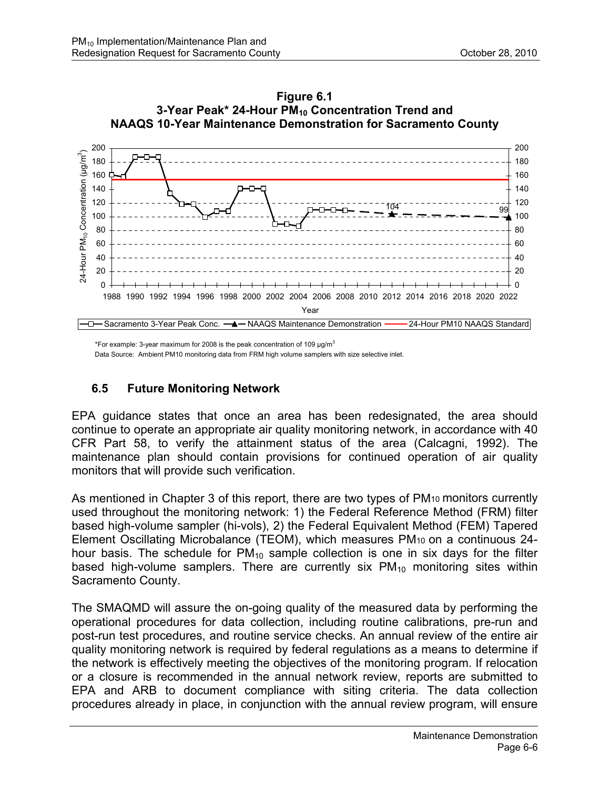



\*For example: 3-year maximum for 2008 is the peak concentration of 109  $\mu$ g/m<sup>3</sup>

Data Source: Ambient PM10 monitoring data from FRM high volume samplers with size selective inlet.

### **6.5 Future Monitoring Network**

EPA guidance states that once an area has been redesignated, the area should continue to operate an appropriate air quality monitoring network, in accordance with 40 CFR Part 58, to verify the attainment status of the area (Calcagni, 1992). The maintenance plan should contain provisions for continued operation of air quality monitors that will provide such verification.

As mentioned in Chapter 3 of this report, there are two types of PM10 monitors currently used throughout the monitoring network: 1) the Federal Reference Method (FRM) filter based high-volume sampler (hi-vols), 2) the Federal Equivalent Method (FEM) Tapered Element Oscillating Microbalance (TEOM), which measures PM10 on a continuous 24 hour basis. The schedule for  $PM_{10}$  sample collection is one in six days for the filter based high-volume samplers. There are currently six  $PM_{10}$  monitoring sites within Sacramento County.

The SMAQMD will assure the on-going quality of the measured data by performing the operational procedures for data collection, including routine calibrations, pre-run and post-run test procedures, and routine service checks. An annual review of the entire air quality monitoring network is required by federal regulations as a means to determine if the network is effectively meeting the objectives of the monitoring program. If relocation or a closure is recommended in the annual network review, reports are submitted to EPA and ARB to document compliance with siting criteria. The data collection procedures already in place, in conjunction with the annual review program, will ensure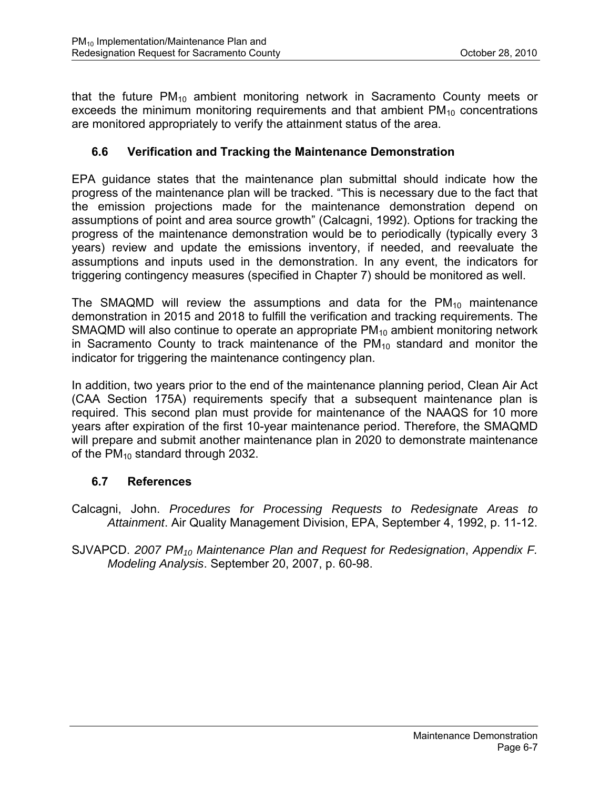that the future  $PM_{10}$  ambient monitoring network in Sacramento County meets or exceeds the minimum monitoring requirements and that ambient  $PM_{10}$  concentrations are monitored appropriately to verify the attainment status of the area.

## **6.6 Verification and Tracking the Maintenance Demonstration**

EPA guidance states that the maintenance plan submittal should indicate how the progress of the maintenance plan will be tracked. "This is necessary due to the fact that the emission projections made for the maintenance demonstration depend on assumptions of point and area source growth" (Calcagni, 1992). Options for tracking the progress of the maintenance demonstration would be to periodically (typically every 3 years) review and update the emissions inventory, if needed, and reevaluate the assumptions and inputs used in the demonstration. In any event, the indicators for triggering contingency measures (specified in Chapter 7) should be monitored as well.

The SMAQMD will review the assumptions and data for the  $PM_{10}$  maintenance demonstration in 2015 and 2018 to fulfill the verification and tracking requirements. The SMAQMD will also continue to operate an appropriate  $PM_{10}$  ambient monitoring network in Sacramento County to track maintenance of the  $PM_{10}$  standard and monitor the indicator for triggering the maintenance contingency plan.

In addition, two years prior to the end of the maintenance planning period, Clean Air Act (CAA Section 175A) requirements specify that a subsequent maintenance plan is required. This second plan must provide for maintenance of the NAAQS for 10 more years after expiration of the first 10-year maintenance period. Therefore, the SMAQMD will prepare and submit another maintenance plan in 2020 to demonstrate maintenance of the  $PM_{10}$  standard through 2032.

#### **6.7 References**

- Calcagni, John. *Procedures for Processing Requests to Redesignate Areas to Attainment*. Air Quality Management Division, EPA, September 4, 1992, p. 11-12.
- SJVAPCD. *2007 PM10 Maintenance Plan and Request for Redesignation*, *Appendix F. Modeling Analysis*. September 20, 2007, p. 60-98.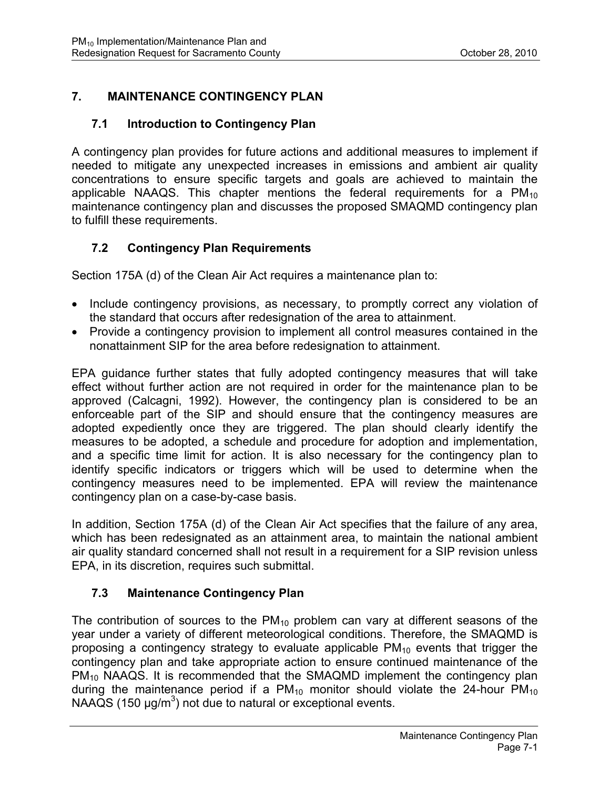# **7. MAINTENANCE CONTINGENCY PLAN**

## **7.1 Introduction to Contingency Plan**

A contingency plan provides for future actions and additional measures to implement if needed to mitigate any unexpected increases in emissions and ambient air quality concentrations to ensure specific targets and goals are achieved to maintain the applicable NAAQS. This chapter mentions the federal requirements for a  $PM_{10}$ maintenance contingency plan and discusses the proposed SMAQMD contingency plan to fulfill these requirements.

## **7.2 Contingency Plan Requirements**

Section 175A (d) of the Clean Air Act requires a maintenance plan to:

- Include contingency provisions, as necessary, to promptly correct any violation of the standard that occurs after redesignation of the area to attainment.
- Provide a contingency provision to implement all control measures contained in the nonattainment SIP for the area before redesignation to attainment.

EPA guidance further states that fully adopted contingency measures that will take effect without further action are not required in order for the maintenance plan to be approved (Calcagni, 1992). However, the contingency plan is considered to be an enforceable part of the SIP and should ensure that the contingency measures are adopted expediently once they are triggered. The plan should clearly identify the measures to be adopted, a schedule and procedure for adoption and implementation, and a specific time limit for action. It is also necessary for the contingency plan to identify specific indicators or triggers which will be used to determine when the contingency measures need to be implemented. EPA will review the maintenance contingency plan on a case-by-case basis.

In addition, Section 175A (d) of the Clean Air Act specifies that the failure of any area, which has been redesignated as an attainment area, to maintain the national ambient air quality standard concerned shall not result in a requirement for a SIP revision unless EPA, in its discretion, requires such submittal.

## **7.3 Maintenance Contingency Plan**

The contribution of sources to the  $PM_{10}$  problem can vary at different seasons of the year under a variety of different meteorological conditions. Therefore, the SMAQMD is proposing a contingency strategy to evaluate applicable  $PM_{10}$  events that trigger the contingency plan and take appropriate action to ensure continued maintenance of the PM<sub>10</sub> NAAQS. It is recommended that the SMAQMD implement the contingency plan during the maintenance period if a  $PM_{10}$  monitor should violate the 24-hour  $PM_{10}$ NAAQS (150  $\mu$ g/m<sup>3</sup>) not due to natural or exceptional events.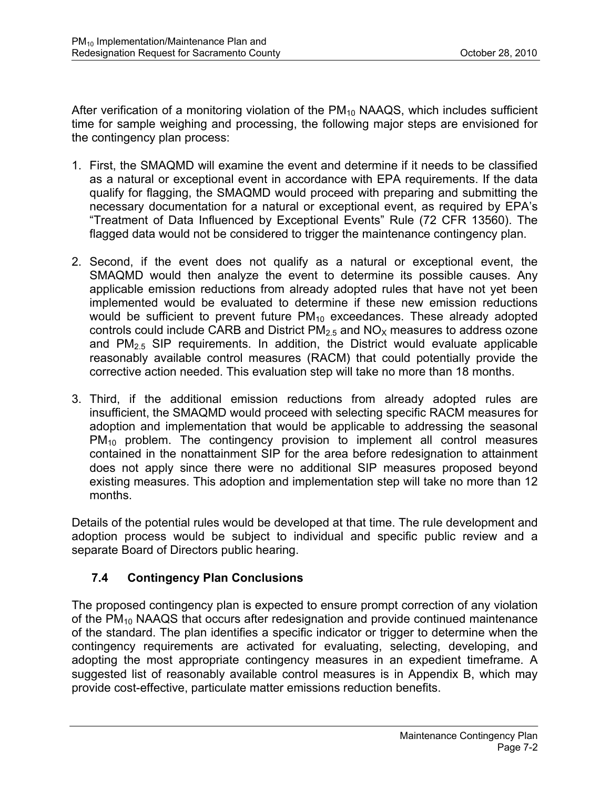After verification of a monitoring violation of the  $PM_{10}$  NAAQS, which includes sufficient time for sample weighing and processing, the following major steps are envisioned for the contingency plan process:

- 1. First, the SMAQMD will examine the event and determine if it needs to be classified as a natural or exceptional event in accordance with EPA requirements. If the data qualify for flagging, the SMAQMD would proceed with preparing and submitting the necessary documentation for a natural or exceptional event, as required by EPA's "Treatment of Data Influenced by Exceptional Events" Rule (72 CFR 13560). The flagged data would not be considered to trigger the maintenance contingency plan.
- 2. Second, if the event does not qualify as a natural or exceptional event, the SMAQMD would then analyze the event to determine its possible causes. Any applicable emission reductions from already adopted rules that have not yet been implemented would be evaluated to determine if these new emission reductions would be sufficient to prevent future  $PM_{10}$  exceedances. These already adopted controls could include CARB and District  $PM<sub>2.5</sub>$  and  $NO<sub>x</sub>$  measures to address ozone and  $PM<sub>2.5</sub>$  SIP requirements. In addition, the District would evaluate applicable reasonably available control measures (RACM) that could potentially provide the corrective action needed. This evaluation step will take no more than 18 months.
- 3. Third, if the additional emission reductions from already adopted rules are insufficient, the SMAQMD would proceed with selecting specific RACM measures for adoption and implementation that would be applicable to addressing the seasonal PM<sub>10</sub> problem. The contingency provision to implement all control measures contained in the nonattainment SIP for the area before redesignation to attainment does not apply since there were no additional SIP measures proposed beyond existing measures. This adoption and implementation step will take no more than 12 months.

Details of the potential rules would be developed at that time. The rule development and adoption process would be subject to individual and specific public review and a separate Board of Directors public hearing.

## **7.4 Contingency Plan Conclusions**

The proposed contingency plan is expected to ensure prompt correction of any violation of the  $PM_{10}$  NAAQS that occurs after redesignation and provide continued maintenance of the standard. The plan identifies a specific indicator or trigger to determine when the contingency requirements are activated for evaluating, selecting, developing, and adopting the most appropriate contingency measures in an expedient timeframe. A suggested list of reasonably available control measures is in Appendix B, which may provide cost-effective, particulate matter emissions reduction benefits.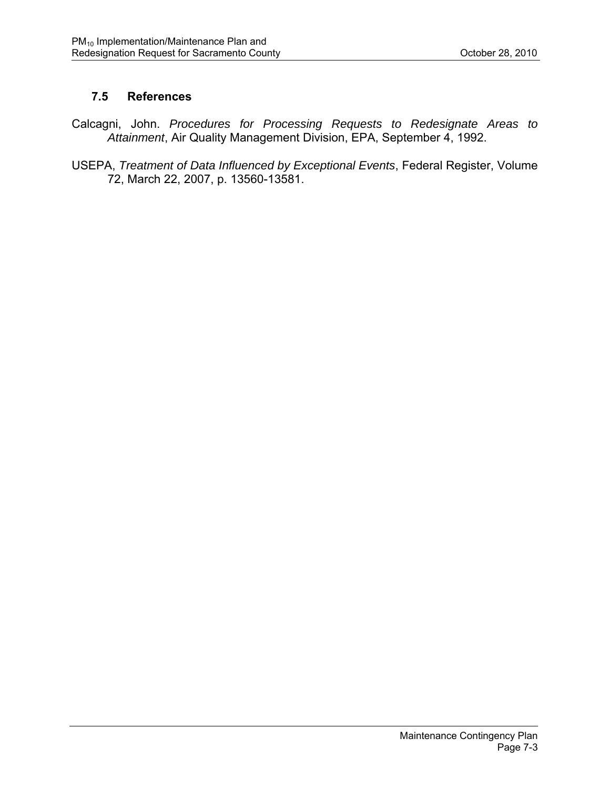## **7.5 References**

- Calcagni, John. *Procedures for Processing Requests to Redesignate Areas to Attainment*, Air Quality Management Division, EPA, September 4, 1992.
- USEPA, *Treatment of Data Influenced by Exceptional Events*, Federal Register, Volume 72, March 22, 2007, p. 13560-13581.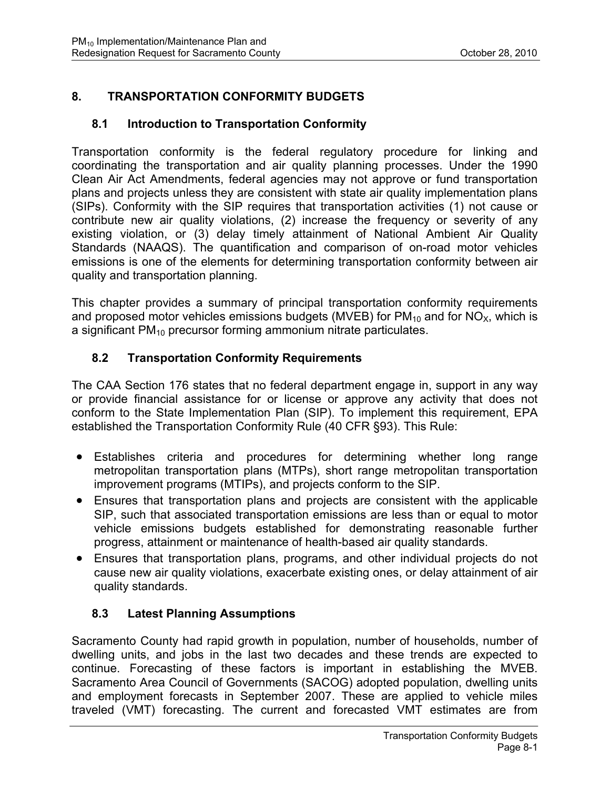## **8. TRANSPORTATION CONFORMITY BUDGETS**

### **8.1 Introduction to Transportation Conformity**

Transportation conformity is the federal regulatory procedure for linking and coordinating the transportation and air quality planning processes. Under the 1990 Clean Air Act Amendments, federal agencies may not approve or fund transportation plans and projects unless they are consistent with state air quality implementation plans (SIPs). Conformity with the SIP requires that transportation activities (1) not cause or contribute new air quality violations, (2) increase the frequency or severity of any existing violation, or (3) delay timely attainment of National Ambient Air Quality Standards (NAAQS). The quantification and comparison of on-road motor vehicles emissions is one of the elements for determining transportation conformity between air quality and transportation planning.

This chapter provides a summary of principal transportation conformity requirements and proposed motor vehicles emissions budgets (MVEB) for  $PM_{10}$  and for  $NO_{X}$ , which is a significant PM<sub>10</sub> precursor forming ammonium nitrate particulates.

## **8.2 Transportation Conformity Requirements**

The CAA Section 176 states that no federal department engage in, support in any way or provide financial assistance for or license or approve any activity that does not conform to the State Implementation Plan (SIP). To implement this requirement, EPA established the Transportation Conformity Rule (40 CFR §93). This Rule:

- Establishes criteria and procedures for determining whether long range metropolitan transportation plans (MTPs), short range metropolitan transportation improvement programs (MTIPs), and projects conform to the SIP.
- Ensures that transportation plans and projects are consistent with the applicable SIP, such that associated transportation emissions are less than or equal to motor vehicle emissions budgets established for demonstrating reasonable further progress, attainment or maintenance of health-based air quality standards.
- Ensures that transportation plans, programs, and other individual projects do not cause new air quality violations, exacerbate existing ones, or delay attainment of air quality standards.

## **8.3 Latest Planning Assumptions**

Sacramento County had rapid growth in population, number of households, number of dwelling units, and jobs in the last two decades and these trends are expected to continue. Forecasting of these factors is important in establishing the MVEB. Sacramento Area Council of Governments (SACOG) adopted population, dwelling units and employment forecasts in September 2007. These are applied to vehicle miles traveled (VMT) forecasting. The current and forecasted VMT estimates are from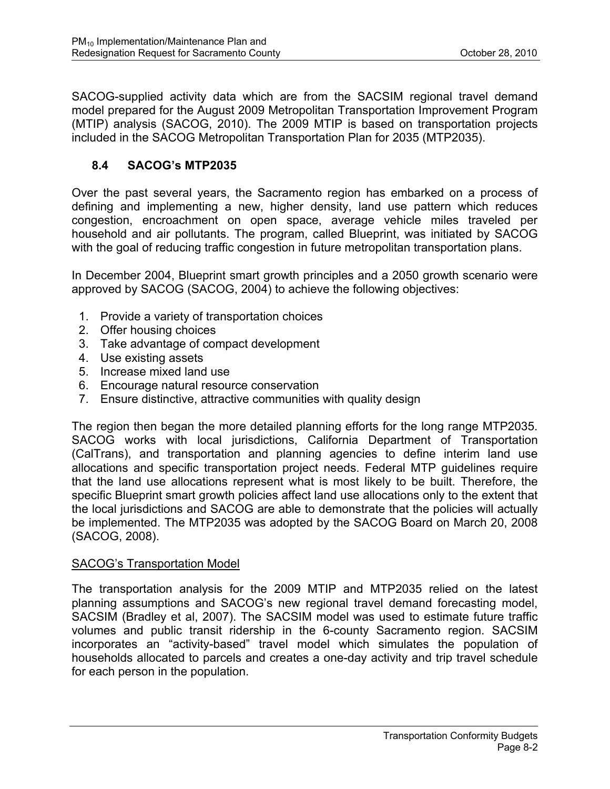SACOG-supplied activity data which are from the SACSIM regional travel demand model prepared for the August 2009 Metropolitan Transportation Improvement Program (MTIP) analysis (SACOG, 2010). The 2009 MTIP is based on transportation projects included in the SACOG Metropolitan Transportation Plan for 2035 (MTP2035).

## **8.4 SACOG's MTP2035**

Over the past several years, the Sacramento region has embarked on a process of defining and implementing a new, higher density, land use pattern which reduces congestion, encroachment on open space, average vehicle miles traveled per household and air pollutants. The program, called Blueprint, was initiated by SACOG with the goal of reducing traffic congestion in future metropolitan transportation plans.

In December 2004, Blueprint smart growth principles and a 2050 growth scenario were approved by SACOG (SACOG, 2004) to achieve the following objectives:

- 1. Provide a variety of transportation choices
- 2. Offer housing choices
- 3. Take advantage of compact development
- 4. Use existing assets
- 5. Increase mixed land use
- 6. Encourage natural resource conservation
- 7. Ensure distinctive, attractive communities with quality design

The region then began the more detailed planning efforts for the long range MTP2035. SACOG works with local jurisdictions, California Department of Transportation (CalTrans), and transportation and planning agencies to define interim land use allocations and specific transportation project needs. Federal MTP guidelines require that the land use allocations represent what is most likely to be built. Therefore, the specific Blueprint smart growth policies affect land use allocations only to the extent that the local jurisdictions and SACOG are able to demonstrate that the policies will actually be implemented. The MTP2035 was adopted by the SACOG Board on March 20, 2008 (SACOG, 2008).

#### SACOG's Transportation Model

The transportation analysis for the 2009 MTIP and MTP2035 relied on the latest planning assumptions and SACOG's new regional travel demand forecasting model, SACSIM (Bradley et al, 2007). The SACSIM model was used to estimate future traffic volumes and public transit ridership in the 6-county Sacramento region. SACSIM incorporates an "activity-based" travel model which simulates the population of households allocated to parcels and creates a one-day activity and trip travel schedule for each person in the population.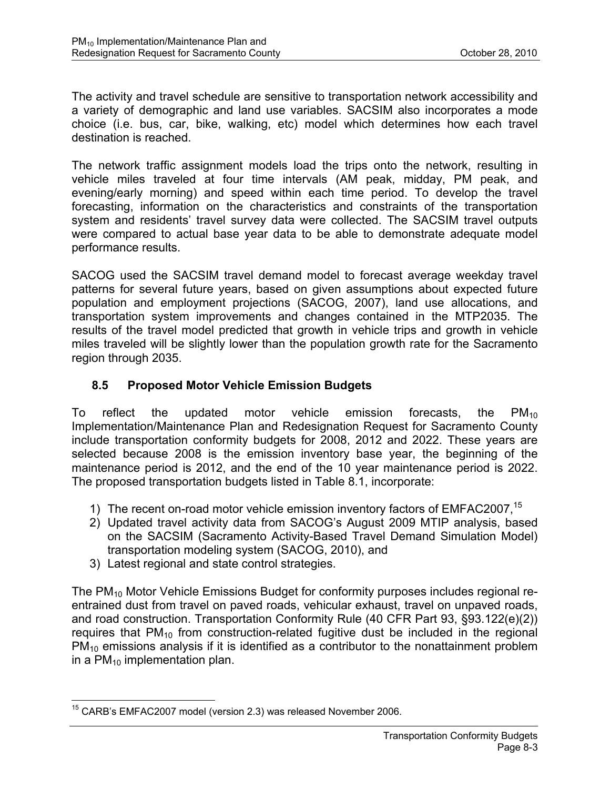The activity and travel schedule are sensitive to transportation network accessibility and a variety of demographic and land use variables. SACSIM also incorporates a mode choice (i.e. bus, car, bike, walking, etc) model which determines how each travel destination is reached.

The network traffic assignment models load the trips onto the network, resulting in vehicle miles traveled at four time intervals (AM peak, midday, PM peak, and evening/early morning) and speed within each time period. To develop the travel forecasting, information on the characteristics and constraints of the transportation system and residents' travel survey data were collected. The SACSIM travel outputs were compared to actual base year data to be able to demonstrate adequate model performance results.

SACOG used the SACSIM travel demand model to forecast average weekday travel patterns for several future years, based on given assumptions about expected future population and employment projections (SACOG, 2007), land use allocations, and transportation system improvements and changes contained in the MTP2035. The results of the travel model predicted that growth in vehicle trips and growth in vehicle miles traveled will be slightly lower than the population growth rate for the Sacramento region through 2035.

## **8.5 Proposed Motor Vehicle Emission Budgets**

To reflect the updated motor vehicle emission forecasts, the  $PM_{10}$ Implementation/Maintenance Plan and Redesignation Request for Sacramento County include transportation conformity budgets for 2008, 2012 and 2022. These years are selected because 2008 is the emission inventory base year, the beginning of the maintenance period is 2012, and the end of the 10 year maintenance period is 2022. The proposed transportation budgets listed in Table 8.1, incorporate:

- 1) The recent on-road motor vehicle emission inventory factors of EMFAC2007,<sup>15</sup>
- 2) Updated travel activity data from SACOG's August 2009 MTIP analysis, based on the SACSIM (Sacramento Activity-Based Travel Demand Simulation Model) transportation modeling system (SACOG, 2010), and
- 3) Latest regional and state control strategies.

The PM<sub>10</sub> Motor Vehicle Emissions Budget for conformity purposes includes regional reentrained dust from travel on paved roads, vehicular exhaust, travel on unpaved roads, and road construction. Transportation Conformity Rule (40 CFR Part 93, §93.122(e)(2)) requires that  $PM_{10}$  from construction-related fugitive dust be included in the regional  $PM_{10}$  emissions analysis if it is identified as a contributor to the nonattainment problem in a  $PM_{10}$  implementation plan.

 $\overline{a}$  $15$  CARB's EMFAC2007 model (version 2.3) was released November 2006.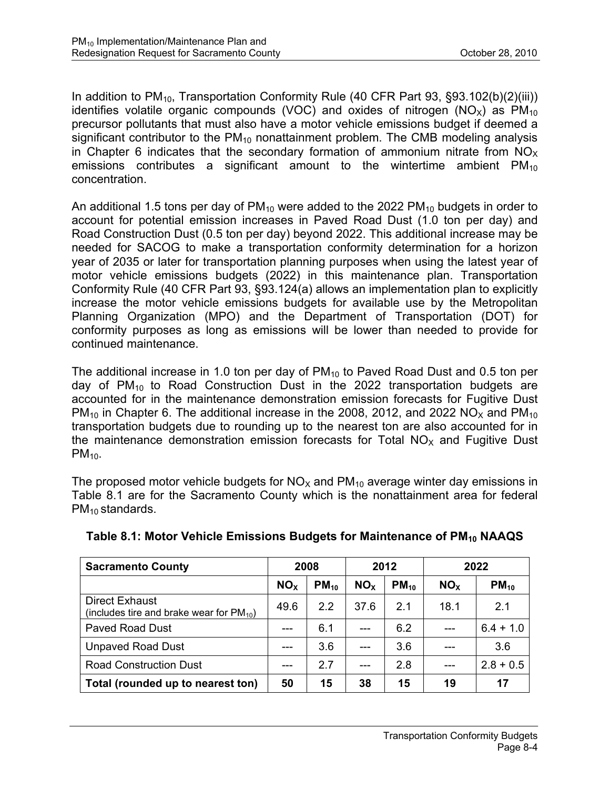In addition to  $PM_{10}$ , Transportation Conformity Rule (40 CFR Part 93, §93.102(b)(2)(iii)) identifies volatile organic compounds (VOC) and oxides of nitrogen (NO<sub>x</sub>) as  $PM_{10}$ precursor pollutants that must also have a motor vehicle emissions budget if deemed a significant contributor to the  $PM_{10}$  nonattainment problem. The CMB modeling analysis in Chapter 6 indicates that the secondary formation of ammonium nitrate from  $NO<sub>x</sub>$ emissions contributes a significant amount to the wintertime ambient  $PM_{10}$ concentration.

An additional 1.5 tons per day of  $PM_{10}$  were added to the 2022 PM<sub>10</sub> budgets in order to account for potential emission increases in Paved Road Dust (1.0 ton per day) and Road Construction Dust (0.5 ton per day) beyond 2022. This additional increase may be needed for SACOG to make a transportation conformity determination for a horizon year of 2035 or later for transportation planning purposes when using the latest year of motor vehicle emissions budgets (2022) in this maintenance plan. Transportation Conformity Rule (40 CFR Part 93, §93.124(a) allows an implementation plan to explicitly increase the motor vehicle emissions budgets for available use by the Metropolitan Planning Organization (MPO) and the Department of Transportation (DOT) for conformity purposes as long as emissions will be lower than needed to provide for continued maintenance.

The additional increase in 1.0 ton per day of  $PM_{10}$  to Paved Road Dust and 0.5 ton per day of  $PM_{10}$  to Road Construction Dust in the 2022 transportation budgets are accounted for in the maintenance demonstration emission forecasts for Fugitive Dust  $PM_{10}$  in Chapter 6. The additional increase in the 2008, 2012, and 2022 NO<sub>x</sub> and PM<sub>10</sub> transportation budgets due to rounding up to the nearest ton are also accounted for in the maintenance demonstration emission forecasts for Total  $NO<sub>x</sub>$  and Fugitive Dust  $PM<sub>10</sub>$ .

The proposed motor vehicle budgets for  $NO<sub>X</sub>$  and  $PM<sub>10</sub>$  average winter day emissions in Table 8.1 are for the Sacramento County which is the nonattainment area for federal  $PM_{10}$  standards.

| <b>Sacramento County</b>                                               | 2008            |           | 2012            |           | 2022            |             |
|------------------------------------------------------------------------|-----------------|-----------|-----------------|-----------|-----------------|-------------|
|                                                                        | NO <sub>x</sub> | $PM_{10}$ | NO <sub>x</sub> | $PM_{10}$ | NO <sub>x</sub> | $PM_{10}$   |
| <b>Direct Exhaust</b><br>(includes tire and brake wear for $PM_{10}$ ) | 49.6            | 22        | 37.6            | 2.1       | 18.1            | 2.1         |
| <b>Paved Road Dust</b>                                                 | ---             | 6.1       |                 | 6.2       |                 | $6.4 + 1.0$ |
| <b>Unpaved Road Dust</b>                                               |                 | 3.6       |                 | 3.6       |                 | 3.6         |
| <b>Road Construction Dust</b>                                          |                 | 2.7       |                 | 2.8       |                 | $2.8 + 0.5$ |
| Total (rounded up to nearest ton)                                      | 50              | 15        | 38              | 15        | 19              | 17          |

#### Table 8.1: Motor Vehicle Emissions Budgets for Maintenance of PM<sub>10</sub> NAAQS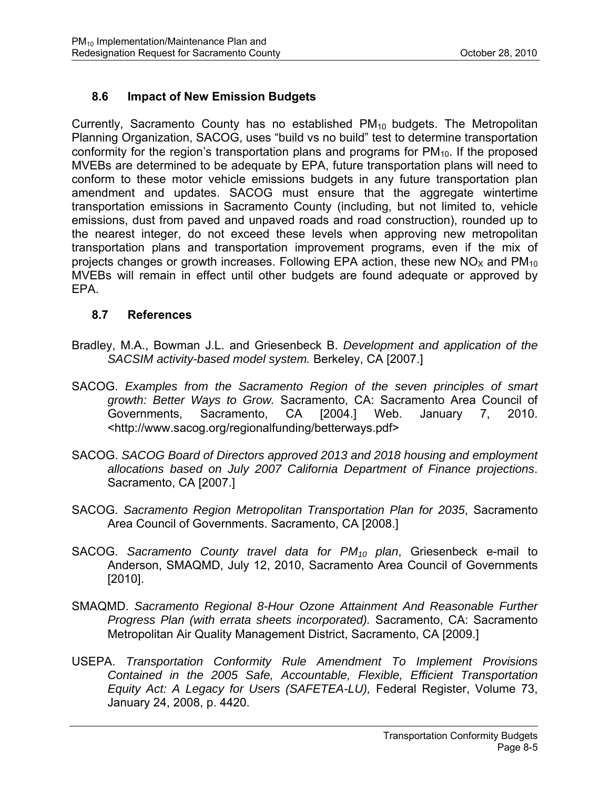## **8.6 Impact of New Emission Budgets**

Currently, Sacramento County has no established PM<sub>10</sub> budgets. The Metropolitan Planning Organization, SACOG, uses "build vs no build" test to determine transportation conformity for the region's transportation plans and programs for  $PM_{10}$ . If the proposed MVEBs are determined to be adequate by EPA, future transportation plans will need to conform to these motor vehicle emissions budgets in any future transportation plan amendment and updates. SACOG must ensure that the aggregate wintertime transportation emissions in Sacramento County (including, but not limited to, vehicle emissions, dust from paved and unpaved roads and road construction), rounded up to the nearest integer, do not exceed these levels when approving new metropolitan transportation plans and transportation improvement programs, even if the mix of projects changes or growth increases. Following EPA action, these new  $NO<sub>X</sub>$  and  $PM<sub>10</sub>$ MVEBs will remain in effect until other budgets are found adequate or approved by EPA.

### **8.7 References**

- Bradley, M.A., Bowman J.L. and Griesenbeck B. *Development and application of the SACSIM activity-based model system.* Berkeley, CA [2007.]
- SACOG. *Examples from the Sacramento Region of the seven principles of smart growth: Better Ways to Grow.* Sacramento, CA: Sacramento Area Council of Governments, Sacramento, CA [2004.] Web. January 7, 2010. <http://www.sacog.org/regionalfunding/betterways.pdf>
- SACOG. *SACOG Board of Directors approved 2013 and 2018 housing and employment allocations based on July 2007 California Department of Finance projections*. Sacramento, CA [2007.]
- SACOG. *Sacramento Region Metropolitan Transportation Plan for 2035*, Sacramento Area Council of Governments. Sacramento, CA [2008.]
- SACOG. *Sacramento County travel data for PM10 plan*, Griesenbeck e-mail to Anderson, SMAQMD, July 12, 2010, Sacramento Area Council of Governments [2010].
- SMAQMD. *Sacramento Regional 8-Hour Ozone Attainment And Reasonable Further Progress Plan (with errata sheets incorporated).* Sacramento, CA: Sacramento Metropolitan Air Quality Management District, Sacramento, CA [2009.]
- USEPA. *Transportation Conformity Rule Amendment To Implement Provisions Contained in the 2005 Safe, Accountable, Flexible, Efficient Transportation Equity Act: A Legacy for Users (SAFETEA-LU),* Federal Register, Volume 73, January 24, 2008, p. 4420.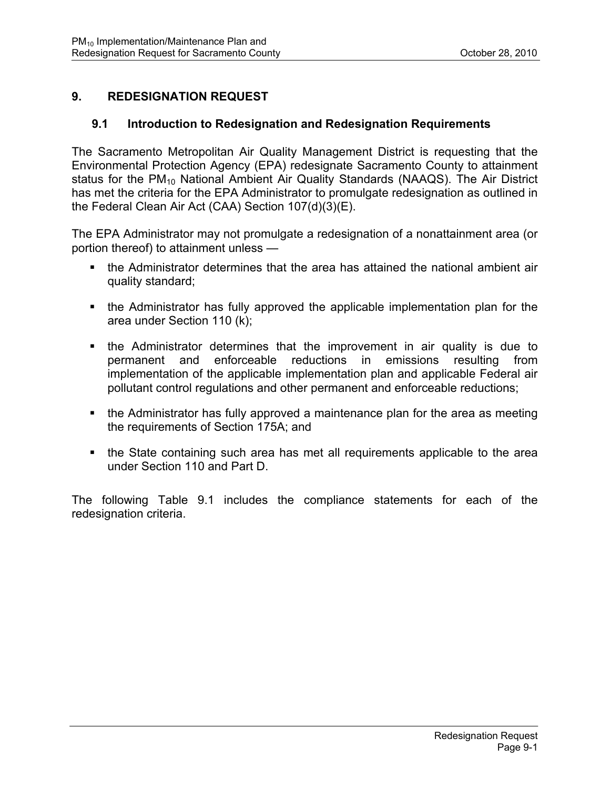## **9. REDESIGNATION REQUEST**

### **9.1 Introduction to Redesignation and Redesignation Requirements**

The Sacramento Metropolitan Air Quality Management District is requesting that the Environmental Protection Agency (EPA) redesignate Sacramento County to attainment status for the PM<sub>10</sub> National Ambient Air Quality Standards (NAAQS). The Air District has met the criteria for the EPA Administrator to promulgate redesignation as outlined in the Federal Clean Air Act (CAA) Section 107(d)(3)(E).

The EPA Administrator may not promulgate a redesignation of a nonattainment area (or portion thereof) to attainment unless —

- the Administrator determines that the area has attained the national ambient air quality standard;
- the Administrator has fully approved the applicable implementation plan for the area under Section 110 (k);
- the Administrator determines that the improvement in air quality is due to permanent and enforceable reductions in emissions resulting from implementation of the applicable implementation plan and applicable Federal air pollutant control regulations and other permanent and enforceable reductions;
- the Administrator has fully approved a maintenance plan for the area as meeting the requirements of Section 175A; and
- the State containing such area has met all requirements applicable to the area under Section 110 and Part D.

The following Table 9.1 includes the compliance statements for each of the redesignation criteria.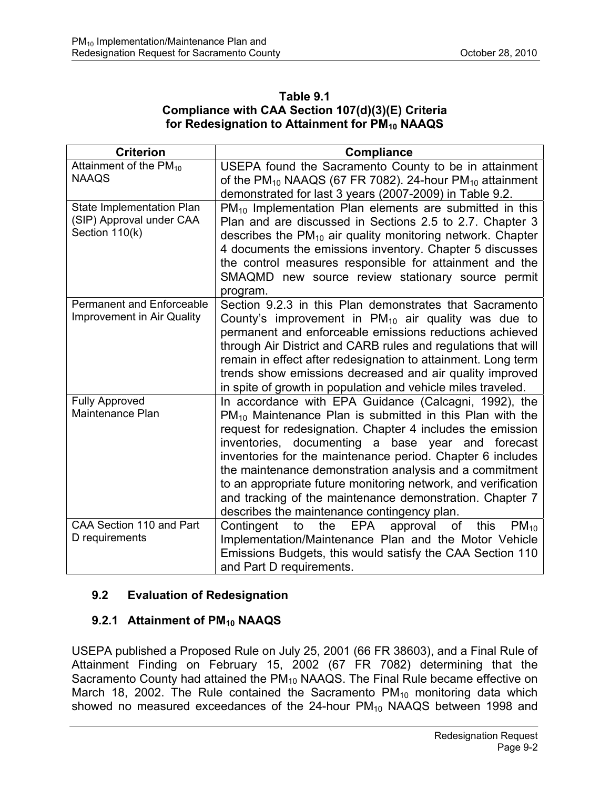#### **Table 9.1 Compliance with CAA Section 107(d)(3)(E) Criteria**  for Redesignation to Attainment for PM<sub>10</sub> NAAQS

| <b>Criterion</b>                                                        | <b>Compliance</b>                                                                                                                                                                                                                                                                                                                                                                                                                                                                                                                              |
|-------------------------------------------------------------------------|------------------------------------------------------------------------------------------------------------------------------------------------------------------------------------------------------------------------------------------------------------------------------------------------------------------------------------------------------------------------------------------------------------------------------------------------------------------------------------------------------------------------------------------------|
| Attainment of the $PM_{10}$<br><b>NAAQS</b>                             | USEPA found the Sacramento County to be in attainment<br>of the $PM_{10}$ NAAQS (67 FR 7082). 24-hour $PM_{10}$ attainment<br>demonstrated for last 3 years (2007-2009) in Table 9.2.                                                                                                                                                                                                                                                                                                                                                          |
| State Implementation Plan<br>(SIP) Approval under CAA<br>Section 110(k) | $PM_{10}$ Implementation Plan elements are submitted in this<br>Plan and are discussed in Sections 2.5 to 2.7. Chapter 3<br>describes the $PM_{10}$ air quality monitoring network. Chapter<br>4 documents the emissions inventory. Chapter 5 discusses<br>the control measures responsible for attainment and the<br>SMAQMD new source review stationary source permit<br>program.                                                                                                                                                            |
| <b>Permanent and Enforceable</b><br>Improvement in Air Quality          | Section 9.2.3 in this Plan demonstrates that Sacramento<br>County's improvement in $PM_{10}$ air quality was due to<br>permanent and enforceable emissions reductions achieved<br>through Air District and CARB rules and regulations that will<br>remain in effect after redesignation to attainment. Long term<br>trends show emissions decreased and air quality improved<br>in spite of growth in population and vehicle miles traveled.                                                                                                   |
| <b>Fully Approved</b><br>Maintenance Plan                               | In accordance with EPA Guidance (Calcagni, 1992), the<br>$PM_{10}$ Maintenance Plan is submitted in this Plan with the<br>request for redesignation. Chapter 4 includes the emission<br>inventories, documenting a base year and forecast<br>inventories for the maintenance period. Chapter 6 includes<br>the maintenance demonstration analysis and a commitment<br>to an appropriate future monitoring network, and verification<br>and tracking of the maintenance demonstration. Chapter 7<br>describes the maintenance contingency plan. |
| CAA Section 110 and Part<br>D requirements                              | <b>EPA</b><br>the<br>Contingent<br>to<br>approval<br>this<br>of<br>$PM_{10}$<br>Implementation/Maintenance Plan and the Motor Vehicle<br>Emissions Budgets, this would satisfy the CAA Section 110<br>and Part D requirements.                                                                                                                                                                                                                                                                                                                 |

## **9.2 Evaluation of Redesignation**

## **9.2.1 Attainment of PM<sub>10</sub> NAAQS**

USEPA published a Proposed Rule on July 25, 2001 (66 FR 38603), and a Final Rule of Attainment Finding on February 15, 2002 (67 FR 7082) determining that the Sacramento County had attained the  $PM_{10}$  NAAQS. The Final Rule became effective on March 18, 2002. The Rule contained the Sacramento  $PM_{10}$  monitoring data which showed no measured exceedances of the  $24$ -hour  $PM_{10}$  NAAQS between 1998 and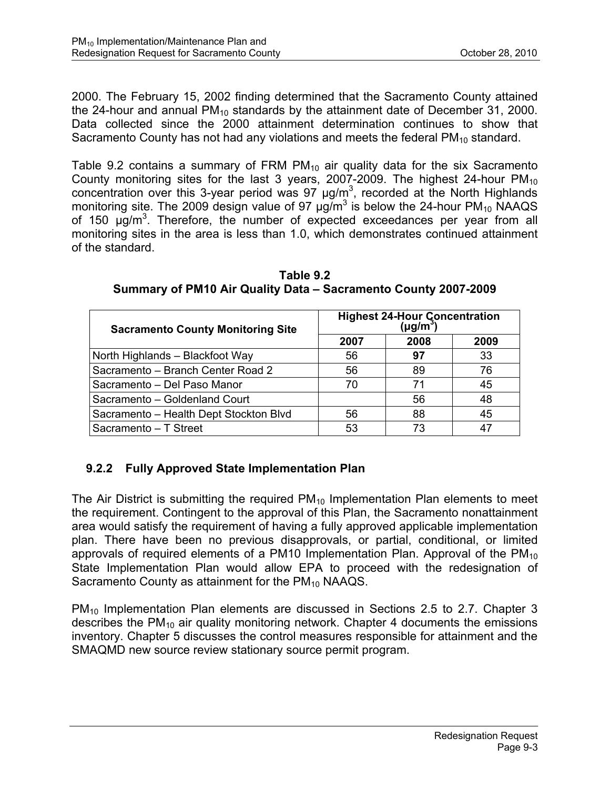2000. The February 15, 2002 finding determined that the Sacramento County attained the 24-hour and annual  $PM_{10}$  standards by the attainment date of December 31, 2000. Data collected since the 2000 attainment determination continues to show that Sacramento County has not had any violations and meets the federal  $PM_{10}$  standard.

Table 9.2 contains a summary of FRM  $PM_{10}$  air quality data for the six Sacramento County monitoring sites for the last 3 years, 2007-2009. The highest 24-hour  $PM_{10}$ concentration over this 3-year period was 97  $\mu$ g/m<sup>3</sup>, recorded at the North Highlands monitoring site. The 2009 design value of 97  $\mu$ g/m<sup>3</sup> is below the 24-hour PM<sub>10</sub> NAAQS of 150  $\mu$ g/m<sup>3</sup>. Therefore, the number of expected exceedances per year from all monitoring sites in the area is less than 1.0, which demonstrates continued attainment of the standard.

| <b>Sacramento County Monitoring Site</b> | Highest 24-Hour Concentration<br>(µg/m <sup>3</sup> ) |    |      |  |  |
|------------------------------------------|-------------------------------------------------------|----|------|--|--|
|                                          | 2008<br>2007                                          |    | 2009 |  |  |
| North Highlands - Blackfoot Way          | 56                                                    | 97 | 33   |  |  |
| Sacramento - Branch Center Road 2        | 56                                                    | 89 | 76   |  |  |
| Sacramento - Del Paso Manor              | 70                                                    | 71 | 45   |  |  |
| Sacramento - Goldenland Court            |                                                       | 56 | 48   |  |  |
| Sacramento - Health Dept Stockton Blvd   | 56                                                    | 88 | 45   |  |  |
| Sacramento - T Street                    | 53                                                    | 73 |      |  |  |

**Table 9.2 Summary of PM10 Air Quality Data – Sacramento County 2007-2009** 

# **9.2.2 Fully Approved State Implementation Plan**

The Air District is submitting the required  $PM_{10}$  Implementation Plan elements to meet the requirement. Contingent to the approval of this Plan, the Sacramento nonattainment area would satisfy the requirement of having a fully approved applicable implementation plan. There have been no previous disapprovals, or partial, conditional, or limited approvals of required elements of a PM10 Implementation Plan. Approval of the  $PM_{10}$ State Implementation Plan would allow EPA to proceed with the redesignation of Sacramento County as attainment for the  $PM_{10}$  NAAQS.

PM10 Implementation Plan elements are discussed in Sections 2.5 to 2.7. Chapter 3 describes the  $PM_{10}$  air quality monitoring network. Chapter 4 documents the emissions inventory. Chapter 5 discusses the control measures responsible for attainment and the SMAQMD new source review stationary source permit program.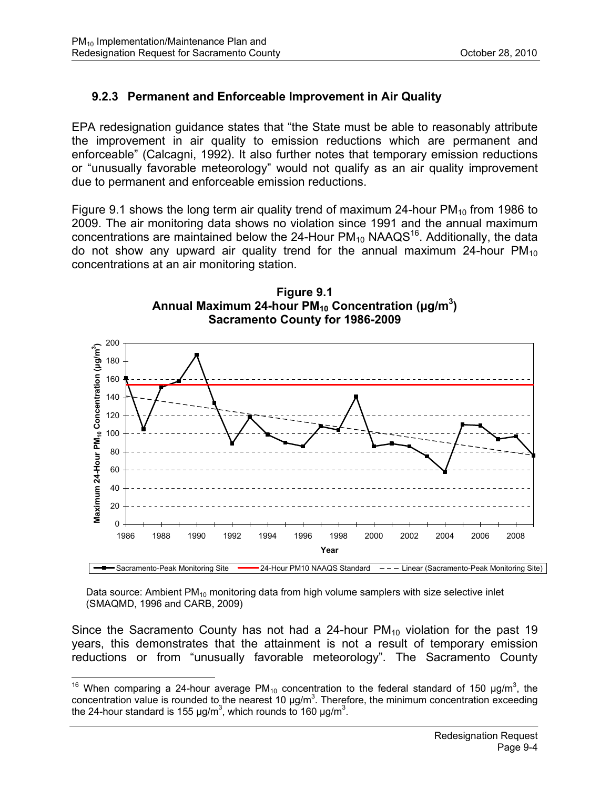## **9.2.3 Permanent and Enforceable Improvement in Air Quality**

EPA redesignation guidance states that "the State must be able to reasonably attribute the improvement in air quality to emission reductions which are permanent and enforceable" (Calcagni, 1992). It also further notes that temporary emission reductions or "unusually favorable meteorology" would not qualify as an air quality improvement due to permanent and enforceable emission reductions.

Figure 9.1 shows the long term air quality trend of maximum 24-hour  $PM_{10}$  from 1986 to 2009. The air monitoring data shows no violation since 1991 and the annual maximum concentrations are maintained below the 24-Hour  $PM_{10}$  NAAQS<sup>16</sup>. Additionally, the data do not show any upward air quality trend for the annual maximum 24-hour  $PM_{10}$ concentrations at an air monitoring station.





Data source: Ambient  $PM_{10}$  monitoring data from high volume samplers with size selective inlet (SMAQMD, 1996 and CARB, 2009)

Since the Sacramento County has not had a 24-hour  $PM_{10}$  violation for the past 19 years, this demonstrates that the attainment is not a result of temporary emission reductions or from "unusually favorable meteorology". The Sacramento County

 $\overline{a}$ <sup>16</sup> When comparing a 24-hour average PM<sub>10</sub> concentration to the federal standard of 150 µg/m<sup>3</sup>, the concentration value is rounded to the nearest 10  $\mu$ g/m<sup>3</sup>. Therefore, the minimum concentration exceeding the 24-hour standard is 155  $\mu$ g/m<sup>3</sup>, which rounds to 160  $\mu$ g/m<sup>3</sup>.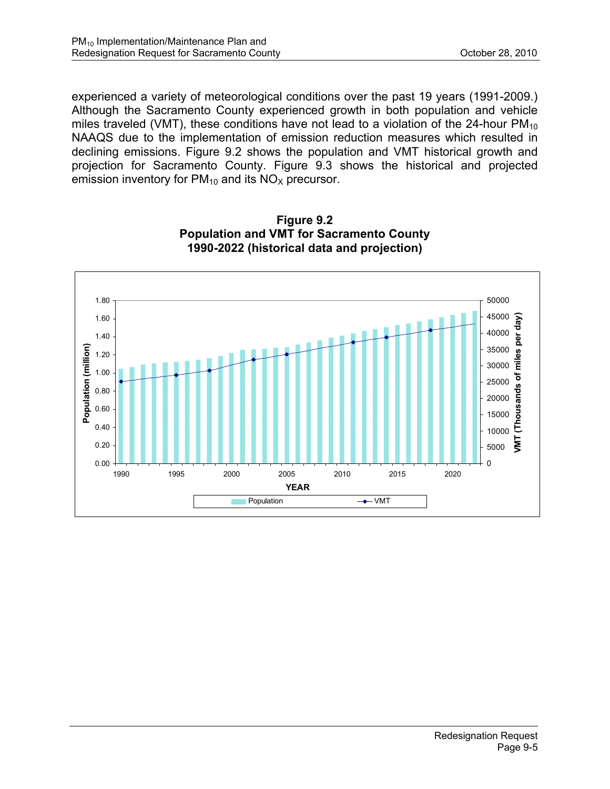experienced a variety of meteorological conditions over the past 19 years (1991-2009.) Although the Sacramento County experienced growth in both population and vehicle miles traveled (VMT), these conditions have not lead to a violation of the 24-hour  $PM_{10}$ NAAQS due to the implementation of emission reduction measures which resulted in declining emissions. Figure 9.2 shows the population and VMT historical growth and projection for Sacramento County. Figure 9.3 shows the historical and projected emission inventory for  $PM_{10}$  and its  $NO_{X}$  precursor.



**Figure 9.2 Population and VMT for Sacramento County 1990-2022 (historical data and projection)**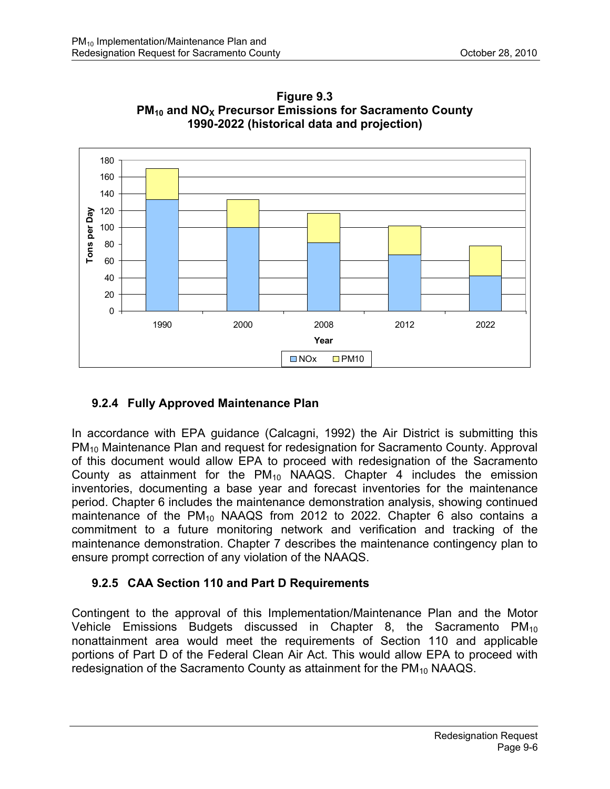

**Figure 9.3 PM<sub>10</sub> and NO<sub>X</sub> Precursor Emissions for Sacramento County 1990-2022 (historical data and projection)** 

## **9.2.4 Fully Approved Maintenance Plan**

In accordance with EPA guidance (Calcagni, 1992) the Air District is submitting this PM10 Maintenance Plan and request for redesignation for Sacramento County. Approval of this document would allow EPA to proceed with redesignation of the Sacramento County as attainment for the  $PM_{10}$  NAAQS. Chapter 4 includes the emission inventories, documenting a base year and forecast inventories for the maintenance period. Chapter 6 includes the maintenance demonstration analysis, showing continued maintenance of the  $PM_{10}$  NAAQS from 2012 to 2022. Chapter 6 also contains a commitment to a future monitoring network and verification and tracking of the maintenance demonstration. Chapter 7 describes the maintenance contingency plan to ensure prompt correction of any violation of the NAAQS.

## **9.2.5 CAA Section 110 and Part D Requirements**

Contingent to the approval of this Implementation/Maintenance Plan and the Motor Vehicle Emissions Budgets discussed in Chapter 8, the Sacramento  $PM_{10}$ nonattainment area would meet the requirements of Section 110 and applicable portions of Part D of the Federal Clean Air Act. This would allow EPA to proceed with redesignation of the Sacramento County as attainment for the  $PM_{10}$  NAAQS.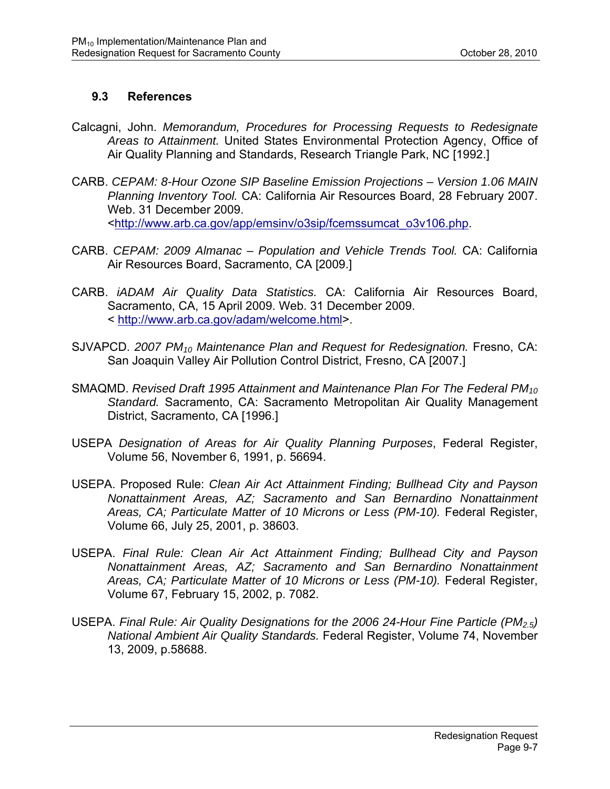## **9.3 References**

- Calcagni, John. *Memorandum, Procedures for Processing Requests to Redesignate Areas to Attainment.* United States Environmental Protection Agency, Office of Air Quality Planning and Standards, Research Triangle Park, NC [1992.]
- CARB. *CEPAM: 8-Hour Ozone SIP Baseline Emission Projections Version 1.06 MAIN Planning Inventory Tool.* CA: California Air Resources Board, 28 February 2007. Web. 31 December 2009. <http://www.arb.ca.gov/app/emsinv/o3sip/fcemssumcat\_o3v106.php.
- CARB. *CEPAM: 2009 Almanac Population and Vehicle Trends Tool.* CA: California Air Resources Board, Sacramento, CA [2009.]
- CARB. *iADAM Air Quality Data Statistics.* CA: California Air Resources Board, Sacramento, CA, 15 April 2009. Web. 31 December 2009. < http://www.arb.ca.gov/adam/welcome.html>.
- SJVAPCD. *2007 PM10 Maintenance Plan and Request for Redesignation.* Fresno, CA: San Joaquin Valley Air Pollution Control District, Fresno, CA [2007.]
- SMAQMD. *Revised Draft 1995 Attainment and Maintenance Plan For The Federal PM10 Standard.* Sacramento, CA: Sacramento Metropolitan Air Quality Management District, Sacramento, CA [1996.]
- USEPA *Designation of Areas for Air Quality Planning Purposes*, Federal Register, Volume 56, November 6, 1991, p. 56694.
- USEPA. Proposed Rule: *Clean Air Act Attainment Finding; Bullhead City and Payson Nonattainment Areas, AZ; Sacramento and San Bernardino Nonattainment Areas, CA; Particulate Matter of 10 Microns or Less (PM-10).* Federal Register, Volume 66, July 25, 2001, p. 38603.
- USEPA. *Final Rule: Clean Air Act Attainment Finding; Bullhead City and Payson Nonattainment Areas, AZ; Sacramento and San Bernardino Nonattainment*  Areas, CA; Particulate Matter of 10 Microns or Less (PM-10). Federal Register, Volume 67, February 15, 2002, p. 7082.
- USEPA. *Final Rule: Air Quality Designations for the 2006 24-Hour Fine Particle (PM2.5) National Ambient Air Quality Standards.* Federal Register, Volume 74, November 13, 2009, p.58688.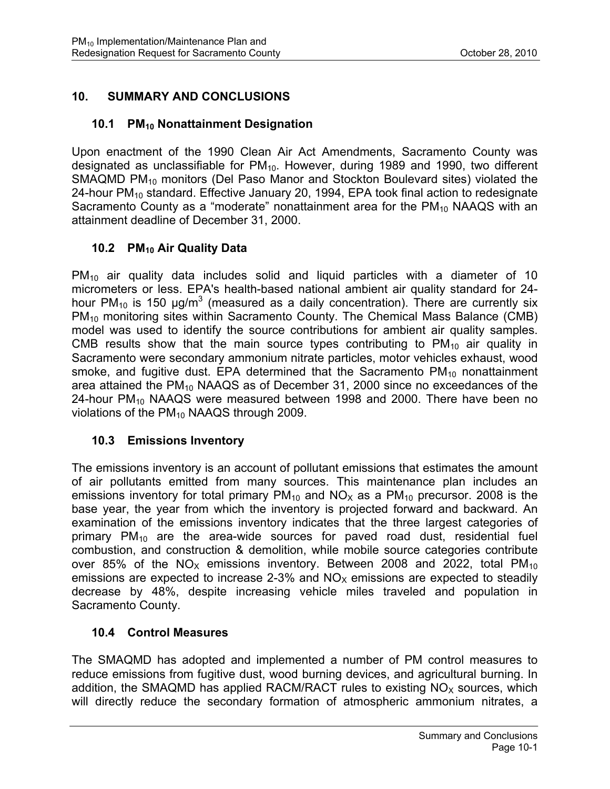## **10. SUMMARY AND CONCLUSIONS**

## **10.1 PM10 Nonattainment Designation**

Upon enactment of the 1990 Clean Air Act Amendments, Sacramento County was designated as unclassifiable for  $PM_{10}$ . However, during 1989 and 1990, two different SMAQMD PM<sub>10</sub> monitors (Del Paso Manor and Stockton Boulevard sites) violated the 24-hour  $PM_{10}$  standard. Effective January 20, 1994, EPA took final action to redesignate Sacramento County as a "moderate" nonattainment area for the  $PM_{10}$  NAAQS with an attainment deadline of December 31, 2000.

## **10.2 PM10 Air Quality Data**

 $PM_{10}$  air quality data includes solid and liquid particles with a diameter of 10 micrometers or less. EPA's health-based national ambient air quality standard for 24 hour PM<sub>10</sub> is 150  $\mu$ g/m<sup>3</sup> (measured as a daily concentration). There are currently six PM<sub>10</sub> monitoring sites within Sacramento County. The Chemical Mass Balance (CMB) model was used to identify the source contributions for ambient air quality samples. CMB results show that the main source types contributing to  $PM_{10}$  air quality in Sacramento were secondary ammonium nitrate particles, motor vehicles exhaust, wood smoke, and fugitive dust. EPA determined that the Sacramento  $PM_{10}$  nonattainment area attained the  $PM_{10}$  NAAQS as of December 31, 2000 since no exceedances of the 24-hour  $PM_{10}$  NAAQS were measured between 1998 and 2000. There have been no violations of the  $PM_{10}$  NAAQS through 2009.

## **10.3 Emissions Inventory**

The emissions inventory is an account of pollutant emissions that estimates the amount of air pollutants emitted from many sources. This maintenance plan includes an emissions inventory for total primary  $PM_{10}$  and  $NO_{X}$  as a  $PM_{10}$  precursor. 2008 is the base year, the year from which the inventory is projected forward and backward. An examination of the emissions inventory indicates that the three largest categories of primary  $PM_{10}$  are the area-wide sources for paved road dust, residential fuel combustion, and construction & demolition, while mobile source categories contribute over 85% of the  $NO_x$  emissions inventory. Between 2008 and 2022, total PM<sub>10</sub> emissions are expected to increase 2-3% and  $NO<sub>x</sub>$  emissions are expected to steadily decrease by 48%, despite increasing vehicle miles traveled and population in Sacramento County.

## **10.4 Control Measures**

The SMAQMD has adopted and implemented a number of PM control measures to reduce emissions from fugitive dust, wood burning devices, and agricultural burning. In addition, the SMAQMD has applied RACM/RACT rules to existing  $NO<sub>x</sub>$  sources, which will directly reduce the secondary formation of atmospheric ammonium nitrates, a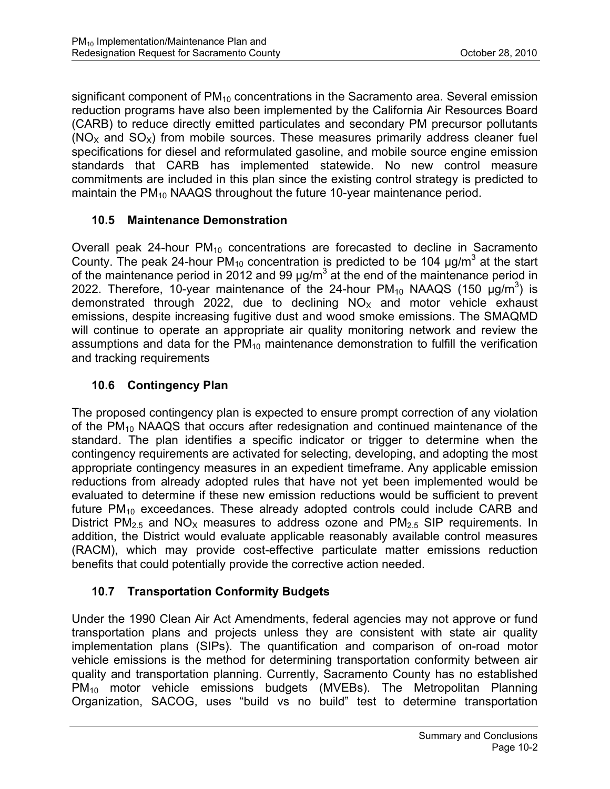significant component of PM<sub>10</sub> concentrations in the Sacramento area. Several emission reduction programs have also been implemented by the California Air Resources Board (CARB) to reduce directly emitted particulates and secondary PM precursor pollutants  $(NO<sub>x</sub>$  and  $SO<sub>x</sub>)$  from mobile sources. These measures primarily address cleaner fuel specifications for diesel and reformulated gasoline, and mobile source engine emission standards that CARB has implemented statewide. No new control measure commitments are included in this plan since the existing control strategy is predicted to maintain the PM<sub>10</sub> NAAQS throughout the future 10-year maintenance period.

## **10.5 Maintenance Demonstration**

Overall peak 24-hour  $PM_{10}$  concentrations are forecasted to decline in Sacramento County. The peak 24-hour PM<sub>10</sub> concentration is predicted to be 104  $\mu$ g/m<sup>3</sup> at the start of the maintenance period in 2012 and 99  $\mu$ g/m<sup>3</sup> at the end of the maintenance period in 2022. Therefore, 10-year maintenance of the 24-hour  $PM_{10}$  NAAQS (150  $\mu$ g/m<sup>3</sup>) is demonstrated through 2022, due to declining  $NO<sub>x</sub>$  and motor vehicle exhaust emissions, despite increasing fugitive dust and wood smoke emissions. The SMAQMD will continue to operate an appropriate air quality monitoring network and review the assumptions and data for the  $PM_{10}$  maintenance demonstration to fulfill the verification and tracking requirements

## **10.6 Contingency Plan**

The proposed contingency plan is expected to ensure prompt correction of any violation of the PM<sub>10</sub> NAAQS that occurs after redesignation and continued maintenance of the standard. The plan identifies a specific indicator or trigger to determine when the contingency requirements are activated for selecting, developing, and adopting the most appropriate contingency measures in an expedient timeframe. Any applicable emission reductions from already adopted rules that have not yet been implemented would be evaluated to determine if these new emission reductions would be sufficient to prevent future  $PM_{10}$  exceedances. These already adopted controls could include CARB and District PM<sub>2.5</sub> and NO<sub>x</sub> measures to address ozone and PM<sub>2.5</sub> SIP requirements. In addition, the District would evaluate applicable reasonably available control measures (RACM), which may provide cost-effective particulate matter emissions reduction benefits that could potentially provide the corrective action needed.

## **10.7 Transportation Conformity Budgets**

Under the 1990 Clean Air Act Amendments, federal agencies may not approve or fund transportation plans and projects unless they are consistent with state air quality implementation plans (SIPs). The quantification and comparison of on-road motor vehicle emissions is the method for determining transportation conformity between air quality and transportation planning. Currently, Sacramento County has no established PM<sub>10</sub> motor vehicle emissions budgets (MVEBs). The Metropolitan Planning Organization, SACOG, uses "build vs no build" test to determine transportation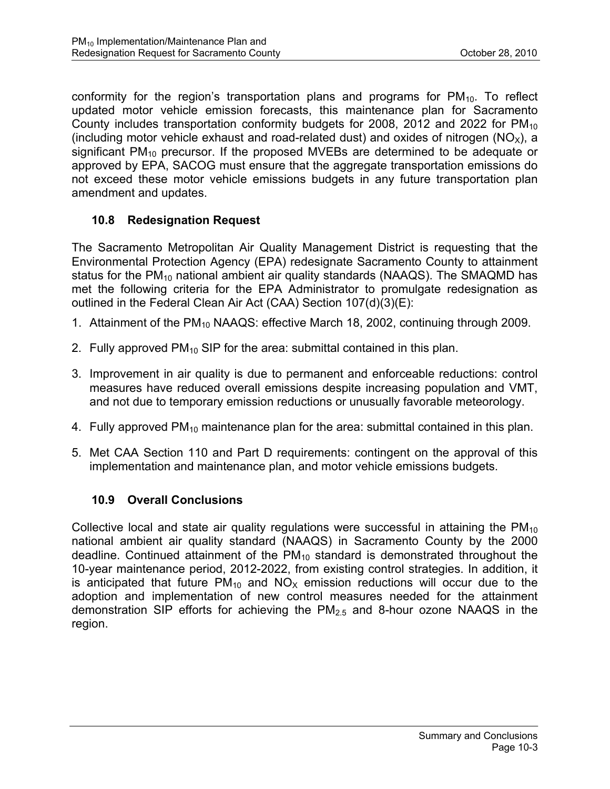conformity for the region's transportation plans and programs for  $PM_{10}$ . To reflect updated motor vehicle emission forecasts, this maintenance plan for Sacramento County includes transportation conformity budgets for 2008, 2012 and 2022 for  $PM_{10}$ (including motor vehicle exhaust and road-related dust) and oxides of nitrogen  $(NO_x)$ , a significant  $PM_{10}$  precursor. If the proposed MVEBs are determined to be adequate or approved by EPA, SACOG must ensure that the aggregate transportation emissions do not exceed these motor vehicle emissions budgets in any future transportation plan amendment and updates.

## **10.8 Redesignation Request**

The Sacramento Metropolitan Air Quality Management District is requesting that the Environmental Protection Agency (EPA) redesignate Sacramento County to attainment status for the PM<sub>10</sub> national ambient air quality standards (NAAQS). The SMAQMD has met the following criteria for the EPA Administrator to promulgate redesignation as outlined in the Federal Clean Air Act (CAA) Section 107(d)(3)(E):

- 1. Attainment of the PM<sub>10</sub> NAAQS: effective March 18, 2002, continuing through 2009.
- 2. Fully approved  $PM_{10}$  SIP for the area: submittal contained in this plan.
- 3. Improvement in air quality is due to permanent and enforceable reductions: control measures have reduced overall emissions despite increasing population and VMT, and not due to temporary emission reductions or unusually favorable meteorology.
- 4. Fully approved  $PM_{10}$  maintenance plan for the area: submittal contained in this plan.
- 5. Met CAA Section 110 and Part D requirements: contingent on the approval of this implementation and maintenance plan, and motor vehicle emissions budgets.

## **10.9 Overall Conclusions**

Collective local and state air quality requiations were successful in attaining the  $PM_{10}$ national ambient air quality standard (NAAQS) in Sacramento County by the 2000 deadline. Continued attainment of the  $PM_{10}$  standard is demonstrated throughout the 10-year maintenance period, 2012-2022, from existing control strategies. In addition, it is anticipated that future  $PM_{10}$  and  $NO<sub>x</sub>$  emission reductions will occur due to the adoption and implementation of new control measures needed for the attainment demonstration SIP efforts for achieving the  $PM<sub>2.5</sub>$  and 8-hour ozone NAAQS in the region.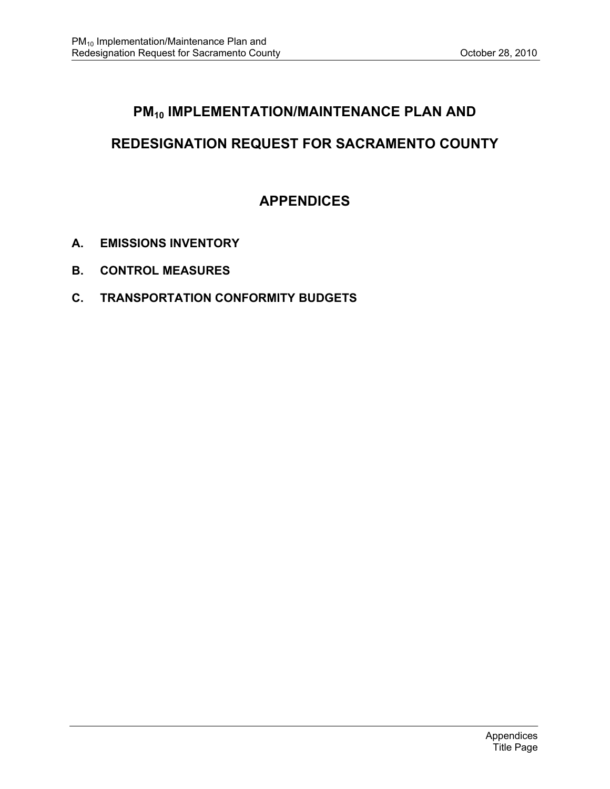## **PM<sub>10</sub> IMPLEMENTATION/MAINTENANCE PLAN AND**

# **REDESIGNATION REQUEST FOR SACRAMENTO COUNTY**

# **APPENDICES**

- **A. EMISSIONS INVENTORY**
- **B. CONTROL MEASURES**
- **C. TRANSPORTATION CONFORMITY BUDGETS**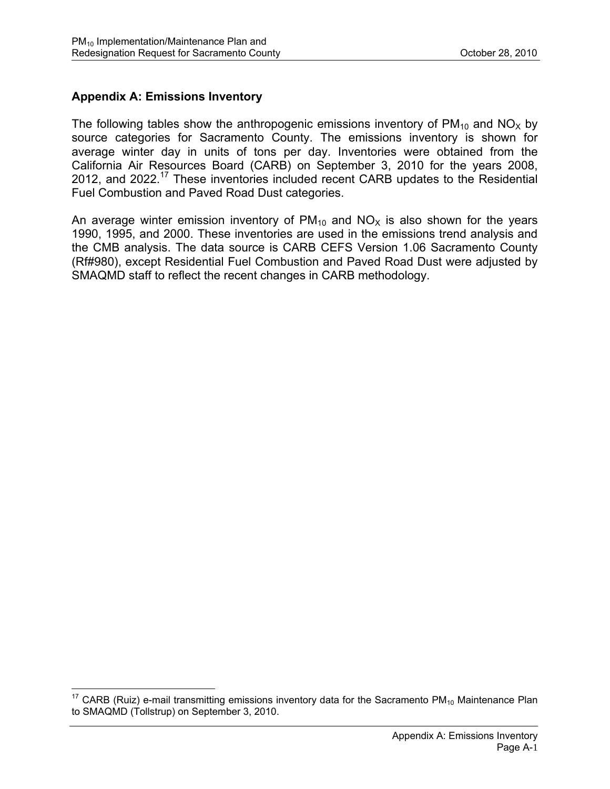## **Appendix A: Emissions Inventory**

 $\overline{a}$ 

The following tables show the anthropogenic emissions inventory of  $PM_{10}$  and NO<sub>x</sub> by source categories for Sacramento County. The emissions inventory is shown for average winter day in units of tons per day. Inventories were obtained from the California Air Resources Board (CARB) on September 3, 2010 for the years 2008, 2012, and 2022.17 These inventories included recent CARB updates to the Residential Fuel Combustion and Paved Road Dust categories.

An average winter emission inventory of  $PM_{10}$  and  $NO<sub>x</sub>$  is also shown for the years 1990, 1995, and 2000. These inventories are used in the emissions trend analysis and the CMB analysis. The data source is CARB CEFS Version 1.06 Sacramento County (Rf#980), except Residential Fuel Combustion and Paved Road Dust were adjusted by SMAQMD staff to reflect the recent changes in CARB methodology.

 $17$  CARB (Ruiz) e-mail transmitting emissions inventory data for the Sacramento PM<sub>10</sub> Maintenance Plan to SMAQMD (Tollstrup) on September 3, 2010.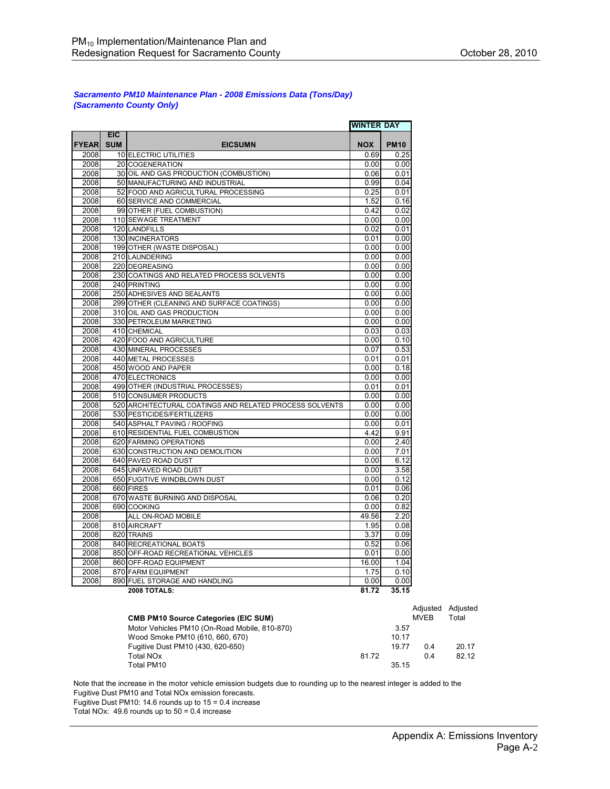#### *Sacramento PM10 Maintenance Plan - 2008 Emissions Data (Tons/Day) (Sacramento County Only)*

|              |                          |                                                         | <b>WINTER DAY</b> |             |
|--------------|--------------------------|---------------------------------------------------------|-------------------|-------------|
| <b>FYEAR</b> | <b>EIC</b><br><b>SUM</b> | <b>EICSUMN</b>                                          | <b>NOX</b>        | <b>PM10</b> |
| 2008         |                          | 10 ELECTRIC UTILITIES                                   | 0.69              | 0.25        |
| 2008         |                          | 20 COGENERATION                                         | 0.00              | 0.00        |
| 2008         |                          | 30 OIL AND GAS PRODUCTION (COMBUSTION)                  | 0.06              | 0.01        |
| 2008         |                          | 50 MANUFACTURING AND INDUSTRIAL                         | 0.99              | 0.04        |
| 2008         |                          | 52 FOOD AND AGRICULTURAL PROCESSING                     | 0.25              | 0.01        |
| 2008         |                          | 60 SERVICE AND COMMERCIAL                               | 1.52              | 0.16        |
| 2008         |                          | 99 OTHER (FUEL COMBUSTION)                              | 0.42              | 0.02        |
| 2008         |                          | 110 SEWAGE TREATMENT                                    | 0.00              | 0.00        |
| 2008         |                          | 120 LANDFILLS                                           | 0.02              | 0.01        |
| 2008         |                          | 130 INCINERATORS                                        | 0.01              | 0.00        |
| 2008         |                          | 199 OTHER (WASTE DISPOSAL)                              | 0.00              | 0.00        |
| 2008         |                          | 210 LAUNDERING                                          | 0.00              | 0.00        |
| 2008         |                          | 220 DEGREASING                                          | 0.00              | 0.00        |
| 2008         |                          | 230 COATINGS AND RELATED PROCESS SOLVENTS               | 0.00              | 0.00        |
| 2008         |                          | 240 PRINTING                                            | 0.00              | 0.00        |
| 2008         |                          | 250 ADHESIVES AND SEALANTS                              | 0.00              | 0.00        |
| 2008         |                          | 299 OTHER (CLEANING AND SURFACE COATINGS)               | 0.00              | 0.00        |
| 2008         |                          | 310 OIL AND GAS PRODUCTION                              | 0.00              | 0.00        |
| 2008         |                          | 330 PETROLEUM MARKETING                                 | 0.00              | 0.00        |
| 2008         |                          | 410 CHEMICAL                                            | 0.03              | 0.03        |
| 2008         |                          | 420 FOOD AND AGRICULTURE                                | 0.00              | 0.10        |
| 2008         |                          | 430 MINERAL PROCESSES                                   | 0.07              | 0.53        |
| 2008         |                          | 440 METAL PROCESSES                                     | 0.01              | 0.01        |
| 2008         |                          | 450 WOOD AND PAPER                                      | 0.00              | 0.18        |
| 2008         |                          | 470 ELECTRONICS                                         | 0.00              | 0.00        |
| 2008         |                          | 499 OTHER (INDUSTRIAL PROCESSES)                        | 0.01              | 0.01        |
| 2008         |                          | 510 CONSUMER PRODUCTS                                   | 0.00              | 0.00        |
| 2008         |                          | 520 ARCHITECTURAL COATINGS AND RELATED PROCESS SOLVENTS | 0.00              | 0.00        |
| 2008         |                          | 530 PESTICIDES/FERTILIZERS                              | 0.00              | 0.00        |
| 2008         |                          | 540 ASPHALT PAVING / ROOFING                            | 0.00              | 0.01        |
| 2008         |                          | 610 RESIDENTIAL FUEL COMBUSTION                         | 4.42              | 9.91        |
| 2008         |                          | 620 FARMING OPERATIONS                                  | 0.00              | 2.40        |
| 2008         |                          | 630 CONSTRUCTION AND DEMOLITION                         | 0.00              | 7.01        |
| 2008         |                          | 640 PAVED ROAD DUST                                     | 0.00              | 6.12        |
| 2008         |                          | 645 UNPAVED ROAD DUST                                   | 0.00              | 3.58        |
| 2008         |                          | 650 FUGITIVE WINDBLOWN DUST                             | 0.00              | 0.12        |
| 2008         |                          | 660 FIRES                                               | 0.01              | 0.06        |
| 2008         |                          | 670 WASTE BURNING AND DISPOSAL                          | 0.06              | 0.20        |
| 2008         |                          | 690 COOKING                                             | 0.00              | 0.82        |
| 2008         |                          | ALL ON-ROAD MOBILE                                      | 49.56             | 2.20        |
| 2008         |                          | 810 AIRCRAFT                                            | 1.95              | 0.08        |
| 2008         |                          | 820 TRAINS                                              | 3.37              | 0.09        |
| 2008         |                          | 840 RECREATIONAL BOATS                                  | 0.52              | 0.06        |
| 2008         |                          | 850 OFF-ROAD RECREATIONAL VEHICLES                      | 0.01              | 0.00        |
| 2008         |                          | 860 OFF-ROAD EQUIPMENT                                  | 16.00             | 1.04        |
| 2008         |                          | 870 FARM EQUIPMENT                                      | 1.75              | 0.10        |
| 2008         |                          | 890 FUEL STORAGE AND HANDLING                           | 0.00              | 0.00        |
|              |                          | 2008 TOTALS:                                            | 81.72             | 35.15       |

| <b>CMB PM10 Source Categories (EIC SUM)</b>   |       | Adiusted<br><b>MVFR</b> | Adjusted<br>Total |
|-----------------------------------------------|-------|-------------------------|-------------------|
| Motor Vehicles PM10 (On-Road Mobile, 810-870) | 3.57  |                         |                   |
| Wood Smoke PM10 (610, 660, 670)               | 10.17 |                         |                   |
| Fugitive Dust PM10 (430, 620-650)             | 19.77 | 0.4                     | 20.17             |
| Total NO <sub>x</sub><br>81.72                |       | 0.4                     | 82.12             |
| Total PM10                                    | 35.15 |                         |                   |

Note that the increase in the motor vehicle emission budgets due to rounding up to the nearest integer is added to the Fugitive Dust PM10 and Total NOx emission forecasts.

Fugitive Dust PM10: 14.6 rounds up to 15 = 0.4 increase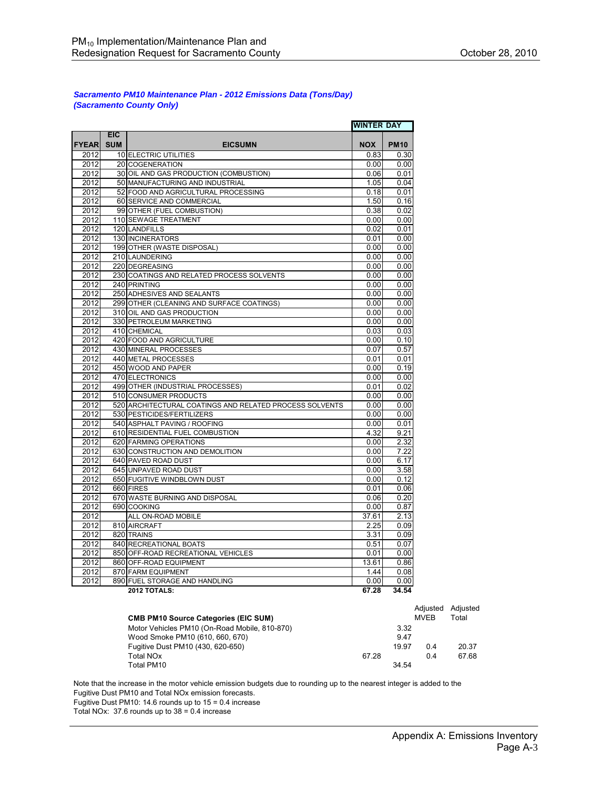#### *Sacramento PM10 Maintenance Plan - 2012 Emissions Data (Tons/Day) (Sacramento County Only)*

|              |                          |                                                           | <b>WINTER DAY</b> |               |
|--------------|--------------------------|-----------------------------------------------------------|-------------------|---------------|
| <b>FYEAR</b> | <b>EIC</b><br><b>SUM</b> | <b>EICSUMN</b>                                            | <b>NOX</b>        | <b>PM10</b>   |
| 2012         |                          |                                                           | 0.83              | 0.30          |
|              |                          | 10 ELECTRIC UTILITIES                                     |                   |               |
| 2012<br>2012 |                          | 20 COGENERATION<br>30 OIL AND GAS PRODUCTION (COMBUSTION) | 0.00<br>0.06      | 0.00<br>0.01  |
| 2012         |                          | 50 MANUFACTURING AND INDUSTRIAL                           | 1.05              | 0.04          |
| 2012         |                          | 52 FOOD AND AGRICULTURAL PROCESSING                       | 0.18              | 0.01          |
| 2012         |                          |                                                           | 1.50              | 0.16          |
| 2012         |                          | 60 SERVICE AND COMMERCIAL                                 | 0.38              | 0.02          |
| 2012         |                          | 99 OTHER (FUEL COMBUSTION)<br>110 SEWAGE TREATMENT        | 0.00              | 0.00          |
| 2012         |                          | 120 LANDFILLS                                             | 0.02              | 0.01          |
| 2012         |                          | 130 INCINERATORS                                          | 0.01              | 0.00          |
|              |                          |                                                           |                   |               |
| 2012<br>2012 |                          | 199 OTHER (WASTE DISPOSAL)<br>210 LAUNDERING              | 0.00<br>0.00      | 0.00<br>0.00  |
| 2012         |                          | 220 DEGREASING                                            | 0.00              | 0.00          |
| 2012         |                          | 230 COATINGS AND RELATED PROCESS SOLVENTS                 | 0.00              | 0.00          |
| 2012         |                          |                                                           | 0.00              | 0.00          |
|              |                          | 240 PRINTING                                              |                   | 0.00          |
| 2012<br>2012 |                          | 250 ADHESIVES AND SEALANTS                                | 0.00<br>0.00      | 0.00          |
|              |                          | 299 OTHER (CLEANING AND SURFACE COATINGS)                 |                   |               |
| 2012<br>2012 |                          | 310 OIL AND GAS PRODUCTION                                | 0.00<br>0.00      | 0.00<br>0.00  |
|              |                          | 330 PETROLEUM MARKETING                                   |                   |               |
| 2012         |                          | 410 CHEMICAL                                              | 0.03              | 0.03          |
| 2012         |                          | 420 FOOD AND AGRICULTURE                                  | 0.00              | 0.10          |
| 2012         |                          | 430 MINERAL PROCESSES                                     | 0.07              | 0.57          |
| 2012         |                          | 440 METAL PROCESSES                                       | 0.01              | 0.01          |
| 2012         |                          | 450 WOOD AND PAPER                                        | 0.00              | 0.19          |
| 2012         |                          | 470 ELECTRONICS                                           | 0.00              | 0.00          |
| 2012         |                          | 499 OTHER (INDUSTRIAL PROCESSES)                          | 0.01              | 0.02          |
| 2012         |                          | 510 CONSUMER PRODUCTS                                     | 0.00              | 0.00          |
| 2012         |                          | 520 ARCHITECTURAL COATINGS AND RELATED PROCESS SOLVENTS   | 0.00              | 0.00          |
| 2012         |                          | 530 PESTICIDES/FERTILIZERS                                | 0.00              | 0.00          |
| 2012         |                          | 540 ASPHALT PAVING / ROOFING                              | 0.00              | 0.01          |
| 2012         |                          | 610 RESIDENTIAL FUEL COMBUSTION                           | 4.32              | 9.21          |
| 2012         |                          | 620 FARMING OPERATIONS                                    | 0.00              | 2.32          |
| 2012         |                          | 630 CONSTRUCTION AND DEMOLITION                           | 0.00              | 7.22          |
| 2012         |                          | 640 PAVED ROAD DUST                                       | 0.00              | 6.17          |
| 2012         |                          | 645 UNPAVED ROAD DUST                                     | 0.00              | 3.58          |
| 2012         |                          | 650 FUGITIVE WINDBLOWN DUST                               | 0.00              | 0.12          |
| 2012<br>2012 |                          | 660 FIRES<br>670 WASTE BURNING AND DISPOSAL               | 0.01<br>0.06      | 0.06<br>0.20  |
| 2012         |                          | 690 COOKING                                               | 0.00              | 0.87          |
| 2012         |                          |                                                           | 37.61             | 2.13          |
|              |                          | ALL ON-ROAD MOBILE                                        |                   |               |
| 2012         |                          | 810 AIRCRAFT                                              | 2.25              | 0.09          |
| 2012<br>2012 |                          | 820 TRAINS                                                | 3.31<br>0.51      | 0.09<br>0.07  |
| 2012         |                          | 840 RECREATIONAL BOATS                                    |                   |               |
|              |                          | 850 OFF-ROAD RECREATIONAL VEHICLES                        | 0.01              | 0.00          |
| 2012         |                          | 860 OFF-ROAD EQUIPMENT                                    | 13.61             | 0.86          |
| 2012<br>2012 |                          | 870 FARM EQUIPMENT<br>890 FUEL STORAGE AND HANDLING       | 1.44              | 0.08          |
|              |                          | 2012 TOTALS:                                              | 0.00<br>67.28     | 0.00<br>34.54 |

| <b>CMB PM10 Source Categories (EIC SUM)</b>   |       |       | Adiusted<br><b>MVEB</b> | Adiusted<br>Total |
|-----------------------------------------------|-------|-------|-------------------------|-------------------|
| Motor Vehicles PM10 (On-Road Mobile, 810-870) |       | 3.32  |                         |                   |
| Wood Smoke PM10 (610, 660, 670)               |       | 9.47  |                         |                   |
| Fugitive Dust PM10 (430, 620-650)             |       | 19.97 | 0.4                     | 20.37             |
| Total NOx                                     | 67.28 |       | 0.4                     | 67.68             |
| Total PM10                                    |       | 34.54 |                         |                   |

Note that the increase in the motor vehicle emission budgets due to rounding up to the nearest integer is added to the Fugitive Dust PM10 and Total NOx emission forecasts. Fugitive Dust PM10: 14.6 rounds up to 15 = 0.4 increase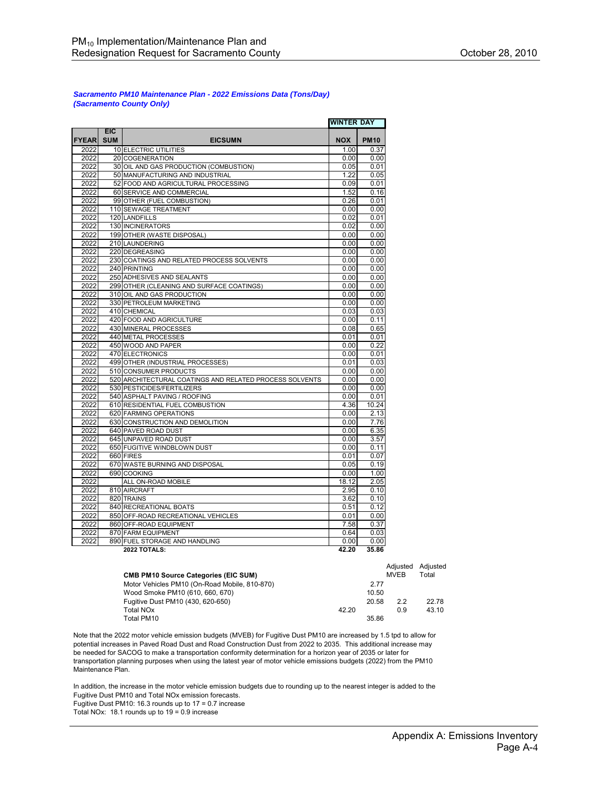#### *Sacramento PM10 Maintenance Plan - 2022 Emissions Data (Tons/Day) (Sacramento County Only)*

|              |            |                                                              | <b>WINTER DAY</b> |              |
|--------------|------------|--------------------------------------------------------------|-------------------|--------------|
|              | <b>EIC</b> |                                                              |                   |              |
| <b>FYEAR</b> | <b>SUM</b> | <b>EICSUMN</b>                                               | <b>NOX</b>        | <b>PM10</b>  |
| 2022         |            | 10 ELECTRIC UTILITIES                                        | 1.00              | 0.37         |
| 2022         |            | 20 COGENERATION                                              | 0.00              | 0.00         |
| 2022         |            | 30 OIL AND GAS PRODUCTION (COMBUSTION)                       | 0.05              | 0.01         |
| 2022         |            | 50 MANUFACTURING AND INDUSTRIAL                              | 1.22              | 0.05         |
| 2022         |            | 52 FOOD AND AGRICULTURAL PROCESSING                          | 0.09              | 0.01         |
| 2022         |            | 60 SERVICE AND COMMERCIAL                                    | 1.52              | 0.16         |
| 2022         |            | 99 OTHER (FUEL COMBUSTION)                                   | 0.26              | 0.01         |
| 2022         |            | 110 SEWAGE TREATMENT                                         | 0.00              | 0.00         |
| 2022         |            | 120 LANDFILLS                                                | 0.02              | 0.01         |
| 2022         |            | 130 INCINERATORS                                             | 0.02              | 0.00         |
| 2022         |            | 199 OTHER (WASTE DISPOSAL)                                   | 0.00              | 0.00         |
| 2022         |            | 210 LAUNDERING                                               | 0.00              | 0.00         |
| 2022         |            | 220 DEGREASING                                               | 0.00              | 0.00         |
| 2022         |            | 230 COATINGS AND RELATED PROCESS SOLVENTS                    | 0.00              | 0.00         |
| 2022         |            | 240 PRINTING                                                 | 0.00              | 0.00         |
| 2022         |            | 250 ADHESIVES AND SEALANTS                                   | 0.00              | 0.00         |
| 2022         |            | 299 OTHER (CLEANING AND SURFACE COATINGS)                    | 0.00              | 0.00         |
| 2022         |            | 310 OIL AND GAS PRODUCTION                                   | 0.00              | 0.00         |
| 2022<br>2022 |            | 330 PETROLEUM MARKETING                                      | 0.00              | 0.00         |
|              |            | 410 CHEMICAL                                                 | 0.03              | 0.03         |
| 2022         |            | 420 FOOD AND AGRICULTURE                                     | 0.00              | 0.11         |
| 2022         |            | 430 MINERAL PROCESSES                                        | 0.08              | 0.65         |
| 2022<br>2022 |            | 440 METAL PROCESSES<br>450 WOOD AND PAPER                    | 0.01              | 0.01<br>0.22 |
|              |            |                                                              | 0.00              |              |
| 2022         |            | 470 ELECTRONICS                                              | 0.00              | 0.01         |
| 2022         |            | 499 OTHER (INDUSTRIAL PROCESSES)                             | 0.01              | 0.03         |
| 2022<br>2022 |            | 510 CONSUMER PRODUCTS                                        | 0.00              | 0.00         |
| 2022         |            | 520 ARCHITECTURAL COATINGS AND RELATED PROCESS SOLVENTS      | 0.00<br>0.00      | 0.00<br>0.00 |
|              |            | 530 PESTICIDES/FERTILIZERS                                   |                   |              |
| 2022         |            | 540 ASPHALT PAVING / ROOFING                                 | 0.00              | 0.01         |
| 2022         |            | 610 RESIDENTIAL FUEL COMBUSTION                              | 4.36              | 10.24        |
| 2022<br>2022 |            | 620 FARMING OPERATIONS<br>630 CONSTRUCTION AND DEMOLITION    | 0.00<br>0.00      | 2.13<br>7.76 |
| 2022         |            |                                                              | 0.00              | 6.35         |
| 2022         |            | 640 PAVED ROAD DUST                                          | 0.00              | 3.57         |
|              |            | 645 UNPAVED ROAD DUST                                        |                   |              |
| 2022         |            | 650 FUGITIVE WINDBLOWN DUST                                  | 0.00              | 0.11         |
| 2022         |            | 660 FIRES                                                    | 0.01<br>0.05      | 0.07<br>0.19 |
| 2022<br>2022 |            | 670 WASTE BURNING AND DISPOSAL<br>690 COOKING                |                   |              |
| 2022         |            | ALL ON-ROAD MOBILE                                           | 0.00<br>18.12     | 1.00<br>2.05 |
| 2022         |            | 810 AIRCRAFT                                                 | 2.95              | 0.10         |
| 2022         |            | 820 TRAINS                                                   | 3.62              | 0.10         |
| 2022         |            | 840 RECREATIONAL BOATS                                       | 0.51              | 0.12         |
| 2022         |            |                                                              | 0.01              | 0.00         |
| 2022         |            | 850 OFF-ROAD RECREATIONAL VEHICLES<br>860 OFF-ROAD EQUIPMENT | 7.58              | 0.37         |
| 2022         |            | 870 FARM EQUIPMENT                                           | 0.64              | 0.03         |
| 2022         |            | 890 FUEL STORAGE AND HANDLING                                | 0.00              | 0.00         |
|              |            | <b>2022 TOTALS:</b>                                          | 42.20             | 35.86        |

|                                               |       |       | Adiusted | Adiusted |
|-----------------------------------------------|-------|-------|----------|----------|
| <b>CMB PM10 Source Categories (EIC SUM)</b>   |       |       | MVEB     | Total    |
| Motor Vehicles PM10 (On-Road Mobile, 810-870) |       | 2.77  |          |          |
| Wood Smoke PM10 (610, 660, 670)               |       | 10.50 |          |          |
| Fugitive Dust PM10 (430, 620-650)             |       | 20.58 | 22       | 22.78    |
| Total NO <sub>x</sub>                         | 42.20 |       | 0.9      | 43.10    |
| Total PM10                                    |       | 35.86 |          |          |

Note that the 2022 motor vehicle emission budgets (MVEB) for Fugitive Dust PM10 are increased by 1.5 tpd to allow for potential increases in Paved Road Dust and Road Construction Dust from 2022 to 2035. This additional increase may be needed for SACOG to make a transportation conformity determination for a horizon year of 2035 or later for transportation planning purposes when using the latest year of motor vehicle emissions budgets (2022) from the PM10 Maintenance Plan.

In addition, the increase in the motor vehicle emission budgets due to rounding up to the nearest integer is added to the Fugitive Dust PM10 and Total NOx emission forecasts.

Fugitive Dust PM10: 16.3 rounds up to 17 = 0.7 increase

Total NOx: 18.1 rounds up to 19 = 0.9 increase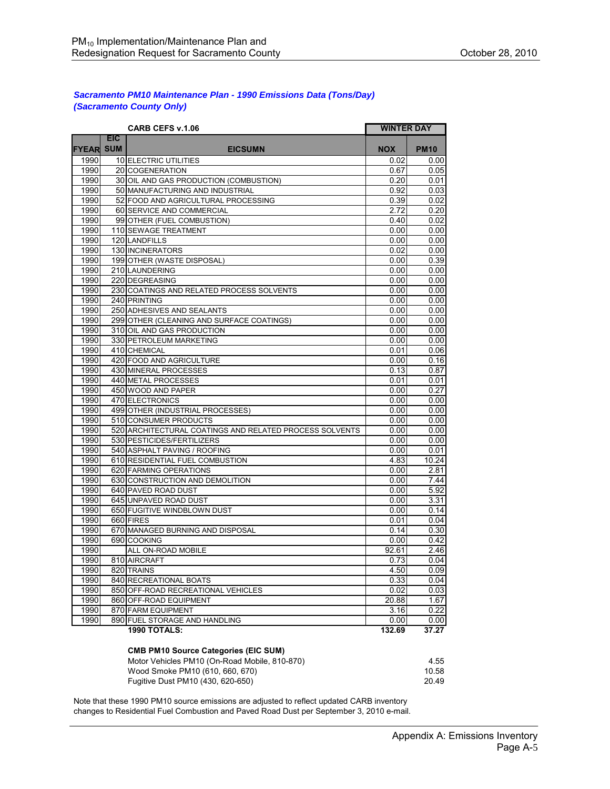#### *Sacramento PM10 Maintenance Plan - 1990 Emissions Data (Tons/Day) (Sacramento County Only)*

|       |                          | <b>CARB CEFS v.1.06</b>                                 | <b>WINTER DAY</b> |             |
|-------|--------------------------|---------------------------------------------------------|-------------------|-------------|
| FYEAR | <b>EIC</b><br><b>SUM</b> | <b>EICSUMN</b>                                          | <b>NOX</b>        | <b>PM10</b> |
| 1990  |                          | 10 ELECTRIC UTILITIES                                   | 0.02              | 0.00        |
| 1990  |                          | 20 COGENERATION                                         | 0.67              | 0.05        |
| 1990  |                          | 30 OIL AND GAS PRODUCTION (COMBUSTION)                  | 0.20              | 0.01        |
| 1990  |                          | 50 MANUFACTURING AND INDUSTRIAL                         | 0.92              | 0.03        |
| 1990  |                          | 52 FOOD AND AGRICULTURAL PROCESSING                     | 0.39              | 0.02        |
| 1990  |                          | 60 SERVICE AND COMMERCIAL                               | 2.72              | 0.20        |
| 1990  |                          | 99 OTHER (FUEL COMBUSTION)                              | 0.40              | 0.02        |
| 1990  |                          | 110 SEWAGE TREATMENT                                    | 0.00              | 0.00        |
| 1990  |                          | 120 LANDFILLS                                           | 0.00              | 0.00        |
| 1990  |                          | 130 INCINERATORS                                        | 0.02              | 0.00        |
| 1990  |                          | 199 OTHER (WASTE DISPOSAL)                              | 0.00              | 0.39        |
| 1990  |                          | 210 LAUNDERING                                          | 0.00              | 0.00        |
| 1990  |                          | 220 DEGREASING                                          | 0.00              | 0.00        |
| 1990  |                          | 230 COATINGS AND RELATED PROCESS SOLVENTS               | 0.00              | 0.00        |
| 1990  |                          | 240 PRINTING                                            | 0.00              | 0.00        |
| 1990  |                          | 250 ADHESIVES AND SEALANTS                              | 0.00              | 0.00        |
| 1990  |                          | 299 OTHER (CLEANING AND SURFACE COATINGS)               | 0.00              | 0.00        |
| 1990  |                          | 310 OIL AND GAS PRODUCTION                              | 0.00              | 0.00        |
| 1990  |                          | 330 PETROLEUM MARKETING                                 | 0.00              | 0.00        |
| 1990  |                          | 410 CHEMICAL                                            | 0.01              | 0.06        |
| 1990  |                          | 420 FOOD AND AGRICULTURE                                | 0.00              | 0.16        |
| 1990  |                          | 430 MINERAL PROCESSES                                   | 0.13              | 0.87        |
| 1990  |                          | 440 METAL PROCESSES                                     | 0.01              | 0.01        |
| 1990  |                          | 450 WOOD AND PAPER                                      | 0.00              | 0.27        |
| 1990  |                          | 470 ELECTRONICS                                         | 0.00              | 0.00        |
| 1990  |                          | 499 OTHER (INDUSTRIAL PROCESSES)                        | 0.00              | 0.00        |
| 1990  |                          | 510 CONSUMER PRODUCTS                                   | 0.00              | 0.00        |
| 1990  |                          | 520 ARCHITECTURAL COATINGS AND RELATED PROCESS SOLVENTS | 0.00              | 0.00        |
| 1990  |                          | 530 PESTICIDES/FERTILIZERS                              | 0.00              | 0.00        |
| 1990  |                          | 540 ASPHALT PAVING / ROOFING                            | 0.00              | 0.01        |
| 1990  |                          | 610 RESIDENTIAL FUEL COMBUSTION                         | 4.83              | 10.24       |
| 1990  |                          | 620 FARMING OPERATIONS                                  | 0.00              | 2.81        |
| 1990  |                          | 630 CONSTRUCTION AND DEMOLITION                         | 0.00              | 744         |
| 1990  |                          | 640 PAVED ROAD DUST                                     | 0.00              | 5.92        |
| 1990  |                          | 645 UNPAVED ROAD DUST                                   | 0.00              | 3.31        |
| 1990  |                          | 650 FUGITIVE WINDBLOWN DUST                             | 0.00              | 0.14        |
| 1990  |                          | 660 FIRES                                               | 0.01              | 0.04        |
| 1990  |                          | 670 MANAGED BURNING AND DISPOSAL                        | 0.14              | 0.30        |
| 1990  |                          | 690 COOKING                                             | 0.00              | 0.42        |
| 1990  |                          | ALL ON-ROAD MOBILE                                      | 92.61             | 2.46        |
| 1990  |                          | 810 AIRCRAFT                                            | 0.73              | 0.04        |
| 1990  |                          | 820 TRAINS                                              | 4.50              | 0.09        |
| 1990  |                          | 840 RECREATIONAL BOATS                                  | 0.33              | 0.04        |
| 1990  |                          | 850 OFF-ROAD RECREATIONAL VEHICLES                      | 0.02              | 0.03        |
| 1990  |                          | 860 OFF-ROAD EQUIPMENT                                  | 20.88             | 1.67        |
| 1990  |                          | 870 FARM EQUIPMENT                                      | 3.16              | 0.22        |
| 1990  |                          | 890 FUEL STORAGE AND HANDLING                           | 0.00              | 0.00        |
|       |                          | <b>1990 TOTALS:</b>                                     | 132.69            | 37.27       |

#### **CMB PM10 Source Categories (EIC SUM)**

| Motor Vehicles PM10 (On-Road Mobile, 810-870) | 4.55  |
|-----------------------------------------------|-------|
| Wood Smoke PM10 (610, 660, 670)               | 10.58 |
| Fugitive Dust PM10 (430, 620-650)             | 20.49 |

Note that these 1990 PM10 source emissions are adjusted to reflect updated CARB inventory changes to Residential Fuel Combustion and Paved Road Dust per September 3, 2010 e-mail.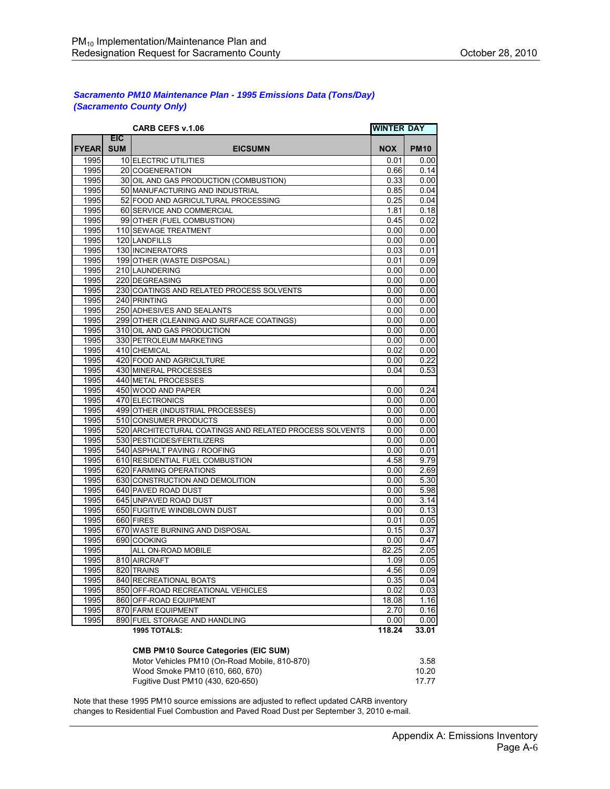#### *Sacramento PM10 Maintenance Plan - 1995 Emissions Data (Tons/Day) (Sacramento County Only)*

|              |                          | <b>CARB CEFS v.1.06</b>                                 | <b>WINTER DAY</b> |             |
|--------------|--------------------------|---------------------------------------------------------|-------------------|-------------|
| <b>FYEAR</b> | <b>EIC</b><br><b>SUM</b> | <b>EICSUMN</b>                                          | <b>NOX</b>        | <b>PM10</b> |
| 1995         |                          | 10 ELECTRIC UTILITIES                                   | 0.01              | 0.00        |
| 1995         |                          | 20 COGENERATION                                         | 0.66              | 0.14        |
| 1995         |                          | 30 OIL AND GAS PRODUCTION (COMBUSTION)                  | 0.33              | 0.00        |
| 1995         |                          | 50 MANUFACTURING AND INDUSTRIAL                         | 0.85              | 0.04        |
| 1995         |                          | 52 FOOD AND AGRICULTURAL PROCESSING                     | 0.25              | 0.04        |
| 1995         |                          | 60 SERVICE AND COMMERCIAL                               | 1.81              | 0.18        |
| 1995         |                          | 99 OTHER (FUEL COMBUSTION)                              | 0.45              | 0.02        |
| 1995         |                          | 110 SEWAGE TREATMENT                                    | 0.00              | 0.00        |
| 1995         |                          | 120 LANDFILLS                                           | 0.00              | 0.00        |
| 1995         |                          | 130 INCINERATORS                                        | 0.03              | 0.01        |
| 1995         |                          | 199 OTHER (WASTE DISPOSAL)                              | 0.01              | 0.09        |
| 1995         |                          | 210 LAUNDERING                                          | 0.00              | 0.00        |
| 1995         |                          | 220 DEGREASING                                          | 0.00              | 0.00        |
| 1995         |                          | 230 COATINGS AND RELATED PROCESS SOLVENTS               | 0.00              | 0.00        |
| 1995         |                          | 240 PRINTING                                            | 0.00              | 0.00        |
| 1995         |                          | 250 ADHESIVES AND SEALANTS                              | 0.00              | 0.00        |
| 1995         |                          | 299 OTHER (CLEANING AND SURFACE COATINGS)               | 0.00              | 0.00        |
| 1995         |                          | 310 OIL AND GAS PRODUCTION                              | 0.00              | 0.00        |
| 1995         |                          | 330 PETROLEUM MARKETING                                 | 0.00              | 0.00        |
| 1995         |                          | 410 CHEMICAL                                            | 0.02              | 0.00        |
| 1995         |                          | 420 FOOD AND AGRICULTURE                                | 0.00              | 0.22        |
| 1995         |                          | 430 MINERAL PROCESSES                                   | 0.04              | 0.53        |
| 1995         |                          | 440 METAL PROCESSES                                     |                   |             |
| 1995         |                          | 450 WOOD AND PAPER                                      | 0.00              | 0.24        |
| 1995         |                          | 470 ELECTRONICS                                         | 0.00              | 0.00        |
| 1995         |                          | 499 OTHER (INDUSTRIAL PROCESSES)                        | 0.00              | 0.00        |
| 1995         |                          | 510 CONSUMER PRODUCTS                                   | 0.00              | 0.00        |
| 1995         |                          | 520 ARCHITECTURAL COATINGS AND RELATED PROCESS SOLVENTS | 0.00              | 0.00        |
| 1995         |                          | 530 PESTICIDES/FERTILIZERS                              | 0.00              | 0.00        |
| 1995         |                          | 540 ASPHALT PAVING / ROOFING                            | 0.00              | 0.01        |
| 1995         |                          | 610 RESIDENTIAL FUEL COMBUSTION                         | 4.58              | 9.79        |
| 1995         |                          | 620 FARMING OPERATIONS                                  | 0.00              | 2.69        |
| 1995         |                          | 630 CONSTRUCTION AND DEMOLITION                         | 0.00              | 5.30        |
| 1995         |                          | 640 PAVED ROAD DUST                                     | 0.00              | 5.98        |
| 1995         |                          | 645 UNPAVED ROAD DUST                                   | 0.00              | 3.14        |
| 1995         |                          | 650 FUGITIVE WINDBLOWN DUST                             | 0.00              | 0.13        |
| 1995         |                          | 660 FIRES                                               | 0.01              | 0.05        |
| 1995         |                          | 670 WASTE BURNING AND DISPOSAL                          | 0.15              | 0.37        |
| 1995         |                          | 690 COOKING                                             | 0.00              | 0.47        |
| 1995         |                          | ALL ON-ROAD MOBILE                                      | 82.25             | 2.05        |
| 1995         |                          | 810 AIRCRAFT                                            | 1.09              | 0.05        |
| 1995         |                          | 820 TRAINS                                              | 4.56              | 0.09        |
| 1995         |                          | 840 RECREATIONAL BOATS                                  | 0.35              | 0.04        |
| 1995         |                          | 850 OFF-ROAD RECREATIONAL VEHICLES                      | 0.02              | 0.03        |
| 1995         |                          | 860 OFF-ROAD EQUIPMENT                                  | 18.08             | 1.16        |
| 1995         |                          | 870 FARM EQUIPMENT                                      | 2.70              | 0.16        |
| 1995         |                          | 890 FUEL STORAGE AND HANDLING                           | 0.00              | 0.00        |
|              |                          | 1995 TOTALS:                                            | 118.24            | 33.01       |

#### **CMB PM10 Source Categories (EIC SUM)**

| Motor Vehicles PM10 (On-Road Mobile, 810-870) | -3.58 |
|-----------------------------------------------|-------|
| Wood Smoke PM10 (610, 660, 670)               | 10.20 |
| Fugitive Dust PM10 (430, 620-650)             | 1777  |

Note that these 1995 PM10 source emissions are adjusted to reflect updated CARB inventory changes to Residential Fuel Combustion and Paved Road Dust per September 3, 2010 e-mail.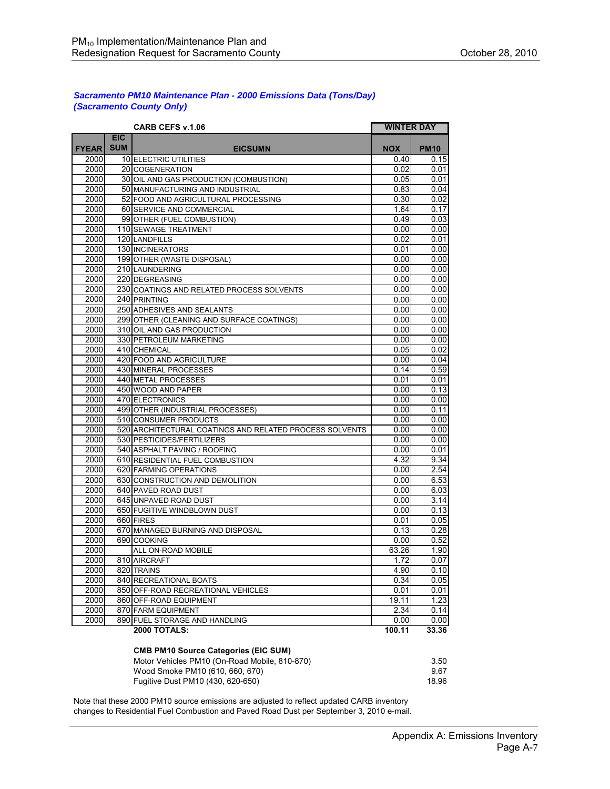#### *Sacramento PM10 Maintenance Plan - 2000 Emissions Data (Tons/Day) (Sacramento County Only)*

|              |                          | <b>CARB CEFS v.1.06</b>                                 | <b>WINTER DAY</b> |             |
|--------------|--------------------------|---------------------------------------------------------|-------------------|-------------|
| <b>FYEAR</b> | <b>EIC</b><br><b>SUM</b> | <b>EICSUMN</b>                                          | <b>NOX</b>        | <b>PM10</b> |
| 2000         |                          | 10 ELECTRIC UTILITIES                                   | 0.40              | 0.15        |
| 2000         |                          | 20 COGENERATION                                         | 0.02              | 0.01        |
| 2000         |                          | 30 OIL AND GAS PRODUCTION (COMBUSTION)                  | 0.05              | 0.01        |
| 2000         |                          | 50 MANUFACTURING AND INDUSTRIAL                         | 0.83              | 0.04        |
| 2000         |                          | 52 FOOD AND AGRICULTURAL PROCESSING                     | 0.30              | 0.02        |
| 2000         |                          | 60 SERVICE AND COMMERCIAL                               | 1.64              | 0.17        |
| 2000         |                          | 99 OTHER (FUEL COMBUSTION)                              | 0.49              | 0.03        |
| 2000         |                          | 110 SEWAGE TREATMENT                                    | 0.00              | 0.00        |
| 2000         |                          | 120 LANDFILLS                                           | 0.02              | 0.01        |
| 2000         |                          | 130 INCINERATORS                                        | 0.01              | 0.00        |
| 2000         |                          | 199 OTHER (WASTE DISPOSAL)                              | 0.00              | 0.00        |
| 2000         |                          | 210 LAUNDERING                                          | 0.00              | 0.00        |
| 2000         |                          | 220 DEGREASING                                          | 0.00              | 0.00        |
| 2000         |                          | 230 COATINGS AND RELATED PROCESS SOLVENTS               | 0.00              | 0.00        |
| 2000         |                          | 240 PRINTING                                            | 0.00              | 0.00        |
| 2000         |                          | 250 ADHESIVES AND SEALANTS                              | 0.00              | 0.00        |
| 2000         |                          | 299 OTHER (CLEANING AND SURFACE COATINGS)               | 0.00              | 0.00        |
| 2000         |                          | 310 OIL AND GAS PRODUCTION                              | 0.00              | 0.00        |
| 2000         |                          | 330 PETROLEUM MARKETING                                 | 0.00              | 0.00        |
| 2000         |                          | 410 CHEMICAL                                            | 0.05              | 0.02        |
| 2000         |                          | 420 FOOD AND AGRICULTURE                                | 0.00              | 0.04        |
| 2000         |                          | 430 MINERAL PROCESSES                                   | 0.14              | 0.59        |
| 2000         |                          | 440 METAL PROCESSES                                     | 0.01              | 0.01        |
| 2000         |                          | 450 WOOD AND PAPER                                      | 0.00              | 0.13        |
| 2000         |                          | 470 ELECTRONICS                                         | 0.00              | 0.00        |
| 2000         |                          | 499 OTHER (INDUSTRIAL PROCESSES)                        | 0.00              | 0.11        |
| 2000         |                          | 510 CONSUMER PRODUCTS                                   | 0.00              | 0.00        |
| 2000         |                          | 520 ARCHITECTURAL COATINGS AND RELATED PROCESS SOLVENTS | 0.00              | 0.00        |
| 2000         |                          | 530 PESTICIDES/FERTILIZERS                              | 0.00              | 0.00        |
| 2000         |                          | 540 ASPHALT PAVING / ROOFING                            | 0.00              | 0.01        |
| 2000         |                          | 610 RESIDENTIAL FUEL COMBUSTION                         | 4.32              | 9.34        |
| 2000         |                          | 620 FARMING OPERATIONS                                  | 0.00              | 2.54        |
| 2000         |                          | 630 CONSTRUCTION AND DEMOLITION                         | 0.00              | 6.53        |
| 2000         |                          | 640 PAVED ROAD DUST                                     | 0.00              | 6.03        |
| 2000         |                          | 645 UNPAVED ROAD DUST                                   | 0.00              | 3.14        |
| 2000         |                          | 650 FUGITIVE WINDBLOWN DUST                             | 0.00              | 0.13        |
| 2000         |                          | 660 FIRES                                               | 0.01              | 0.05        |
| 2000         |                          | 670 MANAGED BURNING AND DISPOSAL                        | 0.13              | 0.28        |
| 2000         |                          | 690 COOKING                                             | 0.00              | 0.52        |
| 2000         |                          | ALL ON-ROAD MOBILE                                      | 63.26             | 1.90        |
| 2000         |                          | 810 AIRCRAFT                                            | 1.72              | 0.07        |
| 2000         |                          | 820 TRAINS                                              | 4.90              | 0.10        |
| 2000         |                          | 840 RECREATIONAL BOATS                                  | 0.34              | 0.05        |
| 2000         |                          | 850 OFF-ROAD RECREATIONAL VEHICLES                      | 0.01              | 0.01        |
| 2000         |                          | 860 OFF-ROAD EQUIPMENT                                  | 19.11             | 1.23        |
| 2000         |                          | <b>870 FARM EQUIPMENT</b>                               | 2.34              | 0.14        |
| 2000         |                          | 890 FUEL STORAGE AND HANDLING                           | 0.00              | 0.00        |
|              |                          | <b>2000 TOTALS:</b>                                     | 100.11            | 33.36       |

#### **CMB PM10 Source Categories (EIC SUM)**

| Motor Vehicles PM10 (On-Road Mobile, 810-870) | 3.50  |
|-----------------------------------------------|-------|
| Wood Smoke PM10 (610, 660, 670)               | 9.67  |
| Fugitive Dust PM10 (430, 620-650)             | 18.96 |

Note that these 2000 PM10 source emissions are adjusted to reflect updated CARB inventory changes to Residential Fuel Combustion and Paved Road Dust per September 3, 2010 e-mail.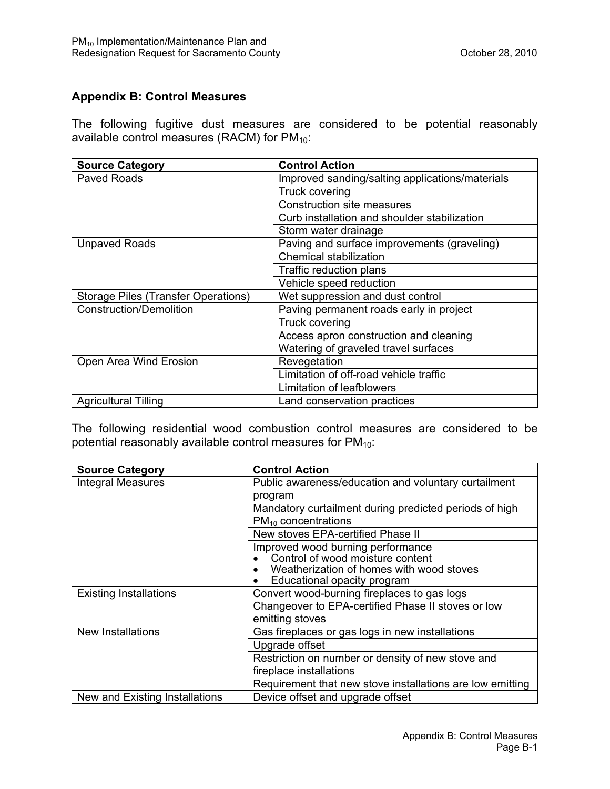## **Appendix B: Control Measures**

The following fugitive dust measures are considered to be potential reasonably available control measures (RACM) for  $PM_{10}$ :

| <b>Source Category</b>              | <b>Control Action</b>                           |  |  |  |  |  |
|-------------------------------------|-------------------------------------------------|--|--|--|--|--|
| Paved Roads                         | Improved sanding/salting applications/materials |  |  |  |  |  |
|                                     | Truck covering                                  |  |  |  |  |  |
|                                     | <b>Construction site measures</b>               |  |  |  |  |  |
|                                     | Curb installation and shoulder stabilization    |  |  |  |  |  |
|                                     | Storm water drainage                            |  |  |  |  |  |
| <b>Unpaved Roads</b>                | Paving and surface improvements (graveling)     |  |  |  |  |  |
|                                     | Chemical stabilization                          |  |  |  |  |  |
|                                     | Traffic reduction plans                         |  |  |  |  |  |
|                                     | Vehicle speed reduction                         |  |  |  |  |  |
| Storage Piles (Transfer Operations) | Wet suppression and dust control                |  |  |  |  |  |
| <b>Construction/Demolition</b>      | Paving permanent roads early in project         |  |  |  |  |  |
|                                     | Truck covering                                  |  |  |  |  |  |
|                                     | Access apron construction and cleaning          |  |  |  |  |  |
|                                     | Watering of graveled travel surfaces            |  |  |  |  |  |
| Open Area Wind Erosion              | Revegetation                                    |  |  |  |  |  |
|                                     | Limitation of off-road vehicle traffic          |  |  |  |  |  |
|                                     | Limitation of leafblowers                       |  |  |  |  |  |
| <b>Agricultural Tilling</b>         | Land conservation practices                     |  |  |  |  |  |

The following residential wood combustion control measures are considered to be potential reasonably available control measures for  $PM_{10}$ :

| <b>Source Category</b>         | <b>Control Action</b>                                     |
|--------------------------------|-----------------------------------------------------------|
| <b>Integral Measures</b>       | Public awareness/education and voluntary curtailment      |
|                                | program                                                   |
|                                | Mandatory curtailment during predicted periods of high    |
|                                | $PM_{10}$ concentrations                                  |
|                                | New stoves EPA-certified Phase II                         |
|                                | Improved wood burning performance                         |
|                                | Control of wood moisture content                          |
|                                | Weatherization of homes with wood stoves                  |
|                                | Educational opacity program                               |
| <b>Existing Installations</b>  | Convert wood-burning fireplaces to gas logs               |
|                                | Changeover to EPA-certified Phase II stoves or low        |
|                                | emitting stoves                                           |
| New Installations              | Gas fireplaces or gas logs in new installations           |
|                                | Upgrade offset                                            |
|                                | Restriction on number or density of new stove and         |
|                                | fireplace installations                                   |
|                                | Requirement that new stove installations are low emitting |
| New and Existing Installations | Device offset and upgrade offset                          |